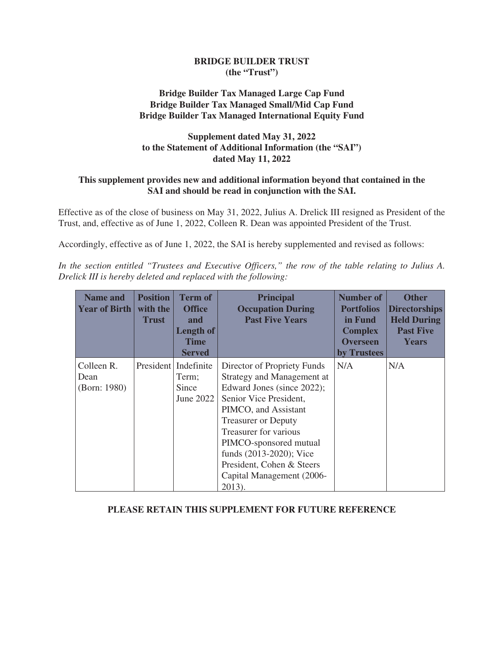# **BRIDGE BUILDER TRUST (the "Trust")**

# **Bridge Builder Tax Managed Large Cap Fund Bridge Builder Tax Managed Small/Mid Cap Fund Bridge Builder Tax Managed International Equity Fund**

# **Supplement dated May 31, 2022 to the Statement of Additional Information (the "SAI") dated May 11, 2022**

# **This supplement provides new and additional information beyond that contained in the SAI and should be read in conjunction with the SAI.**

Effective as of the close of business on May 31, 2022, Julius A. Drelick III resigned as President of the Trust, and, effective as of June 1, 2022, Colleen R. Dean was appointed President of the Trust.

Accordingly, effective as of June 1, 2022, the SAI is hereby supplemented and revised as follows:

*In the section entitled "Trustees and Executive Officers," the row of the table relating to Julius A. Drelick III is hereby deleted and replaced with the following:*

| <b>Name and</b><br><b>Year of Birth</b> | <b>Position</b><br>with the<br>Trust | <b>Term of</b><br><b>Office</b><br>and<br>Length of<br><b>Time</b><br><b>Served</b> | <b>Principal</b><br><b>Occupation During</b><br><b>Past Five Years</b>                                                                                                                                                                                                                                                    | <b>Number of</b><br><b>Portfolios</b><br>in Fund<br><b>Complex</b><br><b>Overseen</b><br>by Trustees | <b>Other</b><br><b>Directorships</b><br><b>Held During</b><br><b>Past Five</b><br><b>Years</b> |
|-----------------------------------------|--------------------------------------|-------------------------------------------------------------------------------------|---------------------------------------------------------------------------------------------------------------------------------------------------------------------------------------------------------------------------------------------------------------------------------------------------------------------------|------------------------------------------------------------------------------------------------------|------------------------------------------------------------------------------------------------|
| Colleen R.<br>Dean<br>(Born: 1980)      |                                      | President   Indefinite<br>Term;<br>Since<br>June $2022$                             | Director of Propriety Funds<br>Strategy and Management at<br>Edward Jones (since 2022);<br>Senior Vice President,<br>PIMCO, and Assistant<br><b>Treasurer or Deputy</b><br>Treasurer for various<br>PIMCO-sponsored mutual<br>funds (2013-2020); Vice<br>President, Cohen & Steers<br>Capital Management (2006-<br>2013). | N/A                                                                                                  | N/A                                                                                            |

# **PLEASE RETAIN THIS SUPPLEMENT FOR FUTURE REFERENCE**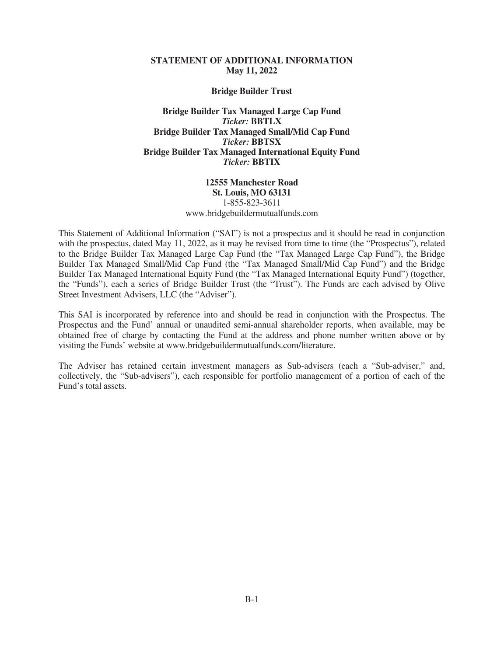#### **STATEMENT OF ADDITIONAL INFORMATION May 11, 2022**

**Bridge Builder Trust**

**Bridge Builder Tax Managed Large Cap Fund** *Ticker:* **BBTLX Bridge Builder Tax Managed Small/Mid Cap Fund** *Ticker:* **BBTSX Bridge Builder Tax Managed International Equity Fund** *Ticker:* **BBTIX**

> **12555 Manchester Road St. Louis, MO 63131** 1-855-823-3611 www.bridgebuildermutualfunds.com

This Statement of Additional Information ("SAI") is not a prospectus and it should be read in conjunction with the prospectus, dated May 11, 2022, as it may be revised from time to time (the "Prospectus"), related to the Bridge Builder Tax Managed Large Cap Fund (the "Tax Managed Large Cap Fund"), the Bridge Builder Tax Managed Small/Mid Cap Fund (the "Tax Managed Small/Mid Cap Fund") and the Bridge Builder Tax Managed International Equity Fund (the "Tax Managed International Equity Fund") (together, the "Funds"), each a series of Bridge Builder Trust (the "Trust"). The Funds are each advised by Olive Street Investment Advisers, LLC (the "Adviser").

This SAI is incorporated by reference into and should be read in conjunction with the Prospectus. The Prospectus and the Fund' annual or unaudited semi-annual shareholder reports, when available, may be obtained free of charge by contacting the Fund at the address and phone number written above or by visiting the Funds' website at www.bridgebuildermutualfunds.com/literature.

The Adviser has retained certain investment managers as Sub-advisers (each a "Sub-adviser," and, collectively, the "Sub-advisers"), each responsible for portfolio management of a portion of each of the Fund's total assets.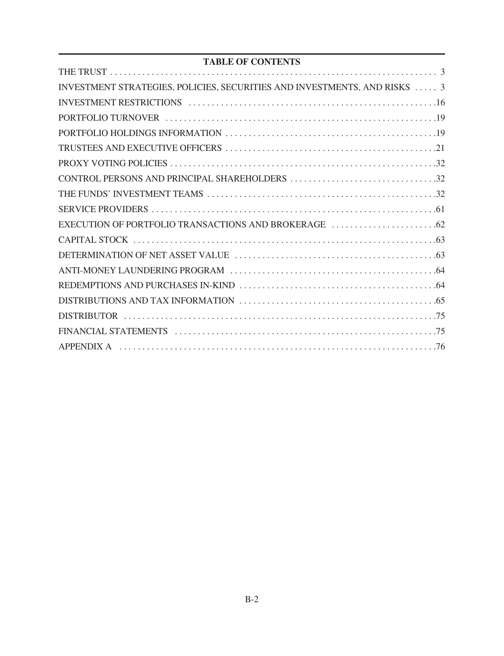# **TABLE OF CONTENTS**

| INVESTMENT STRATEGIES, POLICIES, SECURITIES AND INVESTMENTS, AND RISKS  3 |  |
|---------------------------------------------------------------------------|--|
|                                                                           |  |
|                                                                           |  |
|                                                                           |  |
|                                                                           |  |
|                                                                           |  |
|                                                                           |  |
|                                                                           |  |
|                                                                           |  |
|                                                                           |  |
|                                                                           |  |
|                                                                           |  |
|                                                                           |  |
|                                                                           |  |
|                                                                           |  |
|                                                                           |  |
|                                                                           |  |
|                                                                           |  |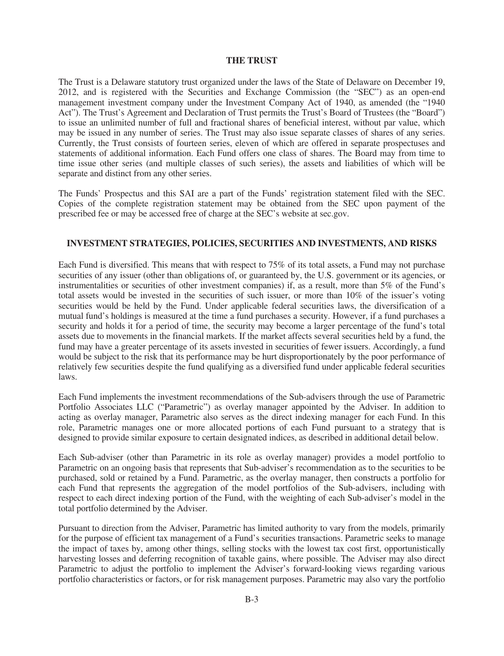#### **THE TRUST**

<span id="page-3-0"></span>The Trust is a Delaware statutory trust organized under the laws of the State of Delaware on December 19, 2012, and is registered with the Securities and Exchange Commission (the "SEC") as an open-end management investment company under the Investment Company Act of 1940, as amended (the "1940 Act"). The Trust's Agreement and Declaration of Trust permits the Trust's Board of Trustees (the "Board") to issue an unlimited number of full and fractional shares of beneficial interest, without par value, which may be issued in any number of series. The Trust may also issue separate classes of shares of any series. Currently, the Trust consists of fourteen series, eleven of which are offered in separate prospectuses and statements of additional information. Each Fund offers one class of shares. The Board may from time to time issue other series (and multiple classes of such series), the assets and liabilities of which will be separate and distinct from any other series.

The Funds' Prospectus and this SAI are a part of the Funds' registration statement filed with the SEC. Copies of the complete registration statement may be obtained from the SEC upon payment of the prescribed fee or may be accessed free of charge at the SEC's website at sec.gov.

# **INVESTMENT STRATEGIES, POLICIES, SECURITIES AND INVESTMENTS, AND RISKS**

<span id="page-3-1"></span>Each Fund is diversified. This means that with respect to 75% of its total assets, a Fund may not purchase securities of any issuer (other than obligations of, or guaranteed by, the U.S. government or its agencies, or instrumentalities or securities of other investment companies) if, as a result, more than 5% of the Fund's total assets would be invested in the securities of such issuer, or more than 10% of the issuer's voting securities would be held by the Fund. Under applicable federal securities laws, the diversification of a mutual fund's holdings is measured at the time a fund purchases a security. However, if a fund purchases a security and holds it for a period of time, the security may become a larger percentage of the fund's total assets due to movements in the financial markets. If the market affects several securities held by a fund, the fund may have a greater percentage of its assets invested in securities of fewer issuers. Accordingly, a fund would be subject to the risk that its performance may be hurt disproportionately by the poor performance of relatively few securities despite the fund qualifying as a diversified fund under applicable federal securities laws.

Each Fund implements the investment recommendations of the Sub-advisers through the use of Parametric Portfolio Associates LLC ("Parametric") as overlay manager appointed by the Adviser. In addition to acting as overlay manager, Parametric also serves as the direct indexing manager for each Fund. In this role, Parametric manages one or more allocated portions of each Fund pursuant to a strategy that is designed to provide similar exposure to certain designated indices, as described in additional detail below.

Each Sub-adviser (other than Parametric in its role as overlay manager) provides a model portfolio to Parametric on an ongoing basis that represents that Sub-adviser's recommendation as to the securities to be purchased, sold or retained by a Fund. Parametric, as the overlay manager, then constructs a portfolio for each Fund that represents the aggregation of the model portfolios of the Sub-advisers, including with respect to each direct indexing portion of the Fund, with the weighting of each Sub-adviser's model in the total portfolio determined by the Adviser.

Pursuant to direction from the Adviser, Parametric has limited authority to vary from the models, primarily for the purpose of efficient tax management of a Fund's securities transactions. Parametric seeks to manage the impact of taxes by, among other things, selling stocks with the lowest tax cost first, opportunistically harvesting losses and deferring recognition of taxable gains, where possible. The Adviser may also direct Parametric to adjust the portfolio to implement the Adviser's forward-looking views regarding various portfolio characteristics or factors, or for risk management purposes. Parametric may also vary the portfolio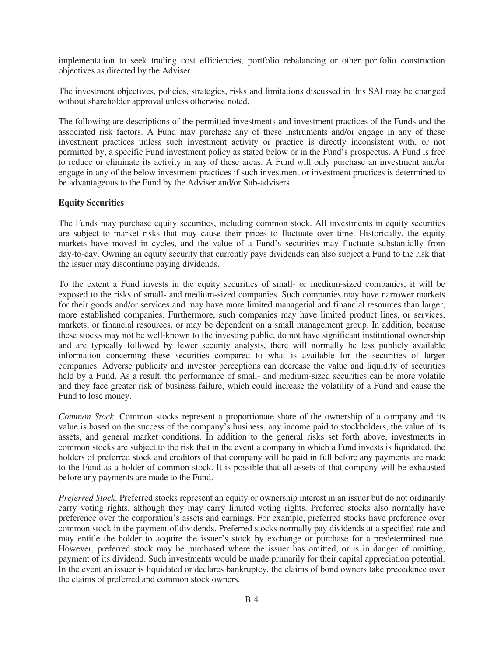implementation to seek trading cost efficiencies, portfolio rebalancing or other portfolio construction objectives as directed by the Adviser.

The investment objectives, policies, strategies, risks and limitations discussed in this SAI may be changed without shareholder approval unless otherwise noted.

The following are descriptions of the permitted investments and investment practices of the Funds and the associated risk factors. A Fund may purchase any of these instruments and/or engage in any of these investment practices unless such investment activity or practice is directly inconsistent with, or not permitted by, a specific Fund investment policy as stated below or in the Fund's prospectus. A Fund is free to reduce or eliminate its activity in any of these areas. A Fund will only purchase an investment and/or engage in any of the below investment practices if such investment or investment practices is determined to be advantageous to the Fund by the Adviser and/or Sub-advisers.

#### **Equity Securities**

The Funds may purchase equity securities, including common stock. All investments in equity securities are subject to market risks that may cause their prices to fluctuate over time. Historically, the equity markets have moved in cycles, and the value of a Fund's securities may fluctuate substantially from day-to-day. Owning an equity security that currently pays dividends can also subject a Fund to the risk that the issuer may discontinue paying dividends.

To the extent a Fund invests in the equity securities of small- or medium-sized companies, it will be exposed to the risks of small- and medium-sized companies. Such companies may have narrower markets for their goods and/or services and may have more limited managerial and financial resources than larger, more established companies. Furthermore, such companies may have limited product lines, or services, markets, or financial resources, or may be dependent on a small management group. In addition, because these stocks may not be well-known to the investing public, do not have significant institutional ownership and are typically followed by fewer security analysts, there will normally be less publicly available information concerning these securities compared to what is available for the securities of larger companies. Adverse publicity and investor perceptions can decrease the value and liquidity of securities held by a Fund. As a result, the performance of small- and medium-sized securities can be more volatile and they face greater risk of business failure, which could increase the volatility of a Fund and cause the Fund to lose money.

*Common Stock.* Common stocks represent a proportionate share of the ownership of a company and its value is based on the success of the company's business, any income paid to stockholders, the value of its assets, and general market conditions. In addition to the general risks set forth above, investments in common stocks are subject to the risk that in the event a company in which a Fund invests is liquidated, the holders of preferred stock and creditors of that company will be paid in full before any payments are made to the Fund as a holder of common stock. It is possible that all assets of that company will be exhausted before any payments are made to the Fund.

*Preferred Stock*. Preferred stocks represent an equity or ownership interest in an issuer but do not ordinarily carry voting rights, although they may carry limited voting rights. Preferred stocks also normally have preference over the corporation's assets and earnings. For example, preferred stocks have preference over common stock in the payment of dividends. Preferred stocks normally pay dividends at a specified rate and may entitle the holder to acquire the issuer's stock by exchange or purchase for a predetermined rate. However, preferred stock may be purchased where the issuer has omitted, or is in danger of omitting, payment of its dividend. Such investments would be made primarily for their capital appreciation potential. In the event an issuer is liquidated or declares bankruptcy, the claims of bond owners take precedence over the claims of preferred and common stock owners.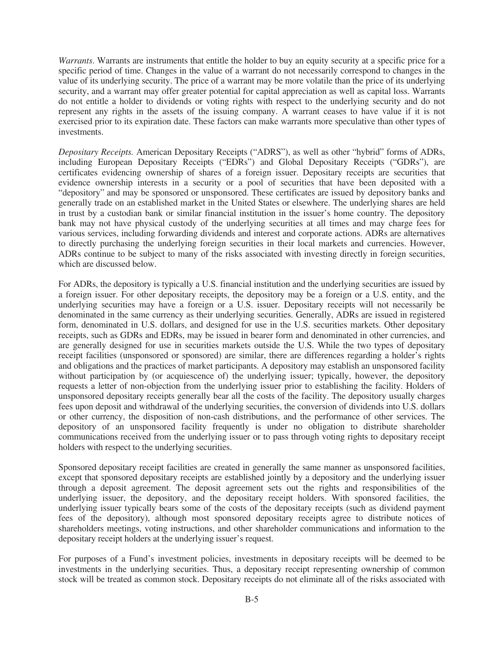*Warrants*. Warrants are instruments that entitle the holder to buy an equity security at a specific price for a specific period of time. Changes in the value of a warrant do not necessarily correspond to changes in the value of its underlying security. The price of a warrant may be more volatile than the price of its underlying security, and a warrant may offer greater potential for capital appreciation as well as capital loss. Warrants do not entitle a holder to dividends or voting rights with respect to the underlying security and do not represent any rights in the assets of the issuing company. A warrant ceases to have value if it is not exercised prior to its expiration date. These factors can make warrants more speculative than other types of investments.

*Depositary Receipts.* American Depositary Receipts ("ADRS"), as well as other "hybrid" forms of ADRs, including European Depositary Receipts ("EDRs") and Global Depositary Receipts ("GDRs"), are certificates evidencing ownership of shares of a foreign issuer. Depositary receipts are securities that evidence ownership interests in a security or a pool of securities that have been deposited with a "depository" and may be sponsored or unsponsored. These certificates are issued by depository banks and generally trade on an established market in the United States or elsewhere. The underlying shares are held in trust by a custodian bank or similar financial institution in the issuer's home country. The depository bank may not have physical custody of the underlying securities at all times and may charge fees for various services, including forwarding dividends and interest and corporate actions. ADRs are alternatives to directly purchasing the underlying foreign securities in their local markets and currencies. However, ADRs continue to be subject to many of the risks associated with investing directly in foreign securities, which are discussed below.

For ADRs, the depository is typically a U.S. financial institution and the underlying securities are issued by a foreign issuer. For other depositary receipts, the depository may be a foreign or a U.S. entity, and the underlying securities may have a foreign or a U.S. issuer. Depositary receipts will not necessarily be denominated in the same currency as their underlying securities. Generally, ADRs are issued in registered form, denominated in U.S. dollars, and designed for use in the U.S. securities markets. Other depositary receipts, such as GDRs and EDRs, may be issued in bearer form and denominated in other currencies, and are generally designed for use in securities markets outside the U.S. While the two types of depositary receipt facilities (unsponsored or sponsored) are similar, there are differences regarding a holder's rights and obligations and the practices of market participants. A depository may establish an unsponsored facility without participation by (or acquiescence of) the underlying issuer; typically, however, the depository requests a letter of non-objection from the underlying issuer prior to establishing the facility. Holders of unsponsored depositary receipts generally bear all the costs of the facility. The depository usually charges fees upon deposit and withdrawal of the underlying securities, the conversion of dividends into U.S. dollars or other currency, the disposition of non-cash distributions, and the performance of other services. The depository of an unsponsored facility frequently is under no obligation to distribute shareholder communications received from the underlying issuer or to pass through voting rights to depositary receipt holders with respect to the underlying securities.

Sponsored depositary receipt facilities are created in generally the same manner as unsponsored facilities, except that sponsored depositary receipts are established jointly by a depository and the underlying issuer through a deposit agreement. The deposit agreement sets out the rights and responsibilities of the underlying issuer, the depository, and the depositary receipt holders. With sponsored facilities, the underlying issuer typically bears some of the costs of the depositary receipts (such as dividend payment fees of the depository), although most sponsored depositary receipts agree to distribute notices of shareholders meetings, voting instructions, and other shareholder communications and information to the depositary receipt holders at the underlying issuer's request.

For purposes of a Fund's investment policies, investments in depositary receipts will be deemed to be investments in the underlying securities. Thus, a depositary receipt representing ownership of common stock will be treated as common stock. Depositary receipts do not eliminate all of the risks associated with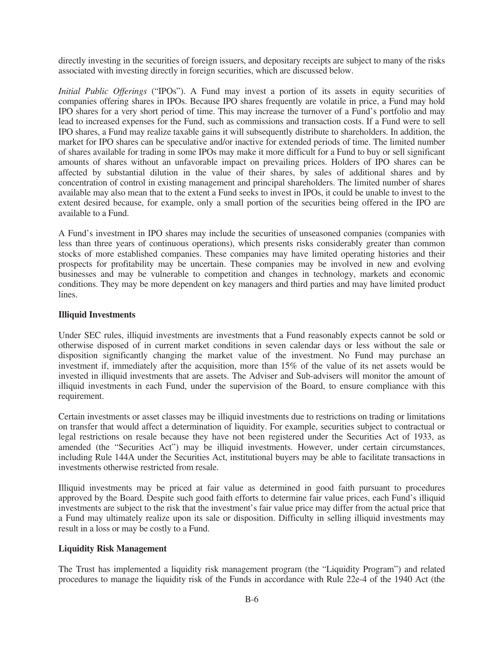directly investing in the securities of foreign issuers, and depositary receipts are subject to many of the risks associated with investing directly in foreign securities, which are discussed below.

*Initial Public Offerings* ("IPOs"). A Fund may invest a portion of its assets in equity securities of companies offering shares in IPOs. Because IPO shares frequently are volatile in price, a Fund may hold IPO shares for a very short period of time. This may increase the turnover of a Fund's portfolio and may lead to increased expenses for the Fund, such as commissions and transaction costs. If a Fund were to sell IPO shares, a Fund may realize taxable gains it will subsequently distribute to shareholders. In addition, the market for IPO shares can be speculative and/or inactive for extended periods of time. The limited number of shares available for trading in some IPOs may make it more difficult for a Fund to buy or sell significant amounts of shares without an unfavorable impact on prevailing prices. Holders of IPO shares can be affected by substantial dilution in the value of their shares, by sales of additional shares and by concentration of control in existing management and principal shareholders. The limited number of shares available may also mean that to the extent a Fund seeks to invest in IPOs, it could be unable to invest to the extent desired because, for example, only a small portion of the securities being offered in the IPO are available to a Fund.

A Fund's investment in IPO shares may include the securities of unseasoned companies (companies with less than three years of continuous operations), which presents risks considerably greater than common stocks of more established companies. These companies may have limited operating histories and their prospects for profitability may be uncertain. These companies may be involved in new and evolving businesses and may be vulnerable to competition and changes in technology, markets and economic conditions. They may be more dependent on key managers and third parties and may have limited product lines.

#### **Illiquid Investments**

Under SEC rules, illiquid investments are investments that a Fund reasonably expects cannot be sold or otherwise disposed of in current market conditions in seven calendar days or less without the sale or disposition significantly changing the market value of the investment. No Fund may purchase an investment if, immediately after the acquisition, more than 15% of the value of its net assets would be invested in illiquid investments that are assets. The Adviser and Sub-advisers will monitor the amount of illiquid investments in each Fund, under the supervision of the Board, to ensure compliance with this requirement.

Certain investments or asset classes may be illiquid investments due to restrictions on trading or limitations on transfer that would affect a determination of liquidity. For example, securities subject to contractual or legal restrictions on resale because they have not been registered under the Securities Act of 1933, as amended (the "Securities Act") may be illiquid investments. However, under certain circumstances, including Rule 144A under the Securities Act, institutional buyers may be able to facilitate transactions in investments otherwise restricted from resale.

Illiquid investments may be priced at fair value as determined in good faith pursuant to procedures approved by the Board. Despite such good faith efforts to determine fair value prices, each Fund's illiquid investments are subject to the risk that the investment's fair value price may differ from the actual price that a Fund may ultimately realize upon its sale or disposition. Difficulty in selling illiquid investments may result in a loss or may be costly to a Fund.

#### **Liquidity Risk Management**

The Trust has implemented a liquidity risk management program (the "Liquidity Program") and related procedures to manage the liquidity risk of the Funds in accordance with Rule 22e-4 of the 1940 Act (the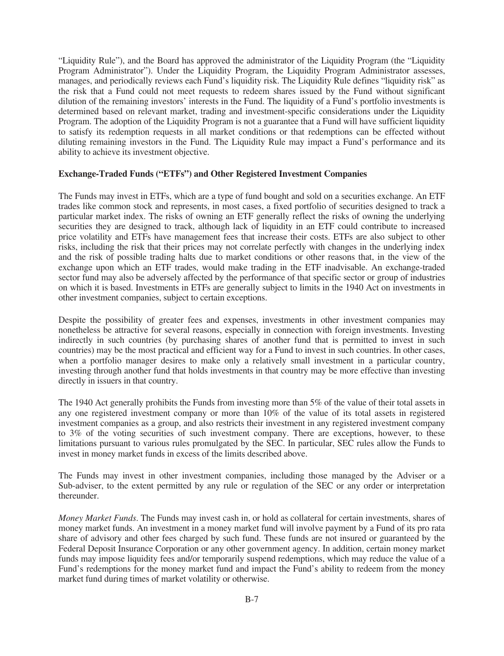"Liquidity Rule"), and the Board has approved the administrator of the Liquidity Program (the "Liquidity Program Administrator"). Under the Liquidity Program, the Liquidity Program Administrator assesses, manages, and periodically reviews each Fund's liquidity risk. The Liquidity Rule defines "liquidity risk" as the risk that a Fund could not meet requests to redeem shares issued by the Fund without significant dilution of the remaining investors' interests in the Fund. The liquidity of a Fund's portfolio investments is determined based on relevant market, trading and investment-specific considerations under the Liquidity Program. The adoption of the Liquidity Program is not a guarantee that a Fund will have sufficient liquidity to satisfy its redemption requests in all market conditions or that redemptions can be effected without diluting remaining investors in the Fund. The Liquidity Rule may impact a Fund's performance and its ability to achieve its investment objective.

#### **Exchange-Traded Funds ("ETFs") and Other Registered Investment Companies**

The Funds may invest in ETFs, which are a type of fund bought and sold on a securities exchange. An ETF trades like common stock and represents, in most cases, a fixed portfolio of securities designed to track a particular market index. The risks of owning an ETF generally reflect the risks of owning the underlying securities they are designed to track, although lack of liquidity in an ETF could contribute to increased price volatility and ETFs have management fees that increase their costs. ETFs are also subject to other risks, including the risk that their prices may not correlate perfectly with changes in the underlying index and the risk of possible trading halts due to market conditions or other reasons that, in the view of the exchange upon which an ETF trades, would make trading in the ETF inadvisable. An exchange-traded sector fund may also be adversely affected by the performance of that specific sector or group of industries on which it is based. Investments in ETFs are generally subject to limits in the 1940 Act on investments in other investment companies, subject to certain exceptions.

Despite the possibility of greater fees and expenses, investments in other investment companies may nonetheless be attractive for several reasons, especially in connection with foreign investments. Investing indirectly in such countries (by purchasing shares of another fund that is permitted to invest in such countries) may be the most practical and efficient way for a Fund to invest in such countries. In other cases, when a portfolio manager desires to make only a relatively small investment in a particular country, investing through another fund that holds investments in that country may be more effective than investing directly in issuers in that country.

The 1940 Act generally prohibits the Funds from investing more than 5% of the value of their total assets in any one registered investment company or more than 10% of the value of its total assets in registered investment companies as a group, and also restricts their investment in any registered investment company to 3% of the voting securities of such investment company. There are exceptions, however, to these limitations pursuant to various rules promulgated by the SEC. In particular, SEC rules allow the Funds to invest in money market funds in excess of the limits described above.

The Funds may invest in other investment companies, including those managed by the Adviser or a Sub-adviser, to the extent permitted by any rule or regulation of the SEC or any order or interpretation thereunder.

*Money Market Funds*. The Funds may invest cash in, or hold as collateral for certain investments, shares of money market funds. An investment in a money market fund will involve payment by a Fund of its pro rata share of advisory and other fees charged by such fund. These funds are not insured or guaranteed by the Federal Deposit Insurance Corporation or any other government agency. In addition, certain money market funds may impose liquidity fees and/or temporarily suspend redemptions, which may reduce the value of a Fund's redemptions for the money market fund and impact the Fund's ability to redeem from the money market fund during times of market volatility or otherwise.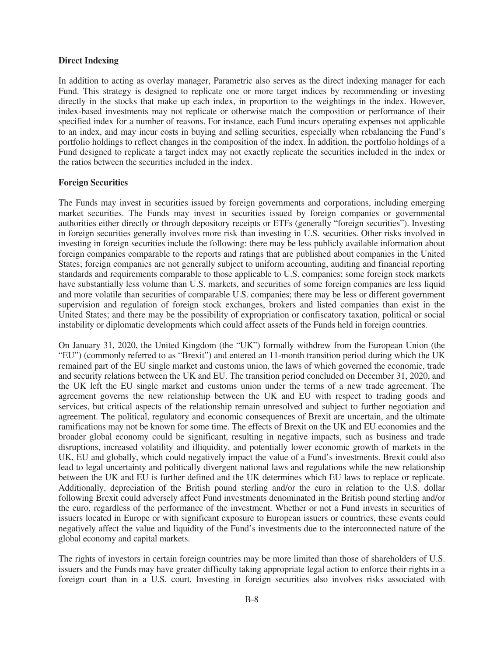#### **Direct Indexing**

In addition to acting as overlay manager, Parametric also serves as the direct indexing manager for each Fund. This strategy is designed to replicate one or more target indices by recommending or investing directly in the stocks that make up each index, in proportion to the weightings in the index. However, index-based investments may not replicate or otherwise match the composition or performance of their specified index for a number of reasons. For instance, each Fund incurs operating expenses not applicable to an index, and may incur costs in buying and selling securities, especially when rebalancing the Fund's portfolio holdings to reflect changes in the composition of the index. In addition, the portfolio holdings of a Fund designed to replicate a target index may not exactly replicate the securities included in the index or the ratios between the securities included in the index.

#### **Foreign Securities**

The Funds may invest in securities issued by foreign governments and corporations, including emerging market securities. The Funds may invest in securities issued by foreign companies or governmental authorities either directly or through depository receipts or ETFs (generally "foreign securities"). Investing in foreign securities generally involves more risk than investing in U.S. securities. Other risks involved in investing in foreign securities include the following: there may be less publicly available information about foreign companies comparable to the reports and ratings that are published about companies in the United States; foreign companies are not generally subject to uniform accounting, auditing and financial reporting standards and requirements comparable to those applicable to U.S. companies; some foreign stock markets have substantially less volume than U.S. markets, and securities of some foreign companies are less liquid and more volatile than securities of comparable U.S. companies; there may be less or different government supervision and regulation of foreign stock exchanges, brokers and listed companies than exist in the United States; and there may be the possibility of expropriation or confiscatory taxation, political or social instability or diplomatic developments which could affect assets of the Funds held in foreign countries.

On January 31, 2020, the United Kingdom (the "UK") formally withdrew from the European Union (the "EU") (commonly referred to as "Brexit") and entered an 11-month transition period during which the UK remained part of the EU single market and customs union, the laws of which governed the economic, trade and security relations between the UK and EU. The transition period concluded on December 31, 2020, and the UK left the EU single market and customs union under the terms of a new trade agreement. The agreement governs the new relationship between the UK and EU with respect to trading goods and services, but critical aspects of the relationship remain unresolved and subject to further negotiation and agreement. The political, regulatory and economic consequences of Brexit are uncertain, and the ultimate ramifications may not be known for some time. The effects of Brexit on the UK and EU economies and the broader global economy could be significant, resulting in negative impacts, such as business and trade disruptions, increased volatility and illiquidity, and potentially lower economic growth of markets in the UK, EU and globally, which could negatively impact the value of a Fund's investments. Brexit could also lead to legal uncertainty and politically divergent national laws and regulations while the new relationship between the UK and EU is further defined and the UK determines which EU laws to replace or replicate. Additionally, depreciation of the British pound sterling and/or the euro in relation to the U.S. dollar following Brexit could adversely affect Fund investments denominated in the British pound sterling and/or the euro, regardless of the performance of the investment. Whether or not a Fund invests in securities of issuers located in Europe or with significant exposure to European issuers or countries, these events could negatively affect the value and liquidity of the Fund's investments due to the interconnected nature of the global economy and capital markets.

The rights of investors in certain foreign countries may be more limited than those of shareholders of U.S. issuers and the Funds may have greater difficulty taking appropriate legal action to enforce their rights in a foreign court than in a U.S. court. Investing in foreign securities also involves risks associated with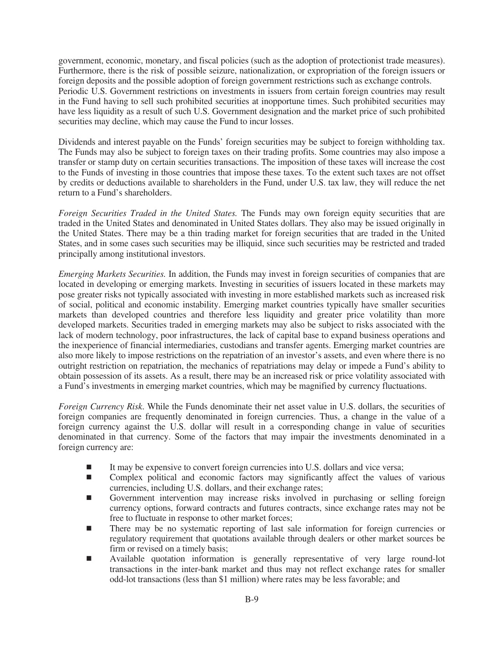government, economic, monetary, and fiscal policies (such as the adoption of protectionist trade measures). Furthermore, there is the risk of possible seizure, nationalization, or expropriation of the foreign issuers or foreign deposits and the possible adoption of foreign government restrictions such as exchange controls. Periodic U.S. Government restrictions on investments in issuers from certain foreign countries may result in the Fund having to sell such prohibited securities at inopportune times. Such prohibited securities may have less liquidity as a result of such U.S. Government designation and the market price of such prohibited securities may decline, which may cause the Fund to incur losses.

Dividends and interest payable on the Funds' foreign securities may be subject to foreign withholding tax. The Funds may also be subject to foreign taxes on their trading profits. Some countries may also impose a transfer or stamp duty on certain securities transactions. The imposition of these taxes will increase the cost to the Funds of investing in those countries that impose these taxes. To the extent such taxes are not offset by credits or deductions available to shareholders in the Fund, under U.S. tax law, they will reduce the net return to a Fund's shareholders.

*Foreign Securities Traded in the United States.* The Funds may own foreign equity securities that are traded in the United States and denominated in United States dollars. They also may be issued originally in the United States. There may be a thin trading market for foreign securities that are traded in the United States, and in some cases such securities may be illiquid, since such securities may be restricted and traded principally among institutional investors.

*Emerging Markets Securities.* In addition, the Funds may invest in foreign securities of companies that are located in developing or emerging markets. Investing in securities of issuers located in these markets may pose greater risks not typically associated with investing in more established markets such as increased risk of social, political and economic instability. Emerging market countries typically have smaller securities markets than developed countries and therefore less liquidity and greater price volatility than more developed markets. Securities traded in emerging markets may also be subject to risks associated with the lack of modern technology, poor infrastructures, the lack of capital base to expand business operations and the inexperience of financial intermediaries, custodians and transfer agents. Emerging market countries are also more likely to impose restrictions on the repatriation of an investor's assets, and even where there is no outright restriction on repatriation, the mechanics of repatriations may delay or impede a Fund's ability to obtain possession of its assets. As a result, there may be an increased risk or price volatility associated with a Fund's investments in emerging market countries, which may be magnified by currency fluctuations.

*Foreign Currency Risk*. While the Funds denominate their net asset value in U.S. dollars, the securities of foreign companies are frequently denominated in foreign currencies. Thus, a change in the value of a foreign currency against the U.S. dollar will result in a corresponding change in value of securities denominated in that currency. Some of the factors that may impair the investments denominated in a foreign currency are:

- -It may be expensive to convert foreign currencies into U.S. dollars and vice versa;
- - Complex political and economic factors may significantly affect the values of various currencies, including U.S. dollars, and their exchange rates;
- - Government intervention may increase risks involved in purchasing or selling foreign currency options, forward contracts and futures contracts, since exchange rates may not be free to fluctuate in response to other market forces;
- - There may be no systematic reporting of last sale information for foreign currencies or regulatory requirement that quotations available through dealers or other market sources be firm or revised on a timely basis;
- - Available quotation information is generally representative of very large round-lot transactions in the inter-bank market and thus may not reflect exchange rates for smaller odd-lot transactions (less than \$1 million) where rates may be less favorable; and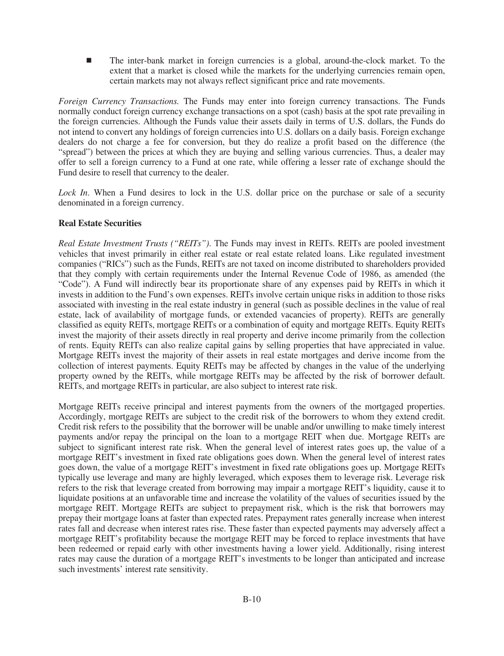- The inter-bank market in foreign currencies is a global, around-the-clock market. To the extent that a market is closed while the markets for the underlying currencies remain open, certain markets may not always reflect significant price and rate movements.

*Foreign Currency Transactions.* The Funds may enter into foreign currency transactions. The Funds normally conduct foreign currency exchange transactions on a spot (cash) basis at the spot rate prevailing in the foreign currencies. Although the Funds value their assets daily in terms of U.S. dollars, the Funds do not intend to convert any holdings of foreign currencies into U.S. dollars on a daily basis. Foreign exchange dealers do not charge a fee for conversion, but they do realize a profit based on the difference (the "spread") between the prices at which they are buying and selling various currencies. Thus, a dealer may offer to sell a foreign currency to a Fund at one rate, while offering a lesser rate of exchange should the Fund desire to resell that currency to the dealer.

*Lock In*. When a Fund desires to lock in the U.S. dollar price on the purchase or sale of a security denominated in a foreign currency.

#### **Real Estate Securities**

*Real Estate Investment Trusts ("REITs")*. The Funds may invest in REITs. REITs are pooled investment vehicles that invest primarily in either real estate or real estate related loans. Like regulated investment companies ("RICs") such as the Funds, REITs are not taxed on income distributed to shareholders provided that they comply with certain requirements under the Internal Revenue Code of 1986, as amended (the "Code"). A Fund will indirectly bear its proportionate share of any expenses paid by REITs in which it invests in addition to the Fund's own expenses. REITs involve certain unique risks in addition to those risks associated with investing in the real estate industry in general (such as possible declines in the value of real estate, lack of availability of mortgage funds, or extended vacancies of property). REITs are generally classified as equity REITs, mortgage REITs or a combination of equity and mortgage REITs. Equity REITs invest the majority of their assets directly in real property and derive income primarily from the collection of rents. Equity REITs can also realize capital gains by selling properties that have appreciated in value. Mortgage REITs invest the majority of their assets in real estate mortgages and derive income from the collection of interest payments. Equity REITs may be affected by changes in the value of the underlying property owned by the REITs, while mortgage REITs may be affected by the risk of borrower default. REITs, and mortgage REITs in particular, are also subject to interest rate risk.

Mortgage REITs receive principal and interest payments from the owners of the mortgaged properties. Accordingly, mortgage REITs are subject to the credit risk of the borrowers to whom they extend credit. Credit risk refers to the possibility that the borrower will be unable and/or unwilling to make timely interest payments and/or repay the principal on the loan to a mortgage REIT when due. Mortgage REITs are subject to significant interest rate risk. When the general level of interest rates goes up, the value of a mortgage REIT's investment in fixed rate obligations goes down. When the general level of interest rates goes down, the value of a mortgage REIT's investment in fixed rate obligations goes up. Mortgage REITs typically use leverage and many are highly leveraged, which exposes them to leverage risk. Leverage risk refers to the risk that leverage created from borrowing may impair a mortgage REIT's liquidity, cause it to liquidate positions at an unfavorable time and increase the volatility of the values of securities issued by the mortgage REIT. Mortgage REITs are subject to prepayment risk, which is the risk that borrowers may prepay their mortgage loans at faster than expected rates. Prepayment rates generally increase when interest rates fall and decrease when interest rates rise. These faster than expected payments may adversely affect a mortgage REIT's profitability because the mortgage REIT may be forced to replace investments that have been redeemed or repaid early with other investments having a lower yield. Additionally, rising interest rates may cause the duration of a mortgage REIT's investments to be longer than anticipated and increase such investments' interest rate sensitivity.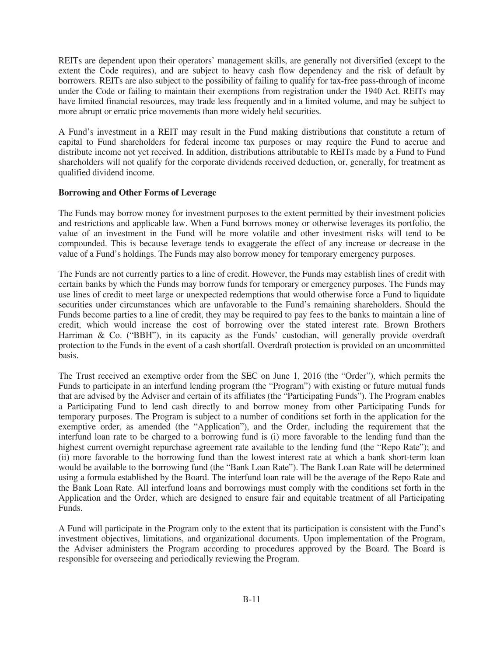REITs are dependent upon their operators' management skills, are generally not diversified (except to the extent the Code requires), and are subject to heavy cash flow dependency and the risk of default by borrowers. REITs are also subject to the possibility of failing to qualify for tax-free pass-through of income under the Code or failing to maintain their exemptions from registration under the 1940 Act. REITs may have limited financial resources, may trade less frequently and in a limited volume, and may be subject to more abrupt or erratic price movements than more widely held securities.

A Fund's investment in a REIT may result in the Fund making distributions that constitute a return of capital to Fund shareholders for federal income tax purposes or may require the Fund to accrue and distribute income not yet received. In addition, distributions attributable to REITs made by a Fund to Fund shareholders will not qualify for the corporate dividends received deduction, or, generally, for treatment as qualified dividend income.

#### **Borrowing and Other Forms of Leverage**

The Funds may borrow money for investment purposes to the extent permitted by their investment policies and restrictions and applicable law. When a Fund borrows money or otherwise leverages its portfolio, the value of an investment in the Fund will be more volatile and other investment risks will tend to be compounded. This is because leverage tends to exaggerate the effect of any increase or decrease in the value of a Fund's holdings. The Funds may also borrow money for temporary emergency purposes.

The Funds are not currently parties to a line of credit. However, the Funds may establish lines of credit with certain banks by which the Funds may borrow funds for temporary or emergency purposes. The Funds may use lines of credit to meet large or unexpected redemptions that would otherwise force a Fund to liquidate securities under circumstances which are unfavorable to the Fund's remaining shareholders. Should the Funds become parties to a line of credit, they may be required to pay fees to the banks to maintain a line of credit, which would increase the cost of borrowing over the stated interest rate. Brown Brothers Harriman & Co. ("BBH"), in its capacity as the Funds' custodian, will generally provide overdraft protection to the Funds in the event of a cash shortfall. Overdraft protection is provided on an uncommitted basis.

The Trust received an exemptive order from the SEC on June 1, 2016 (the "Order"), which permits the Funds to participate in an interfund lending program (the "Program") with existing or future mutual funds that are advised by the Adviser and certain of its affiliates (the "Participating Funds"). The Program enables a Participating Fund to lend cash directly to and borrow money from other Participating Funds for temporary purposes. The Program is subject to a number of conditions set forth in the application for the exemptive order, as amended (the "Application"), and the Order, including the requirement that the interfund loan rate to be charged to a borrowing fund is (i) more favorable to the lending fund than the highest current overnight repurchase agreement rate available to the lending fund (the "Repo Rate"); and (ii) more favorable to the borrowing fund than the lowest interest rate at which a bank short-term loan would be available to the borrowing fund (the "Bank Loan Rate"). The Bank Loan Rate will be determined using a formula established by the Board. The interfund loan rate will be the average of the Repo Rate and the Bank Loan Rate. All interfund loans and borrowings must comply with the conditions set forth in the Application and the Order, which are designed to ensure fair and equitable treatment of all Participating Funds.

A Fund will participate in the Program only to the extent that its participation is consistent with the Fund's investment objectives, limitations, and organizational documents. Upon implementation of the Program, the Adviser administers the Program according to procedures approved by the Board. The Board is responsible for overseeing and periodically reviewing the Program.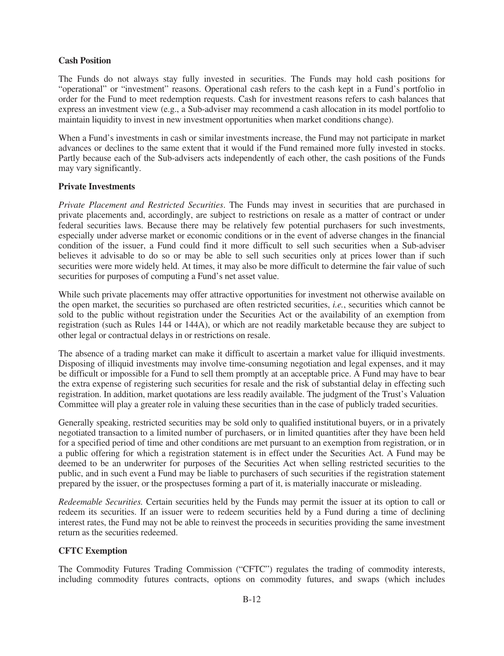# **Cash Position**

The Funds do not always stay fully invested in securities. The Funds may hold cash positions for "operational" or "investment" reasons. Operational cash refers to the cash kept in a Fund's portfolio in order for the Fund to meet redemption requests. Cash for investment reasons refers to cash balances that express an investment view (e.g., a Sub-adviser may recommend a cash allocation in its model portfolio to maintain liquidity to invest in new investment opportunities when market conditions change).

When a Fund's investments in cash or similar investments increase, the Fund may not participate in market advances or declines to the same extent that it would if the Fund remained more fully invested in stocks. Partly because each of the Sub-advisers acts independently of each other, the cash positions of the Funds may vary significantly.

#### **Private Investments**

*Private Placement and Restricted Securities*. The Funds may invest in securities that are purchased in private placements and, accordingly, are subject to restrictions on resale as a matter of contract or under federal securities laws. Because there may be relatively few potential purchasers for such investments, especially under adverse market or economic conditions or in the event of adverse changes in the financial condition of the issuer, a Fund could find it more difficult to sell such securities when a Sub-adviser believes it advisable to do so or may be able to sell such securities only at prices lower than if such securities were more widely held. At times, it may also be more difficult to determine the fair value of such securities for purposes of computing a Fund's net asset value.

While such private placements may offer attractive opportunities for investment not otherwise available on the open market, the securities so purchased are often restricted securities, *i.e.*, securities which cannot be sold to the public without registration under the Securities Act or the availability of an exemption from registration (such as Rules 144 or 144A), or which are not readily marketable because they are subject to other legal or contractual delays in or restrictions on resale.

The absence of a trading market can make it difficult to ascertain a market value for illiquid investments. Disposing of illiquid investments may involve time-consuming negotiation and legal expenses, and it may be difficult or impossible for a Fund to sell them promptly at an acceptable price. A Fund may have to bear the extra expense of registering such securities for resale and the risk of substantial delay in effecting such registration. In addition, market quotations are less readily available. The judgment of the Trust's Valuation Committee will play a greater role in valuing these securities than in the case of publicly traded securities.

Generally speaking, restricted securities may be sold only to qualified institutional buyers, or in a privately negotiated transaction to a limited number of purchasers, or in limited quantities after they have been held for a specified period of time and other conditions are met pursuant to an exemption from registration, or in a public offering for which a registration statement is in effect under the Securities Act. A Fund may be deemed to be an underwriter for purposes of the Securities Act when selling restricted securities to the public, and in such event a Fund may be liable to purchasers of such securities if the registration statement prepared by the issuer, or the prospectuses forming a part of it, is materially inaccurate or misleading.

*Redeemable Securities.* Certain securities held by the Funds may permit the issuer at its option to call or redeem its securities. If an issuer were to redeem securities held by a Fund during a time of declining interest rates, the Fund may not be able to reinvest the proceeds in securities providing the same investment return as the securities redeemed.

# **CFTC Exemption**

The Commodity Futures Trading Commission ("CFTC") regulates the trading of commodity interests, including commodity futures contracts, options on commodity futures, and swaps (which includes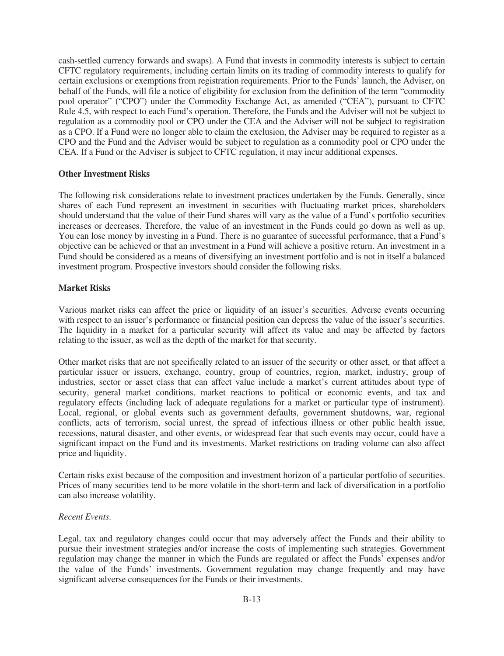cash-settled currency forwards and swaps). A Fund that invests in commodity interests is subject to certain CFTC regulatory requirements, including certain limits on its trading of commodity interests to qualify for certain exclusions or exemptions from registration requirements. Prior to the Funds' launch, the Adviser, on behalf of the Funds, will file a notice of eligibility for exclusion from the definition of the term "commodity pool operator" ("CPO") under the Commodity Exchange Act, as amended ("CEA"), pursuant to CFTC Rule 4.5, with respect to each Fund's operation. Therefore, the Funds and the Adviser will not be subject to regulation as a commodity pool or CPO under the CEA and the Adviser will not be subject to registration as a CPO. If a Fund were no longer able to claim the exclusion, the Adviser may be required to register as a CPO and the Fund and the Adviser would be subject to regulation as a commodity pool or CPO under the CEA. If a Fund or the Adviser is subject to CFTC regulation, it may incur additional expenses.

#### **Other Investment Risks**

The following risk considerations relate to investment practices undertaken by the Funds. Generally, since shares of each Fund represent an investment in securities with fluctuating market prices, shareholders should understand that the value of their Fund shares will vary as the value of a Fund's portfolio securities increases or decreases. Therefore, the value of an investment in the Funds could go down as well as up. You can lose money by investing in a Fund. There is no guarantee of successful performance, that a Fund's objective can be achieved or that an investment in a Fund will achieve a positive return. An investment in a Fund should be considered as a means of diversifying an investment portfolio and is not in itself a balanced investment program. Prospective investors should consider the following risks.

# **Market Risks**

Various market risks can affect the price or liquidity of an issuer's securities. Adverse events occurring with respect to an issuer's performance or financial position can depress the value of the issuer's securities. The liquidity in a market for a particular security will affect its value and may be affected by factors relating to the issuer, as well as the depth of the market for that security.

Other market risks that are not specifically related to an issuer of the security or other asset, or that affect a particular issuer or issuers, exchange, country, group of countries, region, market, industry, group of industries, sector or asset class that can affect value include a market's current attitudes about type of security, general market conditions, market reactions to political or economic events, and tax and regulatory effects (including lack of adequate regulations for a market or particular type of instrument). Local, regional, or global events such as government defaults, government shutdowns, war, regional conflicts, acts of terrorism, social unrest, the spread of infectious illness or other public health issue, recessions, natural disaster, and other events, or widespread fear that such events may occur, could have a significant impact on the Fund and its investments. Market restrictions on trading volume can also affect price and liquidity.

Certain risks exist because of the composition and investment horizon of a particular portfolio of securities. Prices of many securities tend to be more volatile in the short-term and lack of diversification in a portfolio can also increase volatility.

#### *Recent Events*.

Legal, tax and regulatory changes could occur that may adversely affect the Funds and their ability to pursue their investment strategies and/or increase the costs of implementing such strategies. Government regulation may change the manner in which the Funds are regulated or affect the Funds' expenses and/or the value of the Funds' investments. Government regulation may change frequently and may have significant adverse consequences for the Funds or their investments.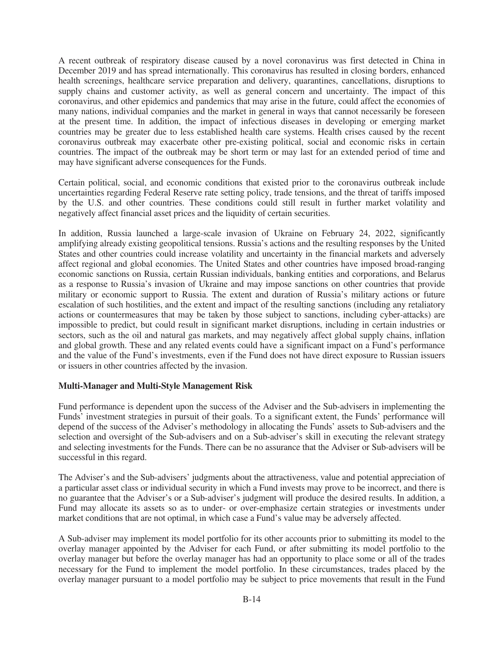A recent outbreak of respiratory disease caused by a novel coronavirus was first detected in China in December 2019 and has spread internationally. This coronavirus has resulted in closing borders, enhanced health screenings, healthcare service preparation and delivery, quarantines, cancellations, disruptions to supply chains and customer activity, as well as general concern and uncertainty. The impact of this coronavirus, and other epidemics and pandemics that may arise in the future, could affect the economies of many nations, individual companies and the market in general in ways that cannot necessarily be foreseen at the present time. In addition, the impact of infectious diseases in developing or emerging market countries may be greater due to less established health care systems. Health crises caused by the recent coronavirus outbreak may exacerbate other pre-existing political, social and economic risks in certain countries. The impact of the outbreak may be short term or may last for an extended period of time and may have significant adverse consequences for the Funds.

Certain political, social, and economic conditions that existed prior to the coronavirus outbreak include uncertainties regarding Federal Reserve rate setting policy, trade tensions, and the threat of tariffs imposed by the U.S. and other countries. These conditions could still result in further market volatility and negatively affect financial asset prices and the liquidity of certain securities.

In addition, Russia launched a large-scale invasion of Ukraine on February 24, 2022, significantly amplifying already existing geopolitical tensions. Russia's actions and the resulting responses by the United States and other countries could increase volatility and uncertainty in the financial markets and adversely affect regional and global economies. The United States and other countries have imposed broad-ranging economic sanctions on Russia, certain Russian individuals, banking entities and corporations, and Belarus as a response to Russia's invasion of Ukraine and may impose sanctions on other countries that provide military or economic support to Russia. The extent and duration of Russia's military actions or future escalation of such hostilities, and the extent and impact of the resulting sanctions (including any retaliatory actions or countermeasures that may be taken by those subject to sanctions, including cyber-attacks) are impossible to predict, but could result in significant market disruptions, including in certain industries or sectors, such as the oil and natural gas markets, and may negatively affect global supply chains, inflation and global growth. These and any related events could have a significant impact on a Fund's performance and the value of the Fund's investments, even if the Fund does not have direct exposure to Russian issuers or issuers in other countries affected by the invasion.

#### **Multi-Manager and Multi-Style Management Risk**

Fund performance is dependent upon the success of the Adviser and the Sub-advisers in implementing the Funds' investment strategies in pursuit of their goals. To a significant extent, the Funds' performance will depend of the success of the Adviser's methodology in allocating the Funds' assets to Sub-advisers and the selection and oversight of the Sub-advisers and on a Sub-adviser's skill in executing the relevant strategy and selecting investments for the Funds. There can be no assurance that the Adviser or Sub-advisers will be successful in this regard.

The Adviser's and the Sub-advisers' judgments about the attractiveness, value and potential appreciation of a particular asset class or individual security in which a Fund invests may prove to be incorrect, and there is no guarantee that the Adviser's or a Sub-adviser's judgment will produce the desired results. In addition, a Fund may allocate its assets so as to under- or over-emphasize certain strategies or investments under market conditions that are not optimal, in which case a Fund's value may be adversely affected.

A Sub-adviser may implement its model portfolio for its other accounts prior to submitting its model to the overlay manager appointed by the Adviser for each Fund, or after submitting its model portfolio to the overlay manager but before the overlay manager has had an opportunity to place some or all of the trades necessary for the Fund to implement the model portfolio. In these circumstances, trades placed by the overlay manager pursuant to a model portfolio may be subject to price movements that result in the Fund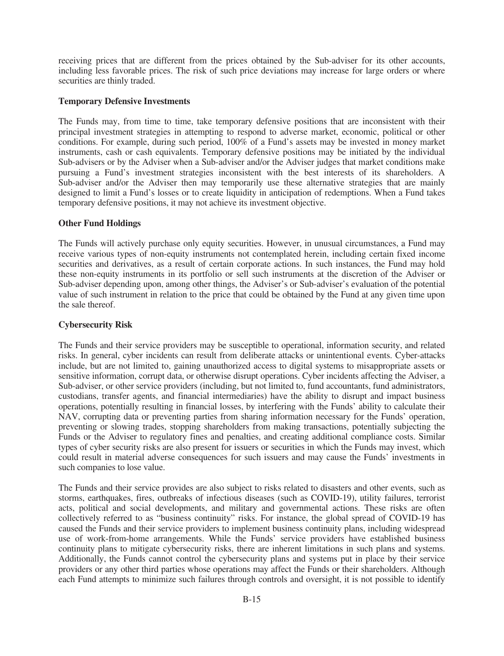receiving prices that are different from the prices obtained by the Sub-adviser for its other accounts, including less favorable prices. The risk of such price deviations may increase for large orders or where securities are thinly traded.

#### **Temporary Defensive Investments**

The Funds may, from time to time, take temporary defensive positions that are inconsistent with their principal investment strategies in attempting to respond to adverse market, economic, political or other conditions. For example, during such period, 100% of a Fund's assets may be invested in money market instruments, cash or cash equivalents. Temporary defensive positions may be initiated by the individual Sub-advisers or by the Adviser when a Sub-adviser and/or the Adviser judges that market conditions make pursuing a Fund's investment strategies inconsistent with the best interests of its shareholders. A Sub-adviser and/or the Adviser then may temporarily use these alternative strategies that are mainly designed to limit a Fund's losses or to create liquidity in anticipation of redemptions. When a Fund takes temporary defensive positions, it may not achieve its investment objective.

# **Other Fund Holdings**

The Funds will actively purchase only equity securities. However, in unusual circumstances, a Fund may receive various types of non-equity instruments not contemplated herein, including certain fixed income securities and derivatives, as a result of certain corporate actions. In such instances, the Fund may hold these non-equity instruments in its portfolio or sell such instruments at the discretion of the Adviser or Sub-adviser depending upon, among other things, the Adviser's or Sub-adviser's evaluation of the potential value of such instrument in relation to the price that could be obtained by the Fund at any given time upon the sale thereof.

# **Cybersecurity Risk**

The Funds and their service providers may be susceptible to operational, information security, and related risks. In general, cyber incidents can result from deliberate attacks or unintentional events. Cyber-attacks include, but are not limited to, gaining unauthorized access to digital systems to misappropriate assets or sensitive information, corrupt data, or otherwise disrupt operations. Cyber incidents affecting the Adviser, a Sub-adviser, or other service providers (including, but not limited to, fund accountants, fund administrators, custodians, transfer agents, and financial intermediaries) have the ability to disrupt and impact business operations, potentially resulting in financial losses, by interfering with the Funds' ability to calculate their NAV, corrupting data or preventing parties from sharing information necessary for the Funds' operation, preventing or slowing trades, stopping shareholders from making transactions, potentially subjecting the Funds or the Adviser to regulatory fines and penalties, and creating additional compliance costs. Similar types of cyber security risks are also present for issuers or securities in which the Funds may invest, which could result in material adverse consequences for such issuers and may cause the Funds' investments in such companies to lose value.

The Funds and their service provides are also subject to risks related to disasters and other events, such as storms, earthquakes, fires, outbreaks of infectious diseases (such as COVID-19), utility failures, terrorist acts, political and social developments, and military and governmental actions. These risks are often collectively referred to as "business continuity" risks. For instance, the global spread of COVID-19 has caused the Funds and their service providers to implement business continuity plans, including widespread use of work-from-home arrangements. While the Funds' service providers have established business continuity plans to mitigate cybersecurity risks, there are inherent limitations in such plans and systems. Additionally, the Funds cannot control the cybersecurity plans and systems put in place by their service providers or any other third parties whose operations may affect the Funds or their shareholders. Although each Fund attempts to minimize such failures through controls and oversight, it is not possible to identify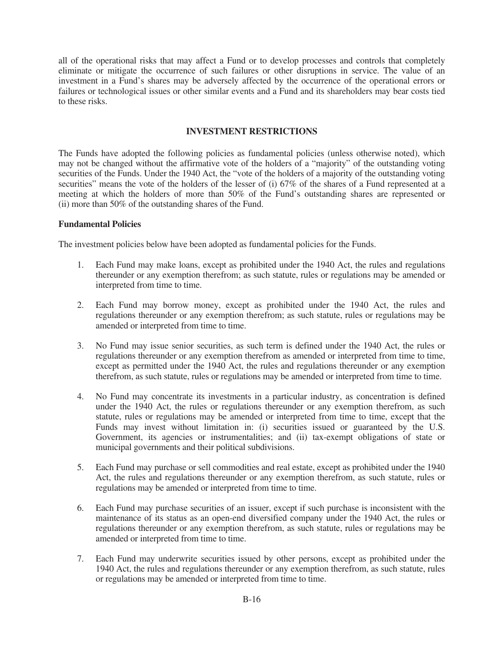all of the operational risks that may affect a Fund or to develop processes and controls that completely eliminate or mitigate the occurrence of such failures or other disruptions in service. The value of an investment in a Fund's shares may be adversely affected by the occurrence of the operational errors or failures or technological issues or other similar events and a Fund and its shareholders may bear costs tied to these risks.

# **INVESTMENT RESTRICTIONS**

<span id="page-16-0"></span>The Funds have adopted the following policies as fundamental policies (unless otherwise noted), which may not be changed without the affirmative vote of the holders of a "majority" of the outstanding voting securities of the Funds. Under the 1940 Act, the "vote of the holders of a majority of the outstanding voting securities" means the vote of the holders of the lesser of (i) 67% of the shares of a Fund represented at a meeting at which the holders of more than 50% of the Fund's outstanding shares are represented or (ii) more than 50% of the outstanding shares of the Fund.

# **Fundamental Policies**

The investment policies below have been adopted as fundamental policies for the Funds.

- 1. Each Fund may make loans, except as prohibited under the 1940 Act, the rules and regulations thereunder or any exemption therefrom; as such statute, rules or regulations may be amended or interpreted from time to time.
- 2. Each Fund may borrow money, except as prohibited under the 1940 Act, the rules and regulations thereunder or any exemption therefrom; as such statute, rules or regulations may be amended or interpreted from time to time.
- 3. No Fund may issue senior securities, as such term is defined under the 1940 Act, the rules or regulations thereunder or any exemption therefrom as amended or interpreted from time to time, except as permitted under the 1940 Act, the rules and regulations thereunder or any exemption therefrom, as such statute, rules or regulations may be amended or interpreted from time to time.
- 4. No Fund may concentrate its investments in a particular industry, as concentration is defined under the 1940 Act, the rules or regulations thereunder or any exemption therefrom, as such statute, rules or regulations may be amended or interpreted from time to time, except that the Funds may invest without limitation in: (i) securities issued or guaranteed by the U.S. Government, its agencies or instrumentalities; and (ii) tax-exempt obligations of state or municipal governments and their political subdivisions.
- 5. Each Fund may purchase or sell commodities and real estate, except as prohibited under the 1940 Act, the rules and regulations thereunder or any exemption therefrom, as such statute, rules or regulations may be amended or interpreted from time to time.
- 6. Each Fund may purchase securities of an issuer, except if such purchase is inconsistent with the maintenance of its status as an open-end diversified company under the 1940 Act, the rules or regulations thereunder or any exemption therefrom, as such statute, rules or regulations may be amended or interpreted from time to time.
- 7. Each Fund may underwrite securities issued by other persons, except as prohibited under the 1940 Act, the rules and regulations thereunder or any exemption therefrom, as such statute, rules or regulations may be amended or interpreted from time to time.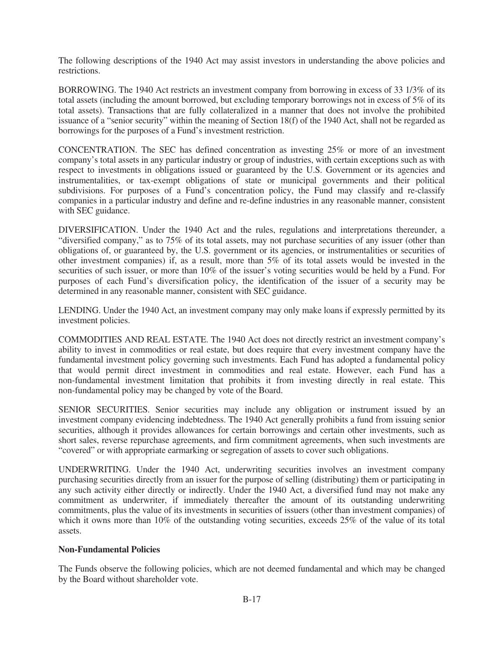The following descriptions of the 1940 Act may assist investors in understanding the above policies and restrictions.

BORROWING. The 1940 Act restricts an investment company from borrowing in excess of 33 1/3% of its total assets (including the amount borrowed, but excluding temporary borrowings not in excess of 5% of its total assets). Transactions that are fully collateralized in a manner that does not involve the prohibited issuance of a "senior security" within the meaning of Section 18(f) of the 1940 Act, shall not be regarded as borrowings for the purposes of a Fund's investment restriction.

CONCENTRATION. The SEC has defined concentration as investing 25% or more of an investment company's total assets in any particular industry or group of industries, with certain exceptions such as with respect to investments in obligations issued or guaranteed by the U.S. Government or its agencies and instrumentalities, or tax-exempt obligations of state or municipal governments and their political subdivisions. For purposes of a Fund's concentration policy, the Fund may classify and re-classify companies in a particular industry and define and re-define industries in any reasonable manner, consistent with SEC guidance.

DIVERSIFICATION. Under the 1940 Act and the rules, regulations and interpretations thereunder, a "diversified company," as to 75% of its total assets, may not purchase securities of any issuer (other than obligations of, or guaranteed by, the U.S. government or its agencies, or instrumentalities or securities of other investment companies) if, as a result, more than 5% of its total assets would be invested in the securities of such issuer, or more than 10% of the issuer's voting securities would be held by a Fund. For purposes of each Fund's diversification policy, the identification of the issuer of a security may be determined in any reasonable manner, consistent with SEC guidance.

LENDING. Under the 1940 Act, an investment company may only make loans if expressly permitted by its investment policies.

COMMODITIES AND REAL ESTATE. The 1940 Act does not directly restrict an investment company's ability to invest in commodities or real estate, but does require that every investment company have the fundamental investment policy governing such investments. Each Fund has adopted a fundamental policy that would permit direct investment in commodities and real estate. However, each Fund has a non-fundamental investment limitation that prohibits it from investing directly in real estate. This non-fundamental policy may be changed by vote of the Board.

SENIOR SECURITIES. Senior securities may include any obligation or instrument issued by an investment company evidencing indebtedness. The 1940 Act generally prohibits a fund from issuing senior securities, although it provides allowances for certain borrowings and certain other investments, such as short sales, reverse repurchase agreements, and firm commitment agreements, when such investments are "covered" or with appropriate earmarking or segregation of assets to cover such obligations.

UNDERWRITING. Under the 1940 Act, underwriting securities involves an investment company purchasing securities directly from an issuer for the purpose of selling (distributing) them or participating in any such activity either directly or indirectly. Under the 1940 Act, a diversified fund may not make any commitment as underwriter, if immediately thereafter the amount of its outstanding underwriting commitments, plus the value of its investments in securities of issuers (other than investment companies) of which it owns more than 10% of the outstanding voting securities, exceeds 25% of the value of its total assets.

# **Non-Fundamental Policies**

The Funds observe the following policies, which are not deemed fundamental and which may be changed by the Board without shareholder vote.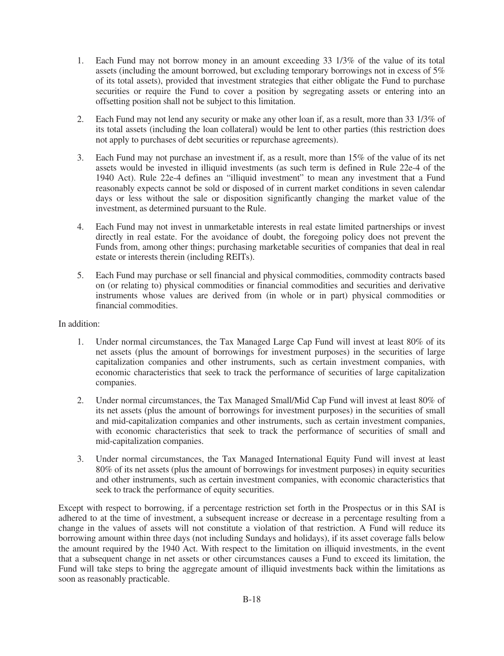- 1. Each Fund may not borrow money in an amount exceeding 33 1/3% of the value of its total assets (including the amount borrowed, but excluding temporary borrowings not in excess of 5% of its total assets), provided that investment strategies that either obligate the Fund to purchase securities or require the Fund to cover a position by segregating assets or entering into an offsetting position shall not be subject to this limitation.
- 2. Each Fund may not lend any security or make any other loan if, as a result, more than 33 1/3% of its total assets (including the loan collateral) would be lent to other parties (this restriction does not apply to purchases of debt securities or repurchase agreements).
- 3. Each Fund may not purchase an investment if, as a result, more than 15% of the value of its net assets would be invested in illiquid investments (as such term is defined in Rule 22e-4 of the 1940 Act). Rule 22e-4 defines an "illiquid investment" to mean any investment that a Fund reasonably expects cannot be sold or disposed of in current market conditions in seven calendar days or less without the sale or disposition significantly changing the market value of the investment, as determined pursuant to the Rule.
- 4. Each Fund may not invest in unmarketable interests in real estate limited partnerships or invest directly in real estate. For the avoidance of doubt, the foregoing policy does not prevent the Funds from, among other things; purchasing marketable securities of companies that deal in real estate or interests therein (including REITs).
- 5. Each Fund may purchase or sell financial and physical commodities, commodity contracts based on (or relating to) physical commodities or financial commodities and securities and derivative instruments whose values are derived from (in whole or in part) physical commodities or financial commodities.

#### In addition:

- 1. Under normal circumstances, the Tax Managed Large Cap Fund will invest at least 80% of its net assets (plus the amount of borrowings for investment purposes) in the securities of large capitalization companies and other instruments, such as certain investment companies, with economic characteristics that seek to track the performance of securities of large capitalization companies.
- 2. Under normal circumstances, the Tax Managed Small/Mid Cap Fund will invest at least 80% of its net assets (plus the amount of borrowings for investment purposes) in the securities of small and mid-capitalization companies and other instruments, such as certain investment companies, with economic characteristics that seek to track the performance of securities of small and mid-capitalization companies.
- 3. Under normal circumstances, the Tax Managed International Equity Fund will invest at least 80% of its net assets (plus the amount of borrowings for investment purposes) in equity securities and other instruments, such as certain investment companies, with economic characteristics that seek to track the performance of equity securities.

Except with respect to borrowing, if a percentage restriction set forth in the Prospectus or in this SAI is adhered to at the time of investment, a subsequent increase or decrease in a percentage resulting from a change in the values of assets will not constitute a violation of that restriction. A Fund will reduce its borrowing amount within three days (not including Sundays and holidays), if its asset coverage falls below the amount required by the 1940 Act. With respect to the limitation on illiquid investments, in the event that a subsequent change in net assets or other circumstances causes a Fund to exceed its limitation, the Fund will take steps to bring the aggregate amount of illiquid investments back within the limitations as soon as reasonably practicable.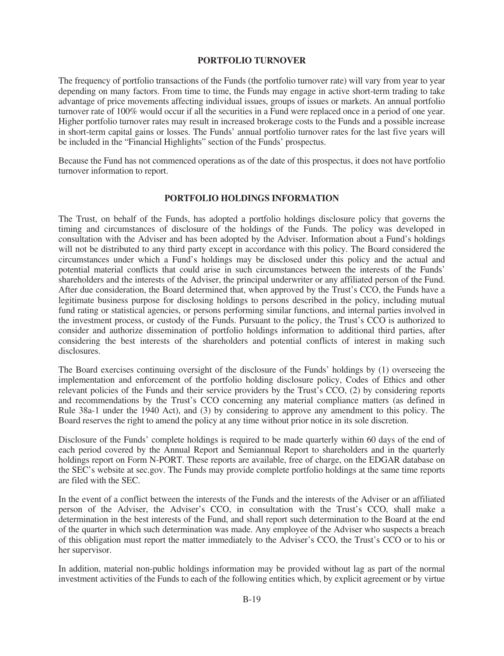#### **PORTFOLIO TURNOVER**

<span id="page-19-0"></span>The frequency of portfolio transactions of the Funds (the portfolio turnover rate) will vary from year to year depending on many factors. From time to time, the Funds may engage in active short-term trading to take advantage of price movements affecting individual issues, groups of issues or markets. An annual portfolio turnover rate of 100% would occur if all the securities in a Fund were replaced once in a period of one year. Higher portfolio turnover rates may result in increased brokerage costs to the Funds and a possible increase in short-term capital gains or losses. The Funds' annual portfolio turnover rates for the last five years will be included in the "Financial Highlights" section of the Funds' prospectus.

Because the Fund has not commenced operations as of the date of this prospectus, it does not have portfolio turnover information to report.

#### **PORTFOLIO HOLDINGS INFORMATION**

<span id="page-19-1"></span>The Trust, on behalf of the Funds, has adopted a portfolio holdings disclosure policy that governs the timing and circumstances of disclosure of the holdings of the Funds. The policy was developed in consultation with the Adviser and has been adopted by the Adviser. Information about a Fund's holdings will not be distributed to any third party except in accordance with this policy. The Board considered the circumstances under which a Fund's holdings may be disclosed under this policy and the actual and potential material conflicts that could arise in such circumstances between the interests of the Funds' shareholders and the interests of the Adviser, the principal underwriter or any affiliated person of the Fund. After due consideration, the Board determined that, when approved by the Trust's CCO, the Funds have a legitimate business purpose for disclosing holdings to persons described in the policy, including mutual fund rating or statistical agencies, or persons performing similar functions, and internal parties involved in the investment process, or custody of the Funds. Pursuant to the policy, the Trust's CCO is authorized to consider and authorize dissemination of portfolio holdings information to additional third parties, after considering the best interests of the shareholders and potential conflicts of interest in making such disclosures.

The Board exercises continuing oversight of the disclosure of the Funds' holdings by (1) overseeing the implementation and enforcement of the portfolio holding disclosure policy, Codes of Ethics and other relevant policies of the Funds and their service providers by the Trust's CCO, (2) by considering reports and recommendations by the Trust's CCO concerning any material compliance matters (as defined in Rule 38a-1 under the 1940 Act), and (3) by considering to approve any amendment to this policy. The Board reserves the right to amend the policy at any time without prior notice in its sole discretion.

Disclosure of the Funds' complete holdings is required to be made quarterly within 60 days of the end of each period covered by the Annual Report and Semiannual Report to shareholders and in the quarterly holdings report on Form N-PORT. These reports are available, free of charge, on the EDGAR database on the SEC's website at sec.gov. The Funds may provide complete portfolio holdings at the same time reports are filed with the SEC.

In the event of a conflict between the interests of the Funds and the interests of the Adviser or an affiliated person of the Adviser, the Adviser's CCO, in consultation with the Trust's CCO, shall make a determination in the best interests of the Fund, and shall report such determination to the Board at the end of the quarter in which such determination was made. Any employee of the Adviser who suspects a breach of this obligation must report the matter immediately to the Adviser's CCO, the Trust's CCO or to his or her supervisor.

In addition, material non-public holdings information may be provided without lag as part of the normal investment activities of the Funds to each of the following entities which, by explicit agreement or by virtue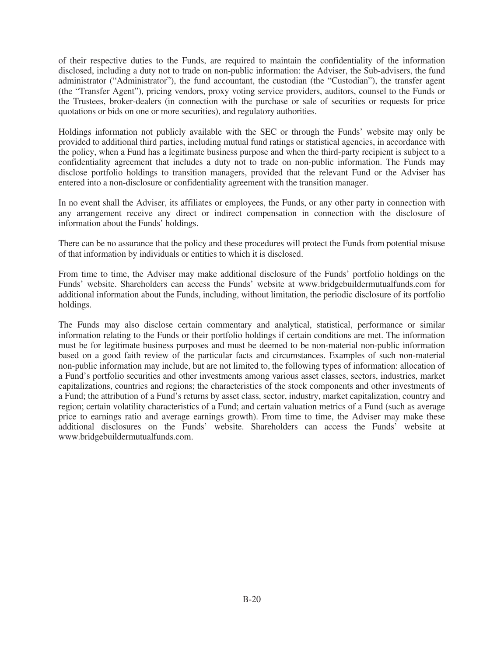of their respective duties to the Funds, are required to maintain the confidentiality of the information disclosed, including a duty not to trade on non-public information: the Adviser, the Sub-advisers, the fund administrator ("Administrator"), the fund accountant, the custodian (the "Custodian"), the transfer agent (the "Transfer Agent"), pricing vendors, proxy voting service providers, auditors, counsel to the Funds or the Trustees, broker-dealers (in connection with the purchase or sale of securities or requests for price quotations or bids on one or more securities), and regulatory authorities.

Holdings information not publicly available with the SEC or through the Funds' website may only be provided to additional third parties, including mutual fund ratings or statistical agencies, in accordance with the policy, when a Fund has a legitimate business purpose and when the third-party recipient is subject to a confidentiality agreement that includes a duty not to trade on non-public information. The Funds may disclose portfolio holdings to transition managers, provided that the relevant Fund or the Adviser has entered into a non-disclosure or confidentiality agreement with the transition manager.

In no event shall the Adviser, its affiliates or employees, the Funds, or any other party in connection with any arrangement receive any direct or indirect compensation in connection with the disclosure of information about the Funds' holdings.

There can be no assurance that the policy and these procedures will protect the Funds from potential misuse of that information by individuals or entities to which it is disclosed.

From time to time, the Adviser may make additional disclosure of the Funds' portfolio holdings on the Funds' website. Shareholders can access the Funds' website at www.bridgebuildermutualfunds.com for additional information about the Funds, including, without limitation, the periodic disclosure of its portfolio holdings.

The Funds may also disclose certain commentary and analytical, statistical, performance or similar information relating to the Funds or their portfolio holdings if certain conditions are met. The information must be for legitimate business purposes and must be deemed to be non-material non-public information based on a good faith review of the particular facts and circumstances. Examples of such non-material non-public information may include, but are not limited to, the following types of information: allocation of a Fund's portfolio securities and other investments among various asset classes, sectors, industries, market capitalizations, countries and regions; the characteristics of the stock components and other investments of a Fund; the attribution of a Fund's returns by asset class, sector, industry, market capitalization, country and region; certain volatility characteristics of a Fund; and certain valuation metrics of a Fund (such as average price to earnings ratio and average earnings growth). From time to time, the Adviser may make these additional disclosures on the Funds' website. Shareholders can access the Funds' website at www.bridgebuildermutualfunds.com.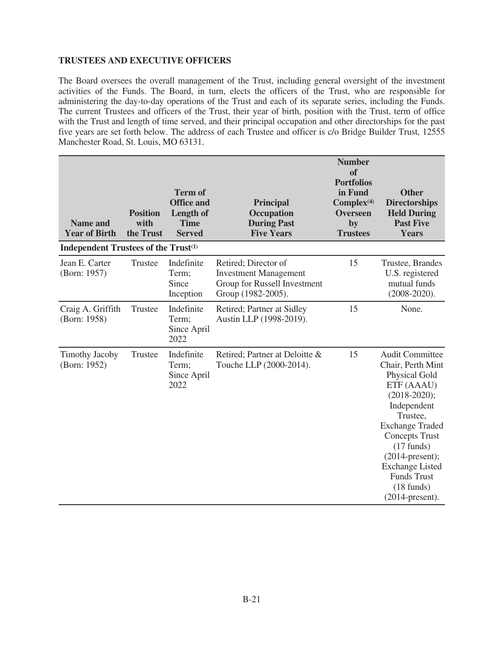# <span id="page-21-0"></span>**TRUSTEES AND EXECUTIVE OFFICERS**

The Board oversees the overall management of the Trust, including general oversight of the investment activities of the Funds. The Board, in turn, elects the officers of the Trust, who are responsible for administering the day-to-day operations of the Trust and each of its separate series, including the Funds. The current Trustees and officers of the Trust, their year of birth, position with the Trust, term of office with the Trust and length of time served, and their principal occupation and other directorships for the past five years are set forth below. The address of each Trustee and officer is c/o Bridge Builder Trust, 12555 Manchester Road, St. Louis, MO 63131.

| <b>Name and</b><br><b>Year of Birth</b>          | <b>Position</b><br>with<br>the Trust | <b>Term of</b><br><b>Office and</b><br>Length of<br><b>Time</b><br><b>Served</b> | <b>Principal</b><br>Occupation<br><b>During Past</b><br><b>Five Years</b>                                  | <b>Number</b><br><b>of</b><br><b>Portfolios</b><br>in Fund<br>Complex <sup>(4)</sup><br><b>Overseen</b><br>by<br><b>Trustees</b> | <b>Other</b><br><b>Directorships</b><br><b>Held During</b><br><b>Past Five</b><br><b>Years</b>                                                                                                                                                                                                                                  |
|--------------------------------------------------|--------------------------------------|----------------------------------------------------------------------------------|------------------------------------------------------------------------------------------------------------|----------------------------------------------------------------------------------------------------------------------------------|---------------------------------------------------------------------------------------------------------------------------------------------------------------------------------------------------------------------------------------------------------------------------------------------------------------------------------|
| Independent Trustees of the Trust <sup>(1)</sup> |                                      |                                                                                  |                                                                                                            |                                                                                                                                  |                                                                                                                                                                                                                                                                                                                                 |
| Jean E. Carter<br>(Born: 1957)                   | <b>Trustee</b>                       | Indefinite<br>Term;<br>Since<br>Inception                                        | Retired; Director of<br><b>Investment Management</b><br>Group for Russell Investment<br>Group (1982-2005). | 15                                                                                                                               | Trustee, Brandes<br>U.S. registered<br>mutual funds<br>$(2008 - 2020)$ .                                                                                                                                                                                                                                                        |
| Craig A. Griffith<br>(Born: 1958)                | Trustee                              | Indefinite<br>Term;<br>Since April<br>2022                                       | Retired; Partner at Sidley<br>Austin LLP (1998-2019).                                                      | 15                                                                                                                               | None.                                                                                                                                                                                                                                                                                                                           |
| <b>Timothy Jacoby</b><br>(Born: 1952)            | Trustee                              | Indefinite<br>Term;<br>Since April<br>2022                                       | Retired; Partner at Deloitte &<br>Touche LLP (2000-2014).                                                  | 15                                                                                                                               | <b>Audit Committee</b><br>Chair, Perth Mint<br><b>Physical Gold</b><br>ETF (AAAU)<br>$(2018 - 2020);$<br>Independent<br>Trustee,<br><b>Exchange Traded</b><br><b>Concepts Trust</b><br>$(17 \text{ funds})$<br>$(2014$ -present);<br><b>Exchange Listed</b><br><b>Funds Trust</b><br>$(18 \text{ funds})$<br>$(2014$ -present). |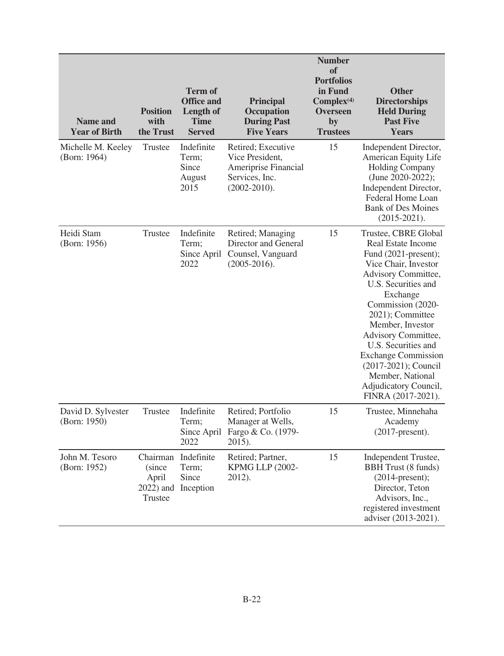| <b>Name and</b><br><b>Year of Birth</b> | <b>Position</b><br>with<br>the Trust                    | <b>Term of</b><br><b>Office and</b><br>Length of<br><b>Time</b><br><b>Served</b> | <b>Principal</b><br><b>Occupation</b><br><b>During Past</b><br><b>Five Years</b>                    | <b>Number</b><br><b>of</b><br><b>Portfolios</b><br>in Fund<br>Complex <sup>(4)</sup><br><b>Overseen</b><br>by<br><b>Trustees</b> | <b>Other</b><br><b>Directorships</b><br><b>Held During</b><br><b>Past Five</b><br><b>Years</b>                                                                                                                                                                                                                                                                                           |
|-----------------------------------------|---------------------------------------------------------|----------------------------------------------------------------------------------|-----------------------------------------------------------------------------------------------------|----------------------------------------------------------------------------------------------------------------------------------|------------------------------------------------------------------------------------------------------------------------------------------------------------------------------------------------------------------------------------------------------------------------------------------------------------------------------------------------------------------------------------------|
| Michelle M. Keeley<br>(Born: 1964)      | Trustee                                                 | Indefinite<br>Term;<br>Since<br>August<br>2015                                   | Retired; Executive<br>Vice President,<br>Ameriprise Financial<br>Services, Inc.<br>$(2002 - 2010).$ | 15                                                                                                                               | Independent Director,<br>American Equity Life<br><b>Holding Company</b><br>(June 2020-2022);<br>Independent Director,<br>Federal Home Loan<br><b>Bank of Des Moines</b><br>$(2015 - 2021).$                                                                                                                                                                                              |
| Heidi Stam<br>(Born: 1956)              | Trustee                                                 | Indefinite<br>Term;<br>Since April<br>2022                                       | Retired; Managing<br>Director and General<br>Counsel, Vanguard<br>$(2005-2016).$                    | 15                                                                                                                               | Trustee, CBRE Global<br>Real Estate Income<br>Fund (2021-present);<br>Vice Chair, Investor<br>Advisory Committee,<br>U.S. Securities and<br>Exchange<br>Commission (2020-<br>2021); Committee<br>Member, Investor<br>Advisory Committee,<br>U.S. Securities and<br><b>Exchange Commission</b><br>(2017-2021); Council<br>Member, National<br>Adjudicatory Council,<br>FINRA (2017-2021). |
| David D. Sylvester<br>(Born: 1950)      | Trustee                                                 | Indefinite<br>Term;<br>2022                                                      | Retired; Portfolio<br>Manager at Wells,<br>Since April Fargo & Co. (1979-<br>2015).                 | 15                                                                                                                               | Trustee, Minnehaha<br>Academy<br>$(2017$ -present).                                                                                                                                                                                                                                                                                                                                      |
| John M. Tesoro<br>(Born: 1952)          | Chairman<br>(since)<br>April<br>$2022$ ) and<br>Trustee | Indefinite<br>Term;<br>Since<br>Inception                                        | Retired; Partner,<br><b>KPMG LLP (2002-</b><br>2012).                                               | 15                                                                                                                               | Independent Trustee,<br><b>BBH</b> Trust (8 funds)<br>$(2014$ -present);<br>Director, Teton<br>Advisors, Inc.,<br>registered investment<br>adviser (2013-2021).                                                                                                                                                                                                                          |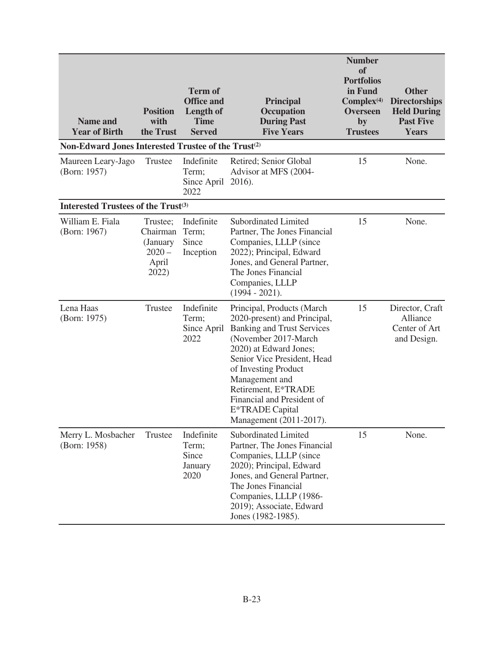| <b>Name and</b><br><b>Year of Birth</b>                         | <b>Position</b><br>with<br>the Trust                           | <b>Term of</b><br><b>Office and</b><br>Length of<br><b>Time</b><br><b>Served</b> | <b>Principal</b><br><b>Occupation</b><br><b>During Past</b><br><b>Five Years</b>                                                                                                                                                                                                                                               | <b>Number</b><br>of<br><b>Portfolios</b><br>in Fund<br>Complex <sup>(4)</sup><br><b>Overseen</b><br>by<br><b>Trustees</b> | <b>Other</b><br><b>Directorships</b><br><b>Held During</b><br><b>Past Five</b><br><b>Years</b> |
|-----------------------------------------------------------------|----------------------------------------------------------------|----------------------------------------------------------------------------------|--------------------------------------------------------------------------------------------------------------------------------------------------------------------------------------------------------------------------------------------------------------------------------------------------------------------------------|---------------------------------------------------------------------------------------------------------------------------|------------------------------------------------------------------------------------------------|
| Non-Edward Jones Interested Trustee of the Trust <sup>(2)</sup> |                                                                |                                                                                  |                                                                                                                                                                                                                                                                                                                                |                                                                                                                           |                                                                                                |
| Maureen Leary-Jago<br>(Born: 1957)                              | Trustee                                                        | Indefinite<br>Term;<br>Since April 2016).<br>2022                                | Retired; Senior Global<br>Advisor at MFS (2004-                                                                                                                                                                                                                                                                                | 15                                                                                                                        | None.                                                                                          |
| Interested Trustees of the Trust <sup>(3)</sup>                 |                                                                |                                                                                  |                                                                                                                                                                                                                                                                                                                                |                                                                                                                           |                                                                                                |
| William E. Fiala<br>(Born: 1967)                                | Trustee;<br>Chairman<br>(January<br>$2020 -$<br>April<br>2022) | Indefinite<br>Term;<br>Since<br>Inception                                        | <b>Subordinated Limited</b><br>Partner, The Jones Financial<br>Companies, LLLP (since<br>2022); Principal, Edward<br>Jones, and General Partner,<br>The Jones Financial<br>Companies, LLLP<br>$(1994 - 2021)$ .                                                                                                                | 15                                                                                                                        | None.                                                                                          |
| Lena Haas<br>(Born: 1975)                                       | Trustee                                                        | Indefinite<br>Term;<br>Since April<br>2022                                       | Principal, Products (March)<br>2020-present) and Principal,<br><b>Banking and Trust Services</b><br>(November 2017-March<br>2020) at Edward Jones;<br>Senior Vice President, Head<br>of Investing Product<br>Management and<br>Retirement, E*TRADE<br>Financial and President of<br>E*TRADE Capital<br>Management (2011-2017). | 15                                                                                                                        | Director, Craft<br>Alliance<br>Center of Art<br>and Design.                                    |
| Merry L. Mosbacher<br>(Born: 1958)                              | Trustee                                                        | Indefinite<br>Term;<br>Since<br>January<br>2020                                  | Subordinated Limited<br>Partner, The Jones Financial<br>Companies, LLLP (since<br>2020); Principal, Edward<br>Jones, and General Partner,<br>The Jones Financial<br>Companies, LLLP (1986-<br>2019); Associate, Edward<br>Jones (1982-1985).                                                                                   | 15                                                                                                                        | None.                                                                                          |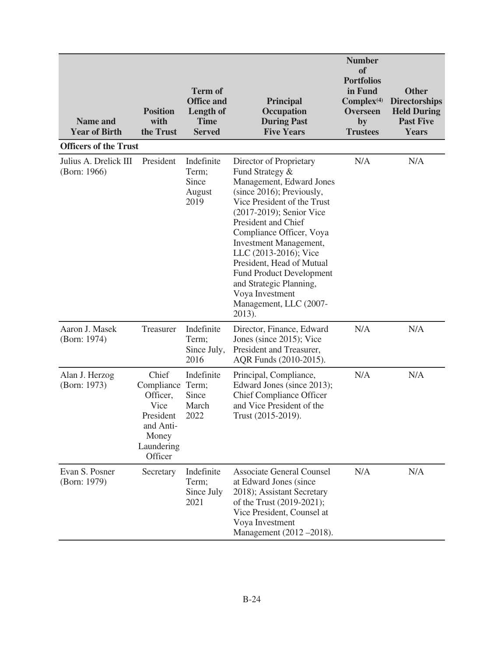| <b>Name and</b><br><b>Year of Birth</b> | <b>Position</b><br>with<br>the Trust                                                                | <b>Term of</b><br><b>Office and</b><br><b>Length of</b><br><b>Time</b><br><b>Served</b> | <b>Principal</b><br>Occupation<br><b>During Past</b><br><b>Five Years</b>                                                                                                                                                                                                                                                                                                                                                     | <b>Number</b><br>of<br><b>Portfolios</b><br>in Fund<br>Complex <sup>(4)</sup><br><b>Overseen</b><br>by<br><b>Trustees</b> | <b>Other</b><br><b>Directorships</b><br><b>Held During</b><br><b>Past Five</b><br><b>Years</b> |
|-----------------------------------------|-----------------------------------------------------------------------------------------------------|-----------------------------------------------------------------------------------------|-------------------------------------------------------------------------------------------------------------------------------------------------------------------------------------------------------------------------------------------------------------------------------------------------------------------------------------------------------------------------------------------------------------------------------|---------------------------------------------------------------------------------------------------------------------------|------------------------------------------------------------------------------------------------|
| <b>Officers of the Trust</b>            |                                                                                                     |                                                                                         |                                                                                                                                                                                                                                                                                                                                                                                                                               |                                                                                                                           |                                                                                                |
| Julius A. Drelick III<br>(Born: 1966)   | President                                                                                           | Indefinite<br>Term;<br>Since<br>August<br>2019                                          | Director of Proprietary<br>Fund Strategy &<br>Management, Edward Jones<br>(since 2016); Previously,<br>Vice President of the Trust<br>(2017-2019); Senior Vice<br>President and Chief<br>Compliance Officer, Voya<br><b>Investment Management,</b><br>LLC (2013-2016); Vice<br>President, Head of Mutual<br><b>Fund Product Development</b><br>and Strategic Planning,<br>Voya Investment<br>Management, LLC (2007-<br>2013). | N/A                                                                                                                       | N/A                                                                                            |
| Aaron J. Masek<br>(Born: 1974)          | Treasurer                                                                                           | Indefinite<br>Term;<br>Since July,<br>2016                                              | Director, Finance, Edward<br>Jones (since 2015); Vice<br>President and Treasurer,<br>AQR Funds (2010-2015).                                                                                                                                                                                                                                                                                                                   | N/A                                                                                                                       | N/A                                                                                            |
| Alan J. Herzog<br>(Born: 1973)          | Chief<br>Compliance<br>Officer,<br>Vice<br>President<br>and Anti-<br>Money<br>Laundering<br>Officer | Indefinite<br>Term;<br>Since<br>March<br>2022                                           | Principal, Compliance,<br>Edward Jones (since 2013);<br><b>Chief Compliance Officer</b><br>and Vice President of the<br>Trust (2015-2019).                                                                                                                                                                                                                                                                                    | N/A                                                                                                                       | N/A                                                                                            |
| Evan S. Posner<br>(Born: 1979)          | Secretary                                                                                           | Indefinite<br>Term;<br>Since July<br>2021                                               | <b>Associate General Counsel</b><br>at Edward Jones (since<br>2018); Assistant Secretary<br>of the Trust (2019-2021);<br>Vice President, Counsel at<br>Voya Investment<br>Management (2012 - 2018).                                                                                                                                                                                                                           | N/A                                                                                                                       | N/A                                                                                            |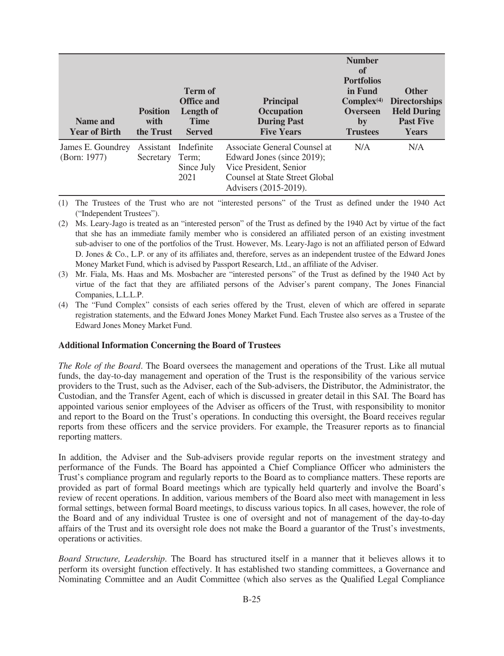| Name and<br><b>Year of Birth</b>  | <b>Position</b><br>with<br>the Trust | <b>Term of</b><br><b>Office and</b><br><b>Length of</b><br><b>Time</b><br><b>Served</b> | <b>Principal</b><br>Occupation<br><b>During Past</b><br><b>Five Years</b>                                                                       | <b>Number</b><br>of<br><b>Portfolios</b><br>in Fund<br>$Complex^{(4)}$<br><b>Overseen</b><br>by<br><b>Trustees</b> | <b>Other</b><br><b>Directorships</b><br><b>Held During</b><br><b>Past Five</b><br><b>Years</b> |
|-----------------------------------|--------------------------------------|-----------------------------------------------------------------------------------------|-------------------------------------------------------------------------------------------------------------------------------------------------|--------------------------------------------------------------------------------------------------------------------|------------------------------------------------------------------------------------------------|
| James E. Goundrey<br>(Born: 1977) | Assistant<br>Secretary               | Indefinite<br>Term:<br>Since July<br>2021                                               | Associate General Counsel at<br>Edward Jones (since 2019);<br>Vice President, Senior<br>Counsel at State Street Global<br>Advisers (2015-2019). | N/A                                                                                                                | N/A                                                                                            |

(1) The Trustees of the Trust who are not "interested persons" of the Trust as defined under the 1940 Act ("Independent Trustees").

- (2) Ms. Leary-Jago is treated as an "interested person" of the Trust as defined by the 1940 Act by virtue of the fact that she has an immediate family member who is considered an affiliated person of an existing investment sub-adviser to one of the portfolios of the Trust. However, Ms. Leary-Jago is not an affiliated person of Edward D. Jones & Co., L.P. or any of its affiliates and, therefore, serves as an independent trustee of the Edward Jones Money Market Fund, which is advised by Passport Research, Ltd., an affiliate of the Adviser.
- (3) Mr. Fiala, Ms. Haas and Ms. Mosbacher are "interested persons" of the Trust as defined by the 1940 Act by virtue of the fact that they are affiliated persons of the Adviser's parent company, The Jones Financial Companies, L.L.L.P.
- (4) The "Fund Complex" consists of each series offered by the Trust, eleven of which are offered in separate registration statements, and the Edward Jones Money Market Fund. Each Trustee also serves as a Trustee of the Edward Jones Money Market Fund.

#### **Additional Information Concerning the Board of Trustees**

*The Role of the Board*. The Board oversees the management and operations of the Trust. Like all mutual funds, the day-to-day management and operation of the Trust is the responsibility of the various service providers to the Trust, such as the Adviser, each of the Sub-advisers, the Distributor, the Administrator, the Custodian, and the Transfer Agent, each of which is discussed in greater detail in this SAI. The Board has appointed various senior employees of the Adviser as officers of the Trust, with responsibility to monitor and report to the Board on the Trust's operations. In conducting this oversight, the Board receives regular reports from these officers and the service providers. For example, the Treasurer reports as to financial reporting matters.

In addition, the Adviser and the Sub-advisers provide regular reports on the investment strategy and performance of the Funds. The Board has appointed a Chief Compliance Officer who administers the Trust's compliance program and regularly reports to the Board as to compliance matters. These reports are provided as part of formal Board meetings which are typically held quarterly and involve the Board's review of recent operations. In addition, various members of the Board also meet with management in less formal settings, between formal Board meetings, to discuss various topics. In all cases, however, the role of the Board and of any individual Trustee is one of oversight and not of management of the day-to-day affairs of the Trust and its oversight role does not make the Board a guarantor of the Trust's investments, operations or activities.

*Board Structure, Leadership*. The Board has structured itself in a manner that it believes allows it to perform its oversight function effectively. It has established two standing committees, a Governance and Nominating Committee and an Audit Committee (which also serves as the Qualified Legal Compliance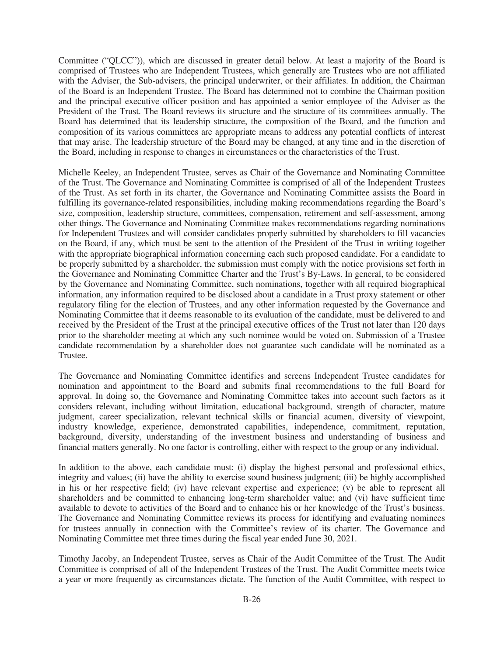Committee ("QLCC")), which are discussed in greater detail below. At least a majority of the Board is comprised of Trustees who are Independent Trustees, which generally are Trustees who are not affiliated with the Adviser, the Sub-advisers, the principal underwriter, or their affiliates. In addition, the Chairman of the Board is an Independent Trustee. The Board has determined not to combine the Chairman position and the principal executive officer position and has appointed a senior employee of the Adviser as the President of the Trust. The Board reviews its structure and the structure of its committees annually. The Board has determined that its leadership structure, the composition of the Board, and the function and composition of its various committees are appropriate means to address any potential conflicts of interest that may arise. The leadership structure of the Board may be changed, at any time and in the discretion of the Board, including in response to changes in circumstances or the characteristics of the Trust.

Michelle Keeley, an Independent Trustee, serves as Chair of the Governance and Nominating Committee of the Trust. The Governance and Nominating Committee is comprised of all of the Independent Trustees of the Trust. As set forth in its charter, the Governance and Nominating Committee assists the Board in fulfilling its governance-related responsibilities, including making recommendations regarding the Board's size, composition, leadership structure, committees, compensation, retirement and self-assessment, among other things. The Governance and Nominating Committee makes recommendations regarding nominations for Independent Trustees and will consider candidates properly submitted by shareholders to fill vacancies on the Board, if any, which must be sent to the attention of the President of the Trust in writing together with the appropriate biographical information concerning each such proposed candidate. For a candidate to be properly submitted by a shareholder, the submission must comply with the notice provisions set forth in the Governance and Nominating Committee Charter and the Trust's By-Laws. In general, to be considered by the Governance and Nominating Committee, such nominations, together with all required biographical information, any information required to be disclosed about a candidate in a Trust proxy statement or other regulatory filing for the election of Trustees, and any other information requested by the Governance and Nominating Committee that it deems reasonable to its evaluation of the candidate, must be delivered to and received by the President of the Trust at the principal executive offices of the Trust not later than 120 days prior to the shareholder meeting at which any such nominee would be voted on. Submission of a Trustee candidate recommendation by a shareholder does not guarantee such candidate will be nominated as a Trustee.

The Governance and Nominating Committee identifies and screens Independent Trustee candidates for nomination and appointment to the Board and submits final recommendations to the full Board for approval. In doing so, the Governance and Nominating Committee takes into account such factors as it considers relevant, including without limitation, educational background, strength of character, mature judgment, career specialization, relevant technical skills or financial acumen, diversity of viewpoint, industry knowledge, experience, demonstrated capabilities, independence, commitment, reputation, background, diversity, understanding of the investment business and understanding of business and financial matters generally. No one factor is controlling, either with respect to the group or any individual.

In addition to the above, each candidate must: (i) display the highest personal and professional ethics, integrity and values; (ii) have the ability to exercise sound business judgment; (iii) be highly accomplished in his or her respective field; (iv) have relevant expertise and experience; (v) be able to represent all shareholders and be committed to enhancing long-term shareholder value; and (vi) have sufficient time available to devote to activities of the Board and to enhance his or her knowledge of the Trust's business. The Governance and Nominating Committee reviews its process for identifying and evaluating nominees for trustees annually in connection with the Committee's review of its charter. The Governance and Nominating Committee met three times during the fiscal year ended June 30, 2021.

Timothy Jacoby, an Independent Trustee, serves as Chair of the Audit Committee of the Trust. The Audit Committee is comprised of all of the Independent Trustees of the Trust. The Audit Committee meets twice a year or more frequently as circumstances dictate. The function of the Audit Committee, with respect to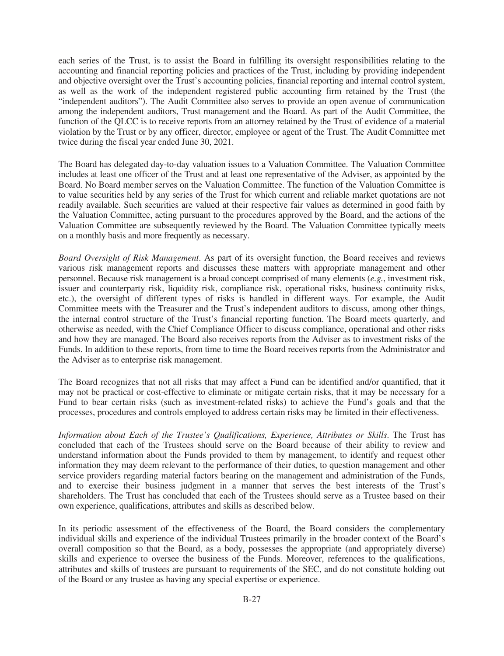each series of the Trust, is to assist the Board in fulfilling its oversight responsibilities relating to the accounting and financial reporting policies and practices of the Trust, including by providing independent and objective oversight over the Trust's accounting policies, financial reporting and internal control system, as well as the work of the independent registered public accounting firm retained by the Trust (the "independent auditors"). The Audit Committee also serves to provide an open avenue of communication among the independent auditors, Trust management and the Board. As part of the Audit Committee, the function of the QLCC is to receive reports from an attorney retained by the Trust of evidence of a material violation by the Trust or by any officer, director, employee or agent of the Trust. The Audit Committee met twice during the fiscal year ended June 30, 2021.

The Board has delegated day-to-day valuation issues to a Valuation Committee. The Valuation Committee includes at least one officer of the Trust and at least one representative of the Adviser, as appointed by the Board. No Board member serves on the Valuation Committee. The function of the Valuation Committee is to value securities held by any series of the Trust for which current and reliable market quotations are not readily available. Such securities are valued at their respective fair values as determined in good faith by the Valuation Committee, acting pursuant to the procedures approved by the Board, and the actions of the Valuation Committee are subsequently reviewed by the Board. The Valuation Committee typically meets on a monthly basis and more frequently as necessary.

*Board Oversight of Risk Management*. As part of its oversight function, the Board receives and reviews various risk management reports and discusses these matters with appropriate management and other personnel. Because risk management is a broad concept comprised of many elements (*e.g.*, investment risk, issuer and counterparty risk, liquidity risk, compliance risk, operational risks, business continuity risks, etc.), the oversight of different types of risks is handled in different ways. For example, the Audit Committee meets with the Treasurer and the Trust's independent auditors to discuss, among other things, the internal control structure of the Trust's financial reporting function. The Board meets quarterly, and otherwise as needed, with the Chief Compliance Officer to discuss compliance, operational and other risks and how they are managed. The Board also receives reports from the Adviser as to investment risks of the Funds. In addition to these reports, from time to time the Board receives reports from the Administrator and the Adviser as to enterprise risk management.

The Board recognizes that not all risks that may affect a Fund can be identified and/or quantified, that it may not be practical or cost-effective to eliminate or mitigate certain risks, that it may be necessary for a Fund to bear certain risks (such as investment-related risks) to achieve the Fund's goals and that the processes, procedures and controls employed to address certain risks may be limited in their effectiveness.

*Information about Each of the Trustee's Qualifications, Experience, Attributes or Skills*. The Trust has concluded that each of the Trustees should serve on the Board because of their ability to review and understand information about the Funds provided to them by management, to identify and request other information they may deem relevant to the performance of their duties, to question management and other service providers regarding material factors bearing on the management and administration of the Funds, and to exercise their business judgment in a manner that serves the best interests of the Trust's shareholders. The Trust has concluded that each of the Trustees should serve as a Trustee based on their own experience, qualifications, attributes and skills as described below.

In its periodic assessment of the effectiveness of the Board, the Board considers the complementary individual skills and experience of the individual Trustees primarily in the broader context of the Board's overall composition so that the Board, as a body, possesses the appropriate (and appropriately diverse) skills and experience to oversee the business of the Funds. Moreover, references to the qualifications, attributes and skills of trustees are pursuant to requirements of the SEC, and do not constitute holding out of the Board or any trustee as having any special expertise or experience.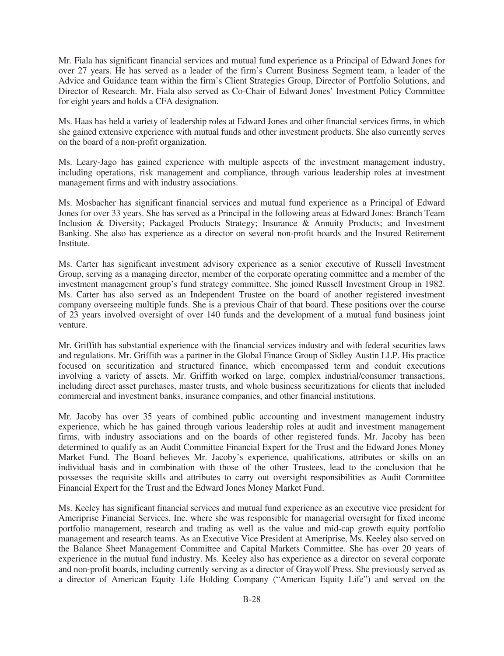Mr. Fiala has significant financial services and mutual fund experience as a Principal of Edward Jones for over 27 years. He has served as a leader of the firm's Current Business Segment team, a leader of the Advice and Guidance team within the firm's Client Strategies Group, Director of Portfolio Solutions, and Director of Research. Mr. Fiala also served as Co-Chair of Edward Jones' Investment Policy Committee for eight years and holds a CFA designation.

Ms. Haas has held a variety of leadership roles at Edward Jones and other financial services firms, in which she gained extensive experience with mutual funds and other investment products. She also currently serves on the board of a non-profit organization.

Ms. Leary-Jago has gained experience with multiple aspects of the investment management industry, including operations, risk management and compliance, through various leadership roles at investment management firms and with industry associations.

Ms. Mosbacher has significant financial services and mutual fund experience as a Principal of Edward Jones for over 33 years. She has served as a Principal in the following areas at Edward Jones: Branch Team Inclusion & Diversity; Packaged Products Strategy; Insurance & Annuity Products; and Investment Banking. She also has experience as a director on several non-profit boards and the Insured Retirement Institute.

Ms. Carter has significant investment advisory experience as a senior executive of Russell Investment Group, serving as a managing director, member of the corporate operating committee and a member of the investment management group's fund strategy committee. She joined Russell Investment Group in 1982. Ms. Carter has also served as an Independent Trustee on the board of another registered investment company overseeing multiple funds. She is a previous Chair of that board. These positions over the course of 23 years involved oversight of over 140 funds and the development of a mutual fund business joint venture.

Mr. Griffith has substantial experience with the financial services industry and with federal securities laws and regulations. Mr. Griffith was a partner in the Global Finance Group of Sidley Austin LLP. His practice focused on securitization and structured finance, which encompassed term and conduit executions involving a variety of assets. Mr. Griffith worked on large, complex industrial/consumer transactions, including direct asset purchases, master trusts, and whole business securitizations for clients that included commercial and investment banks, insurance companies, and other financial institutions.

Mr. Jacoby has over 35 years of combined public accounting and investment management industry experience, which he has gained through various leadership roles at audit and investment management firms, with industry associations and on the boards of other registered funds. Mr. Jacoby has been determined to qualify as an Audit Committee Financial Expert for the Trust and the Edward Jones Money Market Fund. The Board believes Mr. Jacoby's experience, qualifications, attributes or skills on an individual basis and in combination with those of the other Trustees, lead to the conclusion that he possesses the requisite skills and attributes to carry out oversight responsibilities as Audit Committee Financial Expert for the Trust and the Edward Jones Money Market Fund.

Ms. Keeley has significant financial services and mutual fund experience as an executive vice president for Ameriprise Financial Services, Inc. where she was responsible for managerial oversight for fixed income portfolio management, research and trading as well as the value and mid-cap growth equity portfolio management and research teams. As an Executive Vice President at Ameriprise, Ms. Keeley also served on the Balance Sheet Management Committee and Capital Markets Committee. She has over 20 years of experience in the mutual fund industry. Ms. Keeley also has experience as a director on several corporate and non-profit boards, including currently serving as a director of Graywolf Press. She previously served as a director of American Equity Life Holding Company ("American Equity Life") and served on the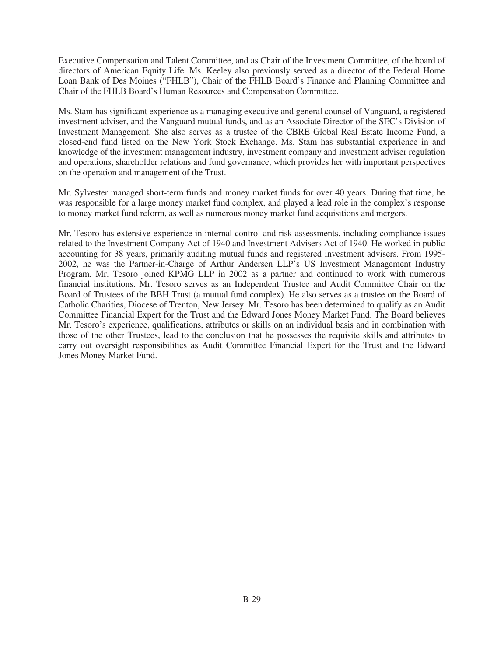Executive Compensation and Talent Committee, and as Chair of the Investment Committee, of the board of directors of American Equity Life. Ms. Keeley also previously served as a director of the Federal Home Loan Bank of Des Moines ("FHLB"), Chair of the FHLB Board's Finance and Planning Committee and Chair of the FHLB Board's Human Resources and Compensation Committee.

Ms. Stam has significant experience as a managing executive and general counsel of Vanguard, a registered investment adviser, and the Vanguard mutual funds, and as an Associate Director of the SEC's Division of Investment Management. She also serves as a trustee of the CBRE Global Real Estate Income Fund, a closed-end fund listed on the New York Stock Exchange. Ms. Stam has substantial experience in and knowledge of the investment management industry, investment company and investment adviser regulation and operations, shareholder relations and fund governance, which provides her with important perspectives on the operation and management of the Trust.

Mr. Sylvester managed short-term funds and money market funds for over 40 years. During that time, he was responsible for a large money market fund complex, and played a lead role in the complex's response to money market fund reform, as well as numerous money market fund acquisitions and mergers.

Mr. Tesoro has extensive experience in internal control and risk assessments, including compliance issues related to the Investment Company Act of 1940 and Investment Advisers Act of 1940. He worked in public accounting for 38 years, primarily auditing mutual funds and registered investment advisers. From 1995- 2002, he was the Partner-in-Charge of Arthur Andersen LLP's US Investment Management Industry Program. Mr. Tesoro joined KPMG LLP in 2002 as a partner and continued to work with numerous financial institutions. Mr. Tesoro serves as an Independent Trustee and Audit Committee Chair on the Board of Trustees of the BBH Trust (a mutual fund complex). He also serves as a trustee on the Board of Catholic Charities, Diocese of Trenton, New Jersey. Mr. Tesoro has been determined to qualify as an Audit Committee Financial Expert for the Trust and the Edward Jones Money Market Fund. The Board believes Mr. Tesoro's experience, qualifications, attributes or skills on an individual basis and in combination with those of the other Trustees, lead to the conclusion that he possesses the requisite skills and attributes to carry out oversight responsibilities as Audit Committee Financial Expert for the Trust and the Edward Jones Money Market Fund.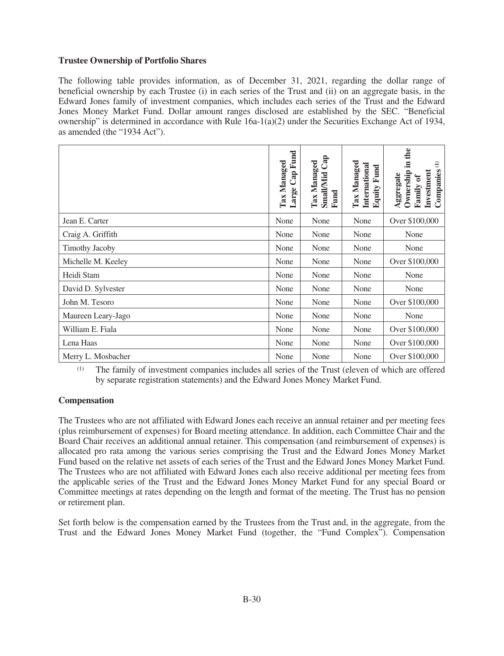# **Trustee Ownership of Portfolio Shares**

The following table provides information, as of December 31, 2021, regarding the dollar range of beneficial ownership by each Trustee (i) in each series of the Trust and (ii) on an aggregate basis, in the Edward Jones family of investment companies, which includes each series of the Trust and the Edward Jones Money Market Fund. Dollar amount ranges disclosed are established by the SEC. "Beneficial ownership" is determined in accordance with Rule  $16a-1(a)(2)$  under the Securities Exchange Act of 1934, as amended (the "1934 Act").

|                       | Cap Fund<br>Tax Managed<br>Large | Cap<br><b>Tax Managed</b><br>Small/Mid<br>Fund | Tax Managed<br>International<br>Equity Fund | the<br>.트<br>$\ominus$<br>Companies<br>Investment<br>Ownership<br>Aggregate<br>Family of |
|-----------------------|----------------------------------|------------------------------------------------|---------------------------------------------|------------------------------------------------------------------------------------------|
| Jean E. Carter        | None                             | None                                           | None                                        | Over \$100,000                                                                           |
| Craig A. Griffith     | None                             | None                                           | None                                        | None                                                                                     |
| <b>Timothy Jacoby</b> | None                             | None                                           | None                                        | None                                                                                     |
| Michelle M. Keeley    | None                             | None                                           | None                                        | Over \$100,000                                                                           |
| Heidi Stam            | None                             | None                                           | None                                        | None                                                                                     |
| David D. Sylvester    | None                             | None                                           | None                                        | None                                                                                     |
| John M. Tesoro        | None                             | None                                           | None                                        | Over \$100,000                                                                           |
| Maureen Leary-Jago    | None                             | None                                           | None                                        | None                                                                                     |
| William E. Fiala      | None                             | None                                           | None                                        | Over \$100,000                                                                           |
| Lena Haas             | None                             | None                                           | None                                        | Over \$100,000                                                                           |
| Merry L. Mosbacher    | None                             | None                                           | None                                        | Over \$100,000                                                                           |

(1) The family of investment companies includes all series of the Trust (eleven of which are offered by separate registration statements) and the Edward Jones Money Market Fund.

# **Compensation**

The Trustees who are not affiliated with Edward Jones each receive an annual retainer and per meeting fees (plus reimbursement of expenses) for Board meeting attendance. In addition, each Committee Chair and the Board Chair receives an additional annual retainer. This compensation (and reimbursement of expenses) is allocated pro rata among the various series comprising the Trust and the Edward Jones Money Market Fund based on the relative net assets of each series of the Trust and the Edward Jones Money Market Fund. The Trustees who are not affiliated with Edward Jones each also receive additional per meeting fees from the applicable series of the Trust and the Edward Jones Money Market Fund for any special Board or Committee meetings at rates depending on the length and format of the meeting. The Trust has no pension or retirement plan.

Set forth below is the compensation earned by the Trustees from the Trust and, in the aggregate, from the Trust and the Edward Jones Money Market Fund (together, the "Fund Complex"). Compensation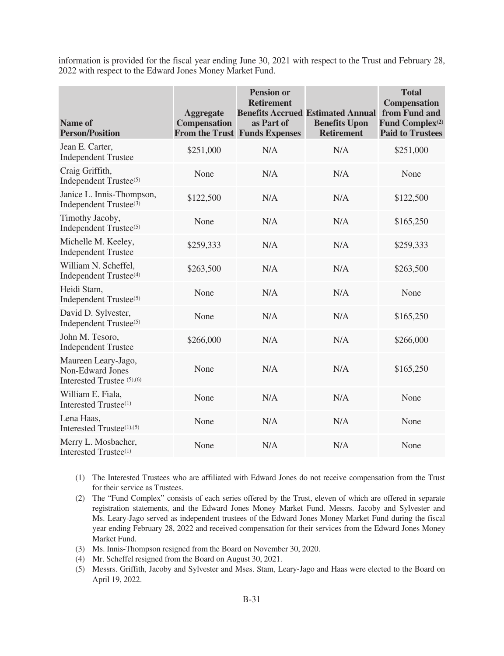information is provided for the fiscal year ending June 30, 2021 with respect to the Trust and February 28, 2022 with respect to the Edward Jones Money Market Fund.

| Name of<br><b>Person/Position</b>                                     | <b>Aggregate</b><br><b>Compensation</b> | <b>Pension or</b><br><b>Retirement</b><br>as Part of<br><b>From the Trust Funds Expenses</b> | <b>Benefits Accrued Estimated Annual</b><br><b>Benefits Upon</b><br><b>Retirement</b> | <b>Total</b><br><b>Compensation</b><br>from Fund and<br>Fund Complex <sup>(2)</sup><br><b>Paid to Trustees</b> |
|-----------------------------------------------------------------------|-----------------------------------------|----------------------------------------------------------------------------------------------|---------------------------------------------------------------------------------------|----------------------------------------------------------------------------------------------------------------|
| Jean E. Carter,<br><b>Independent Trustee</b>                         | \$251,000                               | N/A                                                                                          | N/A                                                                                   | \$251,000                                                                                                      |
| Craig Griffith,<br>Independent Trustee <sup>(5)</sup>                 | None                                    | N/A                                                                                          | N/A                                                                                   | None                                                                                                           |
| Janice L. Innis-Thompson,<br>Independent Trustee <sup>(3)</sup>       | \$122,500                               | N/A                                                                                          | N/A                                                                                   | \$122,500                                                                                                      |
| Timothy Jacoby,<br>Independent Trustee <sup>(5)</sup>                 | None                                    | N/A                                                                                          | N/A                                                                                   | \$165,250                                                                                                      |
| Michelle M. Keeley,<br><b>Independent Trustee</b>                     | \$259,333                               | N/A                                                                                          | N/A                                                                                   | \$259,333                                                                                                      |
| William N. Scheffel,<br>Independent Trustee <sup>(4)</sup>            | \$263,500                               | N/A                                                                                          | N/A                                                                                   | \$263,500                                                                                                      |
| Heidi Stam,<br>Independent Trustee <sup>(5)</sup>                     | None                                    | N/A                                                                                          | N/A                                                                                   | None                                                                                                           |
| David D. Sylvester,<br>Independent Trustee <sup>(5)</sup>             | None                                    | N/A                                                                                          | N/A                                                                                   | \$165,250                                                                                                      |
| John M. Tesoro,<br><b>Independent Trustee</b>                         | \$266,000                               | N/A                                                                                          | N/A                                                                                   | \$266,000                                                                                                      |
| Maureen Leary-Jago,<br>Non-Edward Jones<br>Interested Trustee (5),(6) | None                                    | N/A                                                                                          | N/A                                                                                   | \$165,250                                                                                                      |
| William E. Fiala,<br>Interested Trustee <sup>(1)</sup>                | None                                    | N/A                                                                                          | N/A                                                                                   | None                                                                                                           |
| Lena Haas,<br>Interested Trustee <sup>(1),(5)</sup>                   | None                                    | N/A                                                                                          | N/A                                                                                   | None                                                                                                           |
| Merry L. Mosbacher,<br>Interested Trustee <sup>(1)</sup>              | None                                    | N/A                                                                                          | N/A                                                                                   | None                                                                                                           |

(1) The Interested Trustees who are affiliated with Edward Jones do not receive compensation from the Trust for their service as Trustees.

- (2) The "Fund Complex" consists of each series offered by the Trust, eleven of which are offered in separate registration statements, and the Edward Jones Money Market Fund. Messrs. Jacoby and Sylvester and Ms. Leary-Jago served as independent trustees of the Edward Jones Money Market Fund during the fiscal year ending February 28, 2022 and received compensation for their services from the Edward Jones Money Market Fund.
- (3) Ms. Innis-Thompson resigned from the Board on November 30, 2020.
- (4) Mr. Scheffel resigned from the Board on August 30, 2021.
- (5) Messrs. Griffith, Jacoby and Sylvester and Mses. Stam, Leary-Jago and Haas were elected to the Board on April 19, 2022.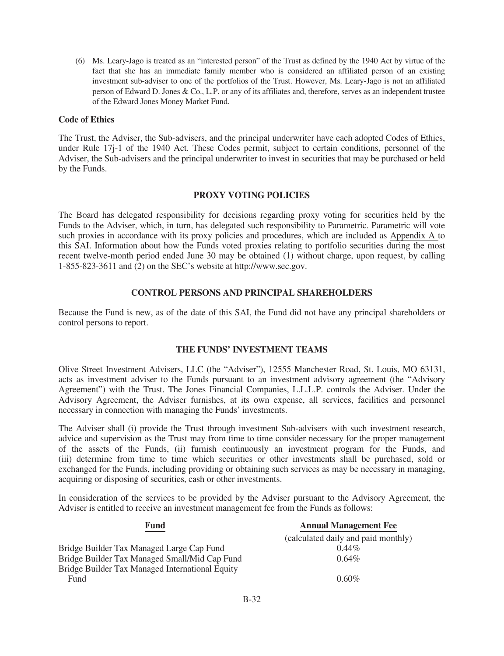(6) Ms. Leary-Jago is treated as an "interested person" of the Trust as defined by the 1940 Act by virtue of the fact that she has an immediate family member who is considered an affiliated person of an existing investment sub-adviser to one of the portfolios of the Trust. However, Ms. Leary-Jago is not an affiliated person of Edward D. Jones & Co., L.P. or any of its affiliates and, therefore, serves as an independent trustee of the Edward Jones Money Market Fund.

#### **Code of Ethics**

The Trust, the Adviser, the Sub-advisers, and the principal underwriter have each adopted Codes of Ethics, under Rule 17j-1 of the 1940 Act. These Codes permit, subject to certain conditions, personnel of the Adviser, the Sub-advisers and the principal underwriter to invest in securities that may be purchased or held by the Funds.

#### **PROXY VOTING POLICIES**

<span id="page-32-0"></span>The Board has delegated responsibility for decisions regarding proxy voting for securities held by the Funds to the Adviser, which, in turn, has delegated such responsibility to Parametric. Parametric will vote such proxies in accordance with its proxy policies and procedures, which are included as Appendix A to this SAI. Information about how the Funds voted proxies relating to portfolio securities during the most recent twelve-month period ended June 30 may be obtained (1) without charge, upon request, by calling 1-855-823-3611 and (2) on the SEC's website at http://www.sec.gov.

#### **CONTROL PERSONS AND PRINCIPAL SHAREHOLDERS**

<span id="page-32-1"></span>Because the Fund is new, as of the date of this SAI, the Fund did not have any principal shareholders or control persons to report.

#### **THE FUNDS' INVESTMENT TEAMS**

<span id="page-32-2"></span>Olive Street Investment Advisers, LLC (the "Adviser"), 12555 Manchester Road, St. Louis, MO 63131, acts as investment adviser to the Funds pursuant to an investment advisory agreement (the "Advisory Agreement") with the Trust. The Jones Financial Companies, L.L.L.P. controls the Adviser. Under the Advisory Agreement, the Adviser furnishes, at its own expense, all services, facilities and personnel necessary in connection with managing the Funds' investments.

The Adviser shall (i) provide the Trust through investment Sub-advisers with such investment research, advice and supervision as the Trust may from time to time consider necessary for the proper management of the assets of the Funds, (ii) furnish continuously an investment program for the Funds, and (iii) determine from time to time which securities or other investments shall be purchased, sold or exchanged for the Funds, including providing or obtaining such services as may be necessary in managing, acquiring or disposing of securities, cash or other investments.

In consideration of the services to be provided by the Adviser pursuant to the Advisory Agreement, the Adviser is entitled to receive an investment management fee from the Funds as follows:

| <b>Fund</b>                                     | <b>Annual Management Fee</b>        |
|-------------------------------------------------|-------------------------------------|
|                                                 | (calculated daily and paid monthly) |
| Bridge Builder Tax Managed Large Cap Fund       | $0.44\%$                            |
| Bridge Builder Tax Managed Small/Mid Cap Fund   | $0.64\%$                            |
| Bridge Builder Tax Managed International Equity |                                     |
| Fund                                            | $0.60\%$                            |
|                                                 |                                     |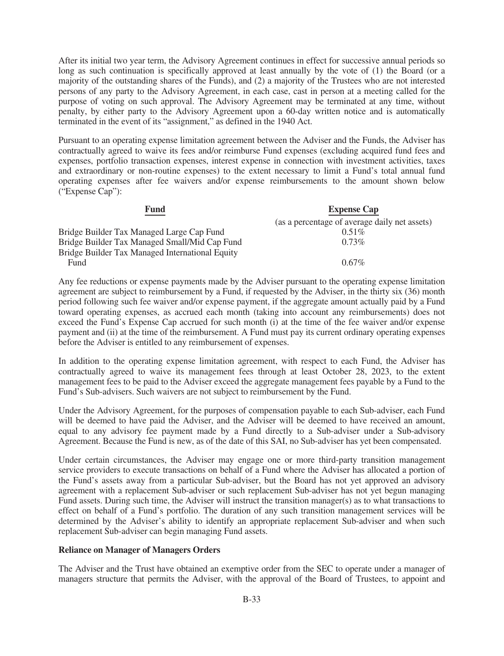After its initial two year term, the Advisory Agreement continues in effect for successive annual periods so long as such continuation is specifically approved at least annually by the vote of (1) the Board (or a majority of the outstanding shares of the Funds), and (2) a majority of the Trustees who are not interested persons of any party to the Advisory Agreement, in each case, cast in person at a meeting called for the purpose of voting on such approval. The Advisory Agreement may be terminated at any time, without penalty, by either party to the Advisory Agreement upon a 60-day written notice and is automatically terminated in the event of its "assignment," as defined in the 1940 Act.

Pursuant to an operating expense limitation agreement between the Adviser and the Funds, the Adviser has contractually agreed to waive its fees and/or reimburse Fund expenses (excluding acquired fund fees and expenses, portfolio transaction expenses, interest expense in connection with investment activities, taxes and extraordinary or non-routine expenses) to the extent necessary to limit a Fund's total annual fund operating expenses after fee waivers and/or expense reimbursements to the amount shown below ("Expense Cap"):

| Fund                                            | <b>Expense Cap</b>                            |
|-------------------------------------------------|-----------------------------------------------|
|                                                 | (as a percentage of average daily net assets) |
| Bridge Builder Tax Managed Large Cap Fund       | $0.51\%$                                      |
| Bridge Builder Tax Managed Small/Mid Cap Fund   | $0.73\%$                                      |
| Bridge Builder Tax Managed International Equity |                                               |
| Fund                                            | $0.67\%$                                      |

Any fee reductions or expense payments made by the Adviser pursuant to the operating expense limitation agreement are subject to reimbursement by a Fund, if requested by the Adviser, in the thirty six (36) month period following such fee waiver and/or expense payment, if the aggregate amount actually paid by a Fund toward operating expenses, as accrued each month (taking into account any reimbursements) does not exceed the Fund's Expense Cap accrued for such month (i) at the time of the fee waiver and/or expense payment and (ii) at the time of the reimbursement. A Fund must pay its current ordinary operating expenses before the Adviser is entitled to any reimbursement of expenses.

In addition to the operating expense limitation agreement, with respect to each Fund, the Adviser has contractually agreed to waive its management fees through at least October 28, 2023, to the extent management fees to be paid to the Adviser exceed the aggregate management fees payable by a Fund to the Fund's Sub-advisers. Such waivers are not subject to reimbursement by the Fund.

Under the Advisory Agreement, for the purposes of compensation payable to each Sub-adviser, each Fund will be deemed to have paid the Adviser, and the Adviser will be deemed to have received an amount, equal to any advisory fee payment made by a Fund directly to a Sub-adviser under a Sub-advisory Agreement. Because the Fund is new, as of the date of this SAI, no Sub-adviser has yet been compensated.

Under certain circumstances, the Adviser may engage one or more third-party transition management service providers to execute transactions on behalf of a Fund where the Adviser has allocated a portion of the Fund's assets away from a particular Sub-adviser, but the Board has not yet approved an advisory agreement with a replacement Sub-adviser or such replacement Sub-adviser has not yet begun managing Fund assets. During such time, the Adviser will instruct the transition manager(s) as to what transactions to effect on behalf of a Fund's portfolio. The duration of any such transition management services will be determined by the Adviser's ability to identify an appropriate replacement Sub-adviser and when such replacement Sub-adviser can begin managing Fund assets.

#### **Reliance on Manager of Managers Orders**

The Adviser and the Trust have obtained an exemptive order from the SEC to operate under a manager of managers structure that permits the Adviser, with the approval of the Board of Trustees, to appoint and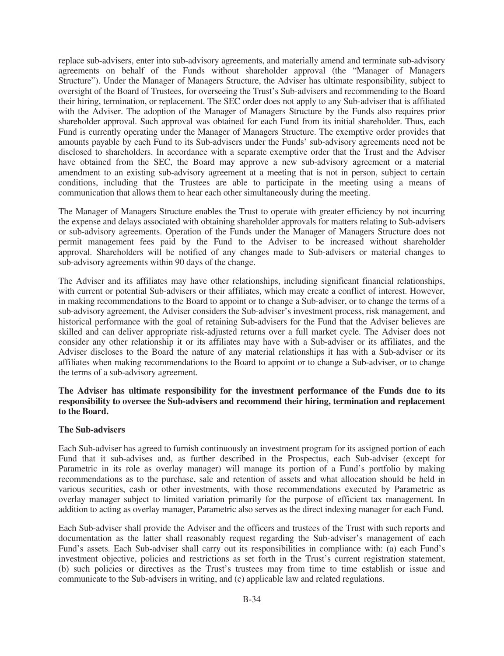replace sub-advisers, enter into sub-advisory agreements, and materially amend and terminate sub-advisory agreements on behalf of the Funds without shareholder approval (the "Manager of Managers Structure"). Under the Manager of Managers Structure, the Adviser has ultimate responsibility, subject to oversight of the Board of Trustees, for overseeing the Trust's Sub-advisers and recommending to the Board their hiring, termination, or replacement. The SEC order does not apply to any Sub-adviser that is affiliated with the Adviser. The adoption of the Manager of Managers Structure by the Funds also requires prior shareholder approval. Such approval was obtained for each Fund from its initial shareholder. Thus, each Fund is currently operating under the Manager of Managers Structure. The exemptive order provides that amounts payable by each Fund to its Sub-advisers under the Funds' sub-advisory agreements need not be disclosed to shareholders. In accordance with a separate exemptive order that the Trust and the Adviser have obtained from the SEC, the Board may approve a new sub-advisory agreement or a material amendment to an existing sub-advisory agreement at a meeting that is not in person, subject to certain conditions, including that the Trustees are able to participate in the meeting using a means of communication that allows them to hear each other simultaneously during the meeting.

The Manager of Managers Structure enables the Trust to operate with greater efficiency by not incurring the expense and delays associated with obtaining shareholder approvals for matters relating to Sub-advisers or sub-advisory agreements. Operation of the Funds under the Manager of Managers Structure does not permit management fees paid by the Fund to the Adviser to be increased without shareholder approval. Shareholders will be notified of any changes made to Sub-advisers or material changes to sub-advisory agreements within 90 days of the change.

The Adviser and its affiliates may have other relationships, including significant financial relationships, with current or potential Sub-advisers or their affiliates, which may create a conflict of interest. However, in making recommendations to the Board to appoint or to change a Sub-adviser, or to change the terms of a sub-advisory agreement, the Adviser considers the Sub-adviser's investment process, risk management, and historical performance with the goal of retaining Sub-advisers for the Fund that the Adviser believes are skilled and can deliver appropriate risk-adjusted returns over a full market cycle. The Adviser does not consider any other relationship it or its affiliates may have with a Sub-adviser or its affiliates, and the Adviser discloses to the Board the nature of any material relationships it has with a Sub-adviser or its affiliates when making recommendations to the Board to appoint or to change a Sub-adviser, or to change the terms of a sub-advisory agreement.

## **The Adviser has ultimate responsibility for the investment performance of the Funds due to its responsibility to oversee the Sub-advisers and recommend their hiring, termination and replacement to the Board.**

#### **The Sub-advisers**

Each Sub-adviser has agreed to furnish continuously an investment program for its assigned portion of each Fund that it sub-advises and, as further described in the Prospectus, each Sub-adviser (except for Parametric in its role as overlay manager) will manage its portion of a Fund's portfolio by making recommendations as to the purchase, sale and retention of assets and what allocation should be held in various securities, cash or other investments, with those recommendations executed by Parametric as overlay manager subject to limited variation primarily for the purpose of efficient tax management. In addition to acting as overlay manager, Parametric also serves as the direct indexing manager for each Fund.

Each Sub-adviser shall provide the Adviser and the officers and trustees of the Trust with such reports and documentation as the latter shall reasonably request regarding the Sub-adviser's management of each Fund's assets. Each Sub-adviser shall carry out its responsibilities in compliance with: (a) each Fund's investment objective, policies and restrictions as set forth in the Trust's current registration statement, (b) such policies or directives as the Trust's trustees may from time to time establish or issue and communicate to the Sub-advisers in writing, and (c) applicable law and related regulations.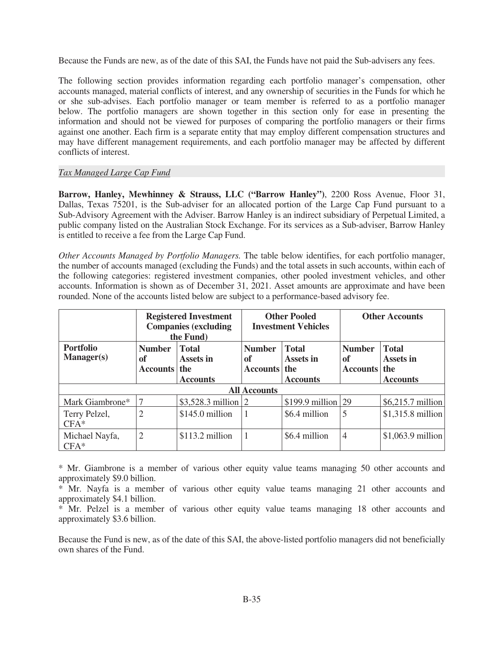Because the Funds are new, as of the date of this SAI, the Funds have not paid the Sub-advisers any fees.

The following section provides information regarding each portfolio manager's compensation, other accounts managed, material conflicts of interest, and any ownership of securities in the Funds for which he or she sub-advises. Each portfolio manager or team member is referred to as a portfolio manager below. The portfolio managers are shown together in this section only for ease in presenting the information and should not be viewed for purposes of comparing the portfolio managers or their firms against one another. Each firm is a separate entity that may employ different compensation structures and may have different management requirements, and each portfolio manager may be affected by different conflicts of interest.

#### *Tax Managed Large Cap Fund*

**Barrow, Hanley, Mewhinney & Strauss, LLC ("Barrow Hanley")**, 2200 Ross Avenue, Floor 31, Dallas, Texas 75201, is the Sub-adviser for an allocated portion of the Large Cap Fund pursuant to a Sub-Advisory Agreement with the Adviser. Barrow Hanley is an indirect subsidiary of Perpetual Limited, a public company listed on the Australian Stock Exchange. For its services as a Sub-adviser, Barrow Hanley is entitled to receive a fee from the Large Cap Fund.

*Other Accounts Managed by Portfolio Managers.* The table below identifies, for each portfolio manager, the number of accounts managed (excluding the Funds) and the total assets in such accounts, within each of the following categories: registered investment companies, other pooled investment vehicles, and other accounts. Information is shown as of December 31, 2021. Asset amounts are approximate and have been rounded. None of the accounts listed below are subject to a performance-based advisory fee.

|                                       | <b>Registered Investment</b><br><b>Companies (excluding</b><br>the Fund)              |                     |                                       | <b>Other Pooled</b><br><b>Investment Vehicles</b> | <b>Other Accounts</b>                  |                                                     |
|---------------------------------------|---------------------------------------------------------------------------------------|---------------------|---------------------------------------|---------------------------------------------------|----------------------------------------|-----------------------------------------------------|
| <b>Portfolio</b><br><b>Manager(s)</b> | <b>Number</b><br><b>Total</b><br>Assets in<br>of<br>Accounts   the<br><b>Accounts</b> |                     | <b>Number</b><br>of<br>Accounts   the | <b>Total</b><br>Assets in<br><b>Accounts</b>      | <b>Number</b><br>of<br><b>Accounts</b> | <b>Total</b><br>Assets in<br>the<br><b>Accounts</b> |
|                                       |                                                                                       |                     | <b>All Accounts</b>                   |                                                   |                                        |                                                     |
| Mark Giambrone*                       |                                                                                       | \$3,528.3 million 2 |                                       | \$199.9 million                                   | 29                                     | \$6,215.7 million                                   |
| Terry Pelzel,<br>$CFA*$               | $\overline{2}$                                                                        | $$145.0$ million    | 1                                     | \$6.4 million                                     | 5                                      | \$1,315.8 million                                   |
| Michael Nayfa,<br>$CFA*$              | 2                                                                                     | $$113.2$ million    | 1                                     | \$6.4 million                                     | 4                                      | $$1,063.9$ million                                  |

\* Mr. Giambrone is a member of various other equity value teams managing 50 other accounts and approximately \$9.0 billion.

\* Mr. Nayfa is a member of various other equity value teams managing 21 other accounts and approximately \$4.1 billion.

\* Mr. Pelzel is a member of various other equity value teams managing 18 other accounts and approximately \$3.6 billion.

Because the Fund is new, as of the date of this SAI, the above-listed portfolio managers did not beneficially own shares of the Fund.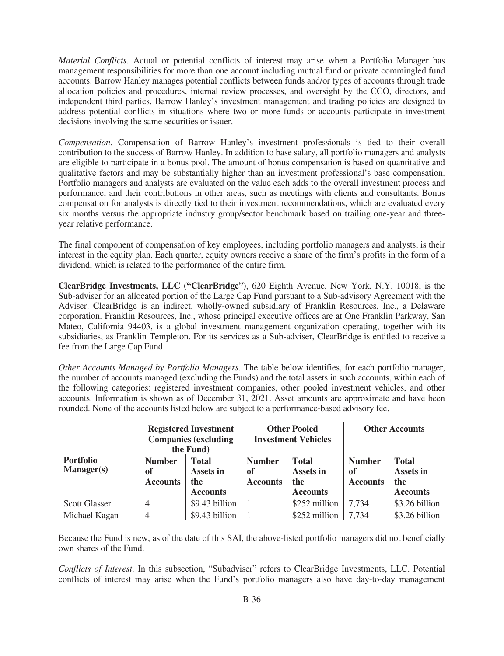*Material Conflicts*. Actual or potential conflicts of interest may arise when a Portfolio Manager has management responsibilities for more than one account including mutual fund or private commingled fund accounts. Barrow Hanley manages potential conflicts between funds and/or types of accounts through trade allocation policies and procedures, internal review processes, and oversight by the CCO, directors, and independent third parties. Barrow Hanley's investment management and trading policies are designed to address potential conflicts in situations where two or more funds or accounts participate in investment decisions involving the same securities or issuer.

*Compensation*. Compensation of Barrow Hanley's investment professionals is tied to their overall contribution to the success of Barrow Hanley. In addition to base salary, all portfolio managers and analysts are eligible to participate in a bonus pool. The amount of bonus compensation is based on quantitative and qualitative factors and may be substantially higher than an investment professional's base compensation. Portfolio managers and analysts are evaluated on the value each adds to the overall investment process and performance, and their contributions in other areas, such as meetings with clients and consultants. Bonus compensation for analysts is directly tied to their investment recommendations, which are evaluated every six months versus the appropriate industry group/sector benchmark based on trailing one-year and threeyear relative performance.

The final component of compensation of key employees, including portfolio managers and analysts, is their interest in the equity plan. Each quarter, equity owners receive a share of the firm's profits in the form of a dividend, which is related to the performance of the entire firm.

**ClearBridge Investments, LLC ("ClearBridge")**, 620 Eighth Avenue, New York, N.Y. 10018, is the Sub-adviser for an allocated portion of the Large Cap Fund pursuant to a Sub-advisory Agreement with the Adviser. ClearBridge is an indirect, wholly-owned subsidiary of Franklin Resources, Inc., a Delaware corporation. Franklin Resources, Inc., whose principal executive offices are at One Franklin Parkway, San Mateo, California 94403, is a global investment management organization operating, together with its subsidiaries, as Franklin Templeton. For its services as a Sub-adviser, ClearBridge is entitled to receive a fee from the Large Cap Fund.

*Other Accounts Managed by Portfolio Managers.* The table below identifies, for each portfolio manager, the number of accounts managed (excluding the Funds) and the total assets in such accounts, within each of the following categories: registered investment companies, other pooled investment vehicles, and other accounts. Information is shown as of December 31, 2021. Asset amounts are approximate and have been rounded. None of the accounts listed below are subject to a performance-based advisory fee.

|                                | <b>Registered Investment</b><br><b>Companies (excluding</b><br>the Fund)                      |                |                                        | <b>Other Pooled</b><br><b>Investment Vehicles</b>   | <b>Other Accounts</b>                  |                                                            |
|--------------------------------|-----------------------------------------------------------------------------------------------|----------------|----------------------------------------|-----------------------------------------------------|----------------------------------------|------------------------------------------------------------|
| <b>Portfolio</b><br>Manager(s) | <b>Number</b><br><b>Total</b><br>Assets in<br>of<br>the<br><b>Accounts</b><br><b>Accounts</b> |                | <b>Number</b><br>of<br><b>Accounts</b> | <b>Total</b><br>Assets in<br>the<br><b>Accounts</b> | <b>Number</b><br>of<br><b>Accounts</b> | <b>Total</b><br><b>Assets in</b><br>the<br><b>Accounts</b> |
| <b>Scott Glasser</b>           |                                                                                               | \$9.43 billion |                                        | \$252 million                                       | 7.734                                  | \$3.26 billion                                             |
| Michael Kagan                  | 4                                                                                             | \$9.43 billion |                                        | \$252 million                                       | 7.734                                  | \$3.26 billion                                             |

Because the Fund is new, as of the date of this SAI, the above-listed portfolio managers did not beneficially own shares of the Fund.

*Conflicts of Interest*. In this subsection, "Subadviser" refers to ClearBridge Investments, LLC. Potential conflicts of interest may arise when the Fund's portfolio managers also have day-to-day management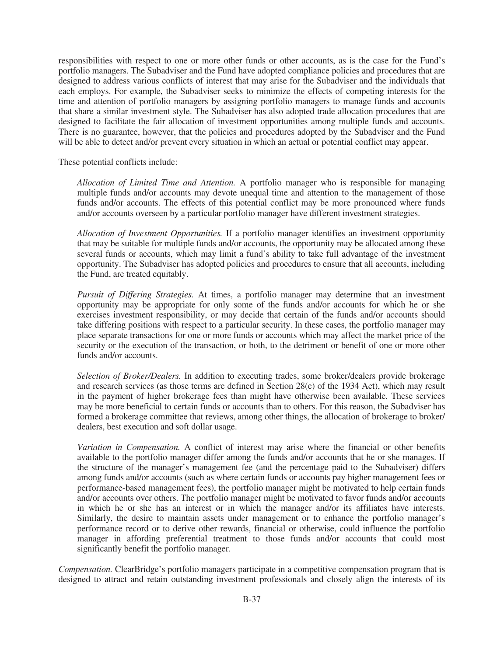responsibilities with respect to one or more other funds or other accounts, as is the case for the Fund's portfolio managers. The Subadviser and the Fund have adopted compliance policies and procedures that are designed to address various conflicts of interest that may arise for the Subadviser and the individuals that each employs. For example, the Subadviser seeks to minimize the effects of competing interests for the time and attention of portfolio managers by assigning portfolio managers to manage funds and accounts that share a similar investment style. The Subadviser has also adopted trade allocation procedures that are designed to facilitate the fair allocation of investment opportunities among multiple funds and accounts. There is no guarantee, however, that the policies and procedures adopted by the Subadviser and the Fund will be able to detect and/or prevent every situation in which an actual or potential conflict may appear.

These potential conflicts include:

*Allocation of Limited Time and Attention.* A portfolio manager who is responsible for managing multiple funds and/or accounts may devote unequal time and attention to the management of those funds and/or accounts. The effects of this potential conflict may be more pronounced where funds and/or accounts overseen by a particular portfolio manager have different investment strategies.

*Allocation of Investment Opportunities.* If a portfolio manager identifies an investment opportunity that may be suitable for multiple funds and/or accounts, the opportunity may be allocated among these several funds or accounts, which may limit a fund's ability to take full advantage of the investment opportunity. The Subadviser has adopted policies and procedures to ensure that all accounts, including the Fund, are treated equitably.

*Pursuit of Differing Strategies.* At times, a portfolio manager may determine that an investment opportunity may be appropriate for only some of the funds and/or accounts for which he or she exercises investment responsibility, or may decide that certain of the funds and/or accounts should take differing positions with respect to a particular security. In these cases, the portfolio manager may place separate transactions for one or more funds or accounts which may affect the market price of the security or the execution of the transaction, or both, to the detriment or benefit of one or more other funds and/or accounts.

*Selection of Broker/Dealers.* In addition to executing trades, some broker/dealers provide brokerage and research services (as those terms are defined in Section 28(e) of the 1934 Act), which may result in the payment of higher brokerage fees than might have otherwise been available. These services may be more beneficial to certain funds or accounts than to others. For this reason, the Subadviser has formed a brokerage committee that reviews, among other things, the allocation of brokerage to broker/ dealers, best execution and soft dollar usage.

*Variation in Compensation.* A conflict of interest may arise where the financial or other benefits available to the portfolio manager differ among the funds and/or accounts that he or she manages. If the structure of the manager's management fee (and the percentage paid to the Subadviser) differs among funds and/or accounts (such as where certain funds or accounts pay higher management fees or performance-based management fees), the portfolio manager might be motivated to help certain funds and/or accounts over others. The portfolio manager might be motivated to favor funds and/or accounts in which he or she has an interest or in which the manager and/or its affiliates have interests. Similarly, the desire to maintain assets under management or to enhance the portfolio manager's performance record or to derive other rewards, financial or otherwise, could influence the portfolio manager in affording preferential treatment to those funds and/or accounts that could most significantly benefit the portfolio manager.

*Compensation.* ClearBridge's portfolio managers participate in a competitive compensation program that is designed to attract and retain outstanding investment professionals and closely align the interests of its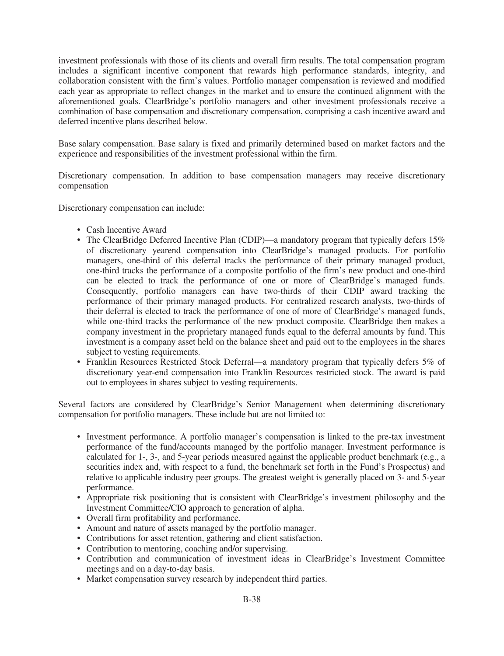investment professionals with those of its clients and overall firm results. The total compensation program includes a significant incentive component that rewards high performance standards, integrity, and collaboration consistent with the firm's values. Portfolio manager compensation is reviewed and modified each year as appropriate to reflect changes in the market and to ensure the continued alignment with the aforementioned goals. ClearBridge's portfolio managers and other investment professionals receive a combination of base compensation and discretionary compensation, comprising a cash incentive award and deferred incentive plans described below.

Base salary compensation. Base salary is fixed and primarily determined based on market factors and the experience and responsibilities of the investment professional within the firm.

Discretionary compensation. In addition to base compensation managers may receive discretionary compensation

Discretionary compensation can include:

- Cash Incentive Award
- The ClearBridge Deferred Incentive Plan (CDIP)—a mandatory program that typically defers 15% of discretionary yearend compensation into ClearBridge's managed products. For portfolio managers, one-third of this deferral tracks the performance of their primary managed product, one-third tracks the performance of a composite portfolio of the firm's new product and one-third can be elected to track the performance of one or more of ClearBridge's managed funds. Consequently, portfolio managers can have two-thirds of their CDIP award tracking the performance of their primary managed products. For centralized research analysts, two-thirds of their deferral is elected to track the performance of one of more of ClearBridge's managed funds, while one-third tracks the performance of the new product composite. ClearBridge then makes a company investment in the proprietary managed funds equal to the deferral amounts by fund. This investment is a company asset held on the balance sheet and paid out to the employees in the shares subject to vesting requirements.
- Franklin Resources Restricted Stock Deferral—a mandatory program that typically defers 5% of discretionary year-end compensation into Franklin Resources restricted stock. The award is paid out to employees in shares subject to vesting requirements.

Several factors are considered by ClearBridge's Senior Management when determining discretionary compensation for portfolio managers. These include but are not limited to:

- Investment performance. A portfolio manager's compensation is linked to the pre-tax investment performance of the fund/accounts managed by the portfolio manager. Investment performance is calculated for 1-, 3-, and 5-year periods measured against the applicable product benchmark (e.g., a securities index and, with respect to a fund, the benchmark set forth in the Fund's Prospectus) and relative to applicable industry peer groups. The greatest weight is generally placed on 3- and 5-year performance.
- Appropriate risk positioning that is consistent with ClearBridge's investment philosophy and the Investment Committee/CIO approach to generation of alpha.
- Overall firm profitability and performance.
- Amount and nature of assets managed by the portfolio manager.
- Contributions for asset retention, gathering and client satisfaction.
- Contribution to mentoring, coaching and/or supervising.
- Contribution and communication of investment ideas in ClearBridge's Investment Committee meetings and on a day-to-day basis.
- Market compensation survey research by independent third parties.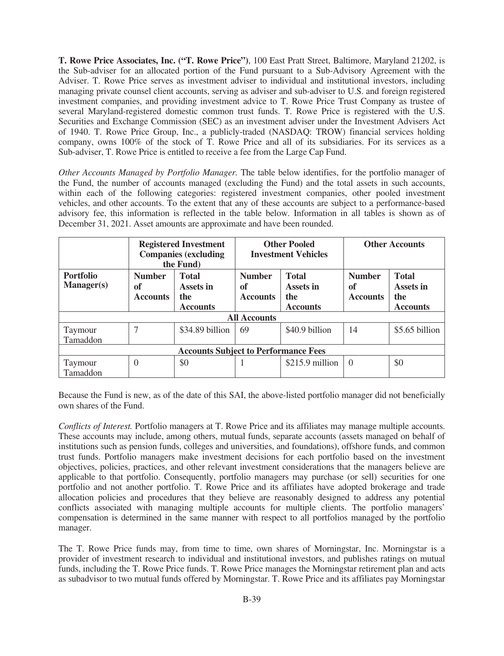**T. Rowe Price Associates, Inc. ("T. Rowe Price")**, 100 East Pratt Street, Baltimore, Maryland 21202, is the Sub-adviser for an allocated portion of the Fund pursuant to a Sub-Advisory Agreement with the Adviser. T. Rowe Price serves as investment adviser to individual and institutional investors, including managing private counsel client accounts, serving as adviser and sub-adviser to U.S. and foreign registered investment companies, and providing investment advice to T. Rowe Price Trust Company as trustee of several Maryland-registered domestic common trust funds. T. Rowe Price is registered with the U.S. Securities and Exchange Commission (SEC) as an investment adviser under the Investment Advisers Act of 1940. T. Rowe Price Group, Inc., a publicly-traded (NASDAQ: TROW) financial services holding company, owns 100% of the stock of T. Rowe Price and all of its subsidiaries. For its services as a Sub-adviser, T. Rowe Price is entitled to receive a fee from the Large Cap Fund.

*Other Accounts Managed by Portfolio Manager.* The table below identifies, for the portfolio manager of the Fund, the number of accounts managed (excluding the Fund) and the total assets in such accounts, within each of the following categories: registered investment companies, other pooled investment vehicles, and other accounts. To the extent that any of these accounts are subject to a performance-based advisory fee, this information is reflected in the table below. Information in all tables is shown as of December 31, 2021. Asset amounts are approximate and have been rounded.

|                                             | <b>Registered Investment</b><br><b>Companies (excluding</b><br>the Fund) |                                                     |                                        | <b>Other Pooled</b><br><b>Investment Vehicles</b>   | <b>Other Accounts</b>                  |                                                     |
|---------------------------------------------|--------------------------------------------------------------------------|-----------------------------------------------------|----------------------------------------|-----------------------------------------------------|----------------------------------------|-----------------------------------------------------|
| <b>Portfolio</b><br><b>Manager(s)</b>       | <b>Number</b><br>of<br><b>Accounts</b>                                   | <b>Total</b><br>Assets in<br>the<br><b>Accounts</b> | <b>Number</b><br>of<br><b>Accounts</b> | <b>Total</b><br>Assets in<br>the<br><b>Accounts</b> | <b>Number</b><br>of<br><b>Accounts</b> | <b>Total</b><br>Assets in<br>the<br><b>Accounts</b> |
|                                             |                                                                          |                                                     | <b>All Accounts</b>                    |                                                     |                                        |                                                     |
| Taymour<br>Tamaddon                         | $\mathbf{r}$                                                             | \$34.89 billion                                     | 69                                     | \$40.9 billion                                      | 14                                     | \$5.65 billion                                      |
| <b>Accounts Subject to Performance Fees</b> |                                                                          |                                                     |                                        |                                                     |                                        |                                                     |
| Taymour<br>Tamaddon                         | $\theta$                                                                 | \$0                                                 |                                        | $$215.9$ million                                    | $\Omega$                               | \$0                                                 |

Because the Fund is new, as of the date of this SAI, the above-listed portfolio manager did not beneficially own shares of the Fund.

*Conflicts of Interest.* Portfolio managers at T. Rowe Price and its affiliates may manage multiple accounts. These accounts may include, among others, mutual funds, separate accounts (assets managed on behalf of institutions such as pension funds, colleges and universities, and foundations), offshore funds, and common trust funds. Portfolio managers make investment decisions for each portfolio based on the investment objectives, policies, practices, and other relevant investment considerations that the managers believe are applicable to that portfolio. Consequently, portfolio managers may purchase (or sell) securities for one portfolio and not another portfolio. T. Rowe Price and its affiliates have adopted brokerage and trade allocation policies and procedures that they believe are reasonably designed to address any potential conflicts associated with managing multiple accounts for multiple clients. The portfolio managers' compensation is determined in the same manner with respect to all portfolios managed by the portfolio manager.

The T. Rowe Price funds may, from time to time, own shares of Morningstar, Inc. Morningstar is a provider of investment research to individual and institutional investors, and publishes ratings on mutual funds, including the T. Rowe Price funds. T. Rowe Price manages the Morningstar retirement plan and acts as subadvisor to two mutual funds offered by Morningstar. T. Rowe Price and its affiliates pay Morningstar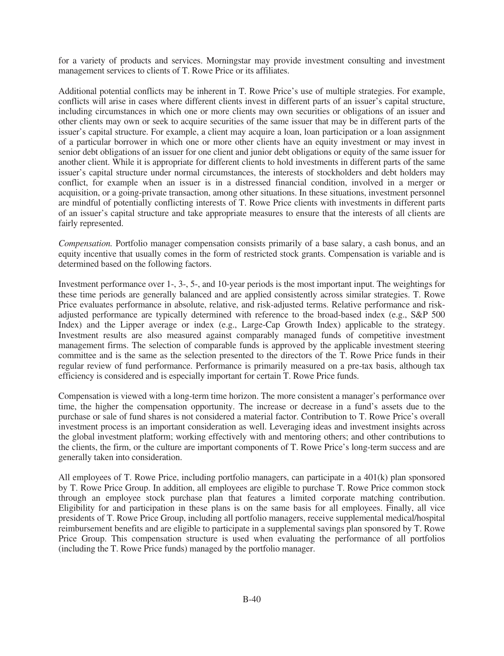for a variety of products and services. Morningstar may provide investment consulting and investment management services to clients of T. Rowe Price or its affiliates.

Additional potential conflicts may be inherent in T. Rowe Price's use of multiple strategies. For example, conflicts will arise in cases where different clients invest in different parts of an issuer's capital structure, including circumstances in which one or more clients may own securities or obligations of an issuer and other clients may own or seek to acquire securities of the same issuer that may be in different parts of the issuer's capital structure. For example, a client may acquire a loan, loan participation or a loan assignment of a particular borrower in which one or more other clients have an equity investment or may invest in senior debt obligations of an issuer for one client and junior debt obligations or equity of the same issuer for another client. While it is appropriate for different clients to hold investments in different parts of the same issuer's capital structure under normal circumstances, the interests of stockholders and debt holders may conflict, for example when an issuer is in a distressed financial condition, involved in a merger or acquisition, or a going-private transaction, among other situations. In these situations, investment personnel are mindful of potentially conflicting interests of T. Rowe Price clients with investments in different parts of an issuer's capital structure and take appropriate measures to ensure that the interests of all clients are fairly represented.

*Compensation.* Portfolio manager compensation consists primarily of a base salary, a cash bonus, and an equity incentive that usually comes in the form of restricted stock grants. Compensation is variable and is determined based on the following factors.

Investment performance over 1-, 3-, 5-, and 10-year periods is the most important input. The weightings for these time periods are generally balanced and are applied consistently across similar strategies. T. Rowe Price evaluates performance in absolute, relative, and risk-adjusted terms. Relative performance and riskadjusted performance are typically determined with reference to the broad-based index (e.g., S&P 500 Index) and the Lipper average or index (e.g., Large-Cap Growth Index) applicable to the strategy. Investment results are also measured against comparably managed funds of competitive investment management firms. The selection of comparable funds is approved by the applicable investment steering committee and is the same as the selection presented to the directors of the T. Rowe Price funds in their regular review of fund performance. Performance is primarily measured on a pre-tax basis, although tax efficiency is considered and is especially important for certain T. Rowe Price funds.

Compensation is viewed with a long-term time horizon. The more consistent a manager's performance over time, the higher the compensation opportunity. The increase or decrease in a fund's assets due to the purchase or sale of fund shares is not considered a material factor. Contribution to T. Rowe Price's overall investment process is an important consideration as well. Leveraging ideas and investment insights across the global investment platform; working effectively with and mentoring others; and other contributions to the clients, the firm, or the culture are important components of T. Rowe Price's long-term success and are generally taken into consideration.

All employees of T. Rowe Price, including portfolio managers, can participate in a 401(k) plan sponsored by T. Rowe Price Group. In addition, all employees are eligible to purchase T. Rowe Price common stock through an employee stock purchase plan that features a limited corporate matching contribution. Eligibility for and participation in these plans is on the same basis for all employees. Finally, all vice presidents of T. Rowe Price Group, including all portfolio managers, receive supplemental medical/hospital reimbursement benefits and are eligible to participate in a supplemental savings plan sponsored by T. Rowe Price Group. This compensation structure is used when evaluating the performance of all portfolios (including the T. Rowe Price funds) managed by the portfolio manager.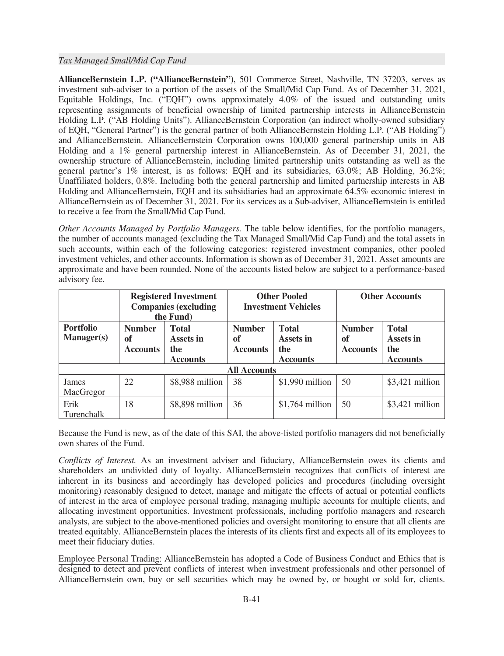## *Tax Managed Small/Mid Cap Fund*

**AllianceBernstein L.P. ("AllianceBernstein")**, 501 Commerce Street, Nashville, TN 37203, serves as investment sub-adviser to a portion of the assets of the Small/Mid Cap Fund. As of December 31, 2021, Equitable Holdings, Inc. ("EQH") owns approximately 4.0% of the issued and outstanding units representing assignments of beneficial ownership of limited partnership interests in AllianceBernstein Holding L.P. ("AB Holding Units"). AllianceBernstein Corporation (an indirect wholly-owned subsidiary of EQH, "General Partner") is the general partner of both AllianceBernstein Holding L.P. ("AB Holding") and AllianceBernstein. AllianceBernstein Corporation owns 100,000 general partnership units in AB Holding and a 1% general partnership interest in AllianceBernstein. As of December 31, 2021, the ownership structure of AllianceBernstein, including limited partnership units outstanding as well as the general partner's 1% interest, is as follows: EQH and its subsidiaries, 63.0%; AB Holding, 36.2%; Unaffiliated holders, 0.8%. Including both the general partnership and limited partnership interests in AB Holding and AllianceBernstein, EQH and its subsidiaries had an approximate 64.5% economic interest in AllianceBernstein as of December 31, 2021. For its services as a Sub-adviser, AllianceBernstein is entitled to receive a fee from the Small/Mid Cap Fund.

*Other Accounts Managed by Portfolio Managers.* The table below identifies, for the portfolio managers, the number of accounts managed (excluding the Tax Managed Small/Mid Cap Fund) and the total assets in such accounts, within each of the following categories: registered investment companies, other pooled investment vehicles, and other accounts. Information is shown as of December 31, 2021. Asset amounts are approximate and have been rounded. None of the accounts listed below are subject to a performance-based advisory fee.

|                                       |                                        | <b>Registered Investment</b><br><b>Companies (excluding</b><br>the Fund) | <b>Other Pooled</b><br><b>Investment Vehicles</b>                                             |                  | <b>Other Accounts</b>                  |                                                     |
|---------------------------------------|----------------------------------------|--------------------------------------------------------------------------|-----------------------------------------------------------------------------------------------|------------------|----------------------------------------|-----------------------------------------------------|
| <b>Portfolio</b><br><b>Manager(s)</b> | <b>Number</b><br>of<br><b>Accounts</b> | <b>Total</b><br>Assets in<br>the<br><b>Accounts</b>                      | <b>Total</b><br><b>Number</b><br>Assets in<br>of<br>the<br><b>Accounts</b><br><b>Accounts</b> |                  | <b>Number</b><br>of<br><b>Accounts</b> | <b>Total</b><br>Assets in<br>the<br><b>Accounts</b> |
|                                       |                                        |                                                                          | <b>All Accounts</b>                                                                           |                  |                                        |                                                     |
| James<br>MacGregor                    | 22                                     | \$8,988 million                                                          | 38                                                                                            | \$1,990 million  | 50                                     | $$3,421$ million                                    |
| Erik<br>Turenchalk                    | 18                                     | \$8,898 million                                                          | 36                                                                                            | $$1,764$ million | 50                                     | $$3,421$ million                                    |

Because the Fund is new, as of the date of this SAI, the above-listed portfolio managers did not beneficially own shares of the Fund.

*Conflicts of Interest.* As an investment adviser and fiduciary, AllianceBernstein owes its clients and shareholders an undivided duty of loyalty. AllianceBernstein recognizes that conflicts of interest are inherent in its business and accordingly has developed policies and procedures (including oversight monitoring) reasonably designed to detect, manage and mitigate the effects of actual or potential conflicts of interest in the area of employee personal trading, managing multiple accounts for multiple clients, and allocating investment opportunities. Investment professionals, including portfolio managers and research analysts, are subject to the above-mentioned policies and oversight monitoring to ensure that all clients are treated equitably. AllianceBernstein places the interests of its clients first and expects all of its employees to meet their fiduciary duties.

Employee Personal Trading: AllianceBernstein has adopted a Code of Business Conduct and Ethics that is designed to detect and prevent conflicts of interest when investment professionals and other personnel of AllianceBernstein own, buy or sell securities which may be owned by, or bought or sold for, clients.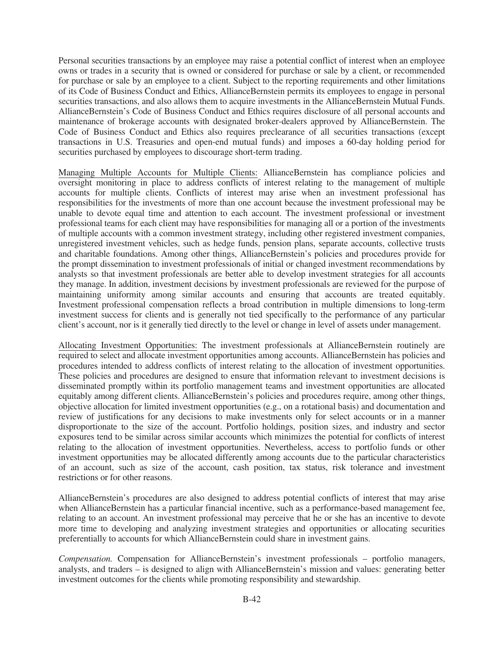Personal securities transactions by an employee may raise a potential conflict of interest when an employee owns or trades in a security that is owned or considered for purchase or sale by a client, or recommended for purchase or sale by an employee to a client. Subject to the reporting requirements and other limitations of its Code of Business Conduct and Ethics, AllianceBernstein permits its employees to engage in personal securities transactions, and also allows them to acquire investments in the AllianceBernstein Mutual Funds. AllianceBernstein's Code of Business Conduct and Ethics requires disclosure of all personal accounts and maintenance of brokerage accounts with designated broker-dealers approved by AllianceBernstein. The Code of Business Conduct and Ethics also requires preclearance of all securities transactions (except transactions in U.S. Treasuries and open-end mutual funds) and imposes a 60-day holding period for securities purchased by employees to discourage short-term trading.

Managing Multiple Accounts for Multiple Clients: AllianceBernstein has compliance policies and oversight monitoring in place to address conflicts of interest relating to the management of multiple accounts for multiple clients. Conflicts of interest may arise when an investment professional has responsibilities for the investments of more than one account because the investment professional may be unable to devote equal time and attention to each account. The investment professional or investment professional teams for each client may have responsibilities for managing all or a portion of the investments of multiple accounts with a common investment strategy, including other registered investment companies, unregistered investment vehicles, such as hedge funds, pension plans, separate accounts, collective trusts and charitable foundations. Among other things, AllianceBernstein's policies and procedures provide for the prompt dissemination to investment professionals of initial or changed investment recommendations by analysts so that investment professionals are better able to develop investment strategies for all accounts they manage. In addition, investment decisions by investment professionals are reviewed for the purpose of maintaining uniformity among similar accounts and ensuring that accounts are treated equitably. Investment professional compensation reflects a broad contribution in multiple dimensions to long-term investment success for clients and is generally not tied specifically to the performance of any particular client's account, nor is it generally tied directly to the level or change in level of assets under management.

Allocating Investment Opportunities: The investment professionals at AllianceBernstein routinely are required to select and allocate investment opportunities among accounts. AllianceBernstein has policies and procedures intended to address conflicts of interest relating to the allocation of investment opportunities. These policies and procedures are designed to ensure that information relevant to investment decisions is disseminated promptly within its portfolio management teams and investment opportunities are allocated equitably among different clients. AllianceBernstein's policies and procedures require, among other things, objective allocation for limited investment opportunities (e.g., on a rotational basis) and documentation and review of justifications for any decisions to make investments only for select accounts or in a manner disproportionate to the size of the account. Portfolio holdings, position sizes, and industry and sector exposures tend to be similar across similar accounts which minimizes the potential for conflicts of interest relating to the allocation of investment opportunities. Nevertheless, access to portfolio funds or other investment opportunities may be allocated differently among accounts due to the particular characteristics of an account, such as size of the account, cash position, tax status, risk tolerance and investment restrictions or for other reasons.

AllianceBernstein's procedures are also designed to address potential conflicts of interest that may arise when AllianceBernstein has a particular financial incentive, such as a performance-based management fee, relating to an account. An investment professional may perceive that he or she has an incentive to devote more time to developing and analyzing investment strategies and opportunities or allocating securities preferentially to accounts for which AllianceBernstein could share in investment gains.

*Compensation.* Compensation for AllianceBernstein's investment professionals – portfolio managers, analysts, and traders – is designed to align with AllianceBernstein's mission and values: generating better investment outcomes for the clients while promoting responsibility and stewardship.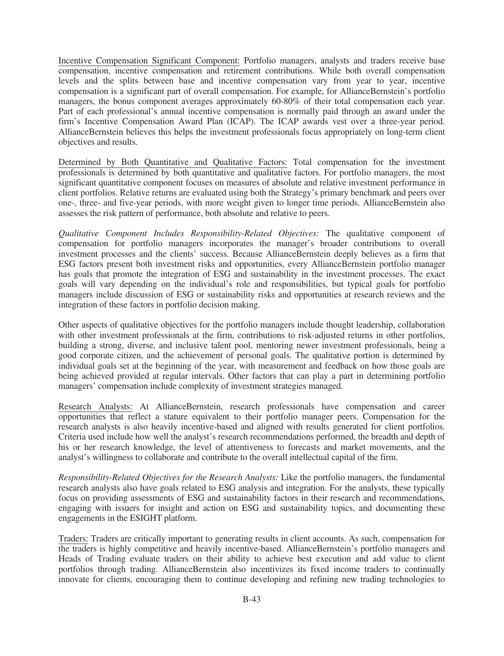Incentive Compensation Significant Component: Portfolio managers, analysts and traders receive base compensation, incentive compensation and retirement contributions. While both overall compensation levels and the splits between base and incentive compensation vary from year to year, incentive compensation is a significant part of overall compensation. For example, for AllianceBernstein's portfolio managers, the bonus component averages approximately 60-80% of their total compensation each year. Part of each professional's annual incentive compensation is normally paid through an award under the firm's Incentive Compensation Award Plan (ICAP). The ICAP awards vest over a three-year period. AllianceBernstein believes this helps the investment professionals focus appropriately on long-term client objectives and results.

Determined by Both Quantitative and Qualitative Factors: Total compensation for the investment professionals is determined by both quantitative and qualitative factors. For portfolio managers, the most significant quantitative component focuses on measures of absolute and relative investment performance in client portfolios. Relative returns are evaluated using both the Strategy's primary benchmark and peers over one-, three- and five-year periods, with more weight given to longer time periods. AllianceBernstein also assesses the risk pattern of performance, both absolute and relative to peers.

*Qualitative Component Includes Responsibility-Related Objectives:* The qualitative component of compensation for portfolio managers incorporates the manager's broader contributions to overall investment processes and the clients' success. Because AllianceBernstein deeply believes as a firm that ESG factors present both investment risks and opportunities, every AllianceBernstein portfolio manager has goals that promote the integration of ESG and sustainability in the investment processes. The exact goals will vary depending on the individual's role and responsibilities, but typical goals for portfolio managers include discussion of ESG or sustainability risks and opportunities at research reviews and the integration of these factors in portfolio decision making.

Other aspects of qualitative objectives for the portfolio managers include thought leadership, collaboration with other investment professionals at the firm, contributions to risk-adjusted returns in other portfolios, building a strong, diverse, and inclusive talent pool, mentoring newer investment professionals, being a good corporate citizen, and the achievement of personal goals. The qualitative portion is determined by individual goals set at the beginning of the year, with measurement and feedback on how those goals are being achieved provided at regular intervals. Other factors that can play a part in determining portfolio managers' compensation include complexity of investment strategies managed.

Research Analysts: At AllianceBernstein, research professionals have compensation and career opportunities that reflect a stature equivalent to their portfolio manager peers. Compensation for the research analysts is also heavily incentive-based and aligned with results generated for client portfolios. Criteria used include how well the analyst's research recommendations performed, the breadth and depth of his or her research knowledge, the level of attentiveness to forecasts and market movements, and the analyst's willingness to collaborate and contribute to the overall intellectual capital of the firm.

*Responsibility-Related Objectives for the Research Analysts:* Like the portfolio managers, the fundamental research analysts also have goals related to ESG analysis and integration. For the analysts, these typically focus on providing assessments of ESG and sustainability factors in their research and recommendations, engaging with issuers for insight and action on ESG and sustainability topics, and documenting these engagements in the ESIGHT platform.

Traders: Traders are critically important to generating results in client accounts. As such, compensation for the traders is highly competitive and heavily incentive-based. AllianceBernstein's portfolio managers and Heads of Trading evaluate traders on their ability to achieve best execution and add value to client portfolios through trading. AllianceBernstein also incentivizes its fixed income traders to continually innovate for clients, encouraging them to continue developing and refining new trading technologies to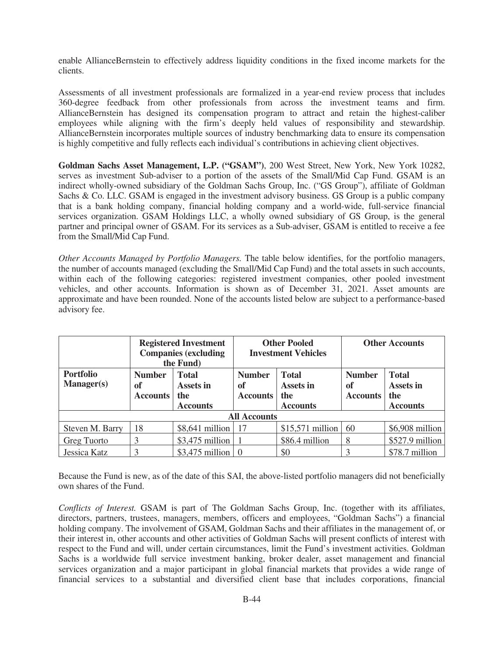enable AllianceBernstein to effectively address liquidity conditions in the fixed income markets for the clients.

Assessments of all investment professionals are formalized in a year-end review process that includes 360-degree feedback from other professionals from across the investment teams and firm. AllianceBernstein has designed its compensation program to attract and retain the highest-caliber employees while aligning with the firm's deeply held values of responsibility and stewardship. AllianceBernstein incorporates multiple sources of industry benchmarking data to ensure its compensation is highly competitive and fully reflects each individual's contributions in achieving client objectives.

**Goldman Sachs Asset Management, L.P. ("GSAM")**, 200 West Street, New York, New York 10282, serves as investment Sub-adviser to a portion of the assets of the Small/Mid Cap Fund. GSAM is an indirect wholly-owned subsidiary of the Goldman Sachs Group, Inc. ("GS Group"), affiliate of Goldman Sachs & Co. LLC. GSAM is engaged in the investment advisory business. GS Group is a public company that is a bank holding company, financial holding company and a world-wide, full-service financial services organization. GSAM Holdings LLC, a wholly owned subsidiary of GS Group, is the general partner and principal owner of GSAM. For its services as a Sub-adviser, GSAM is entitled to receive a fee from the Small/Mid Cap Fund.

*Other Accounts Managed by Portfolio Managers.* The table below identifies, for the portfolio managers, the number of accounts managed (excluding the Small/Mid Cap Fund) and the total assets in such accounts, within each of the following categories: registered investment companies, other pooled investment vehicles, and other accounts. Information is shown as of December 31, 2021. Asset amounts are approximate and have been rounded. None of the accounts listed below are subject to a performance-based advisory fee.

|                                       | <b>Registered Investment</b><br><b>Companies (excluding</b><br>the Fund) |                                                     |                                        | <b>Other Pooled</b><br><b>Investment Vehicles</b>   | <b>Other Accounts</b>                  |                                                     |
|---------------------------------------|--------------------------------------------------------------------------|-----------------------------------------------------|----------------------------------------|-----------------------------------------------------|----------------------------------------|-----------------------------------------------------|
| <b>Portfolio</b><br><b>Manager(s)</b> | <b>Number</b><br>of<br><b>Accounts</b>                                   | <b>Total</b><br>Assets in<br>the<br><b>Accounts</b> | <b>Number</b><br>of<br><b>Accounts</b> | <b>Total</b><br>Assets in<br>the<br><b>Accounts</b> | <b>Number</b><br>of<br><b>Accounts</b> | <b>Total</b><br>Assets in<br>the<br><b>Accounts</b> |
|                                       |                                                                          |                                                     | <b>All Accounts</b>                    |                                                     |                                        |                                                     |
| Steven M. Barry                       | 18                                                                       | $$8,641$ million                                    | 17                                     | $$15,571$ million                                   | 60                                     | $$6,908$ million                                    |
| Greg Tuorto                           | 3                                                                        | $$3,475$ million                                    |                                        | \$86.4 million                                      | 8                                      | $$527.9$ million                                    |
| Jessica Katz                          |                                                                          | \$3,475 million $\vert 0 \vert$                     |                                        | \$0                                                 |                                        | \$78.7 million                                      |

Because the Fund is new, as of the date of this SAI, the above-listed portfolio managers did not beneficially own shares of the Fund.

*Conflicts of Interest.* GSAM is part of The Goldman Sachs Group, Inc. (together with its affiliates, directors, partners, trustees, managers, members, officers and employees, "Goldman Sachs") a financial holding company. The involvement of GSAM, Goldman Sachs and their affiliates in the management of, or their interest in, other accounts and other activities of Goldman Sachs will present conflicts of interest with respect to the Fund and will, under certain circumstances, limit the Fund's investment activities. Goldman Sachs is a worldwide full service investment banking, broker dealer, asset management and financial services organization and a major participant in global financial markets that provides a wide range of financial services to a substantial and diversified client base that includes corporations, financial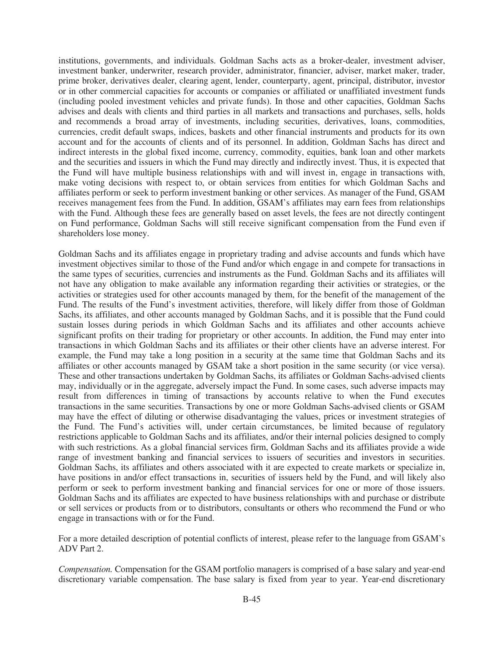institutions, governments, and individuals. Goldman Sachs acts as a broker-dealer, investment adviser, investment banker, underwriter, research provider, administrator, financier, adviser, market maker, trader, prime broker, derivatives dealer, clearing agent, lender, counterparty, agent, principal, distributor, investor or in other commercial capacities for accounts or companies or affiliated or unaffiliated investment funds (including pooled investment vehicles and private funds). In those and other capacities, Goldman Sachs advises and deals with clients and third parties in all markets and transactions and purchases, sells, holds and recommends a broad array of investments, including securities, derivatives, loans, commodities, currencies, credit default swaps, indices, baskets and other financial instruments and products for its own account and for the accounts of clients and of its personnel. In addition, Goldman Sachs has direct and indirect interests in the global fixed income, currency, commodity, equities, bank loan and other markets and the securities and issuers in which the Fund may directly and indirectly invest. Thus, it is expected that the Fund will have multiple business relationships with and will invest in, engage in transactions with, make voting decisions with respect to, or obtain services from entities for which Goldman Sachs and affiliates perform or seek to perform investment banking or other services. As manager of the Fund, GSAM receives management fees from the Fund. In addition, GSAM's affiliates may earn fees from relationships with the Fund. Although these fees are generally based on asset levels, the fees are not directly contingent on Fund performance, Goldman Sachs will still receive significant compensation from the Fund even if shareholders lose money.

Goldman Sachs and its affiliates engage in proprietary trading and advise accounts and funds which have investment objectives similar to those of the Fund and/or which engage in and compete for transactions in the same types of securities, currencies and instruments as the Fund. Goldman Sachs and its affiliates will not have any obligation to make available any information regarding their activities or strategies, or the activities or strategies used for other accounts managed by them, for the benefit of the management of the Fund. The results of the Fund's investment activities, therefore, will likely differ from those of Goldman Sachs, its affiliates, and other accounts managed by Goldman Sachs, and it is possible that the Fund could sustain losses during periods in which Goldman Sachs and its affiliates and other accounts achieve significant profits on their trading for proprietary or other accounts. In addition, the Fund may enter into transactions in which Goldman Sachs and its affiliates or their other clients have an adverse interest. For example, the Fund may take a long position in a security at the same time that Goldman Sachs and its affiliates or other accounts managed by GSAM take a short position in the same security (or vice versa). These and other transactions undertaken by Goldman Sachs, its affiliates or Goldman Sachs-advised clients may, individually or in the aggregate, adversely impact the Fund. In some cases, such adverse impacts may result from differences in timing of transactions by accounts relative to when the Fund executes transactions in the same securities. Transactions by one or more Goldman Sachs-advised clients or GSAM may have the effect of diluting or otherwise disadvantaging the values, prices or investment strategies of the Fund. The Fund's activities will, under certain circumstances, be limited because of regulatory restrictions applicable to Goldman Sachs and its affiliates, and/or their internal policies designed to comply with such restrictions. As a global financial services firm, Goldman Sachs and its affiliates provide a wide range of investment banking and financial services to issuers of securities and investors in securities. Goldman Sachs, its affiliates and others associated with it are expected to create markets or specialize in, have positions in and/or effect transactions in, securities of issuers held by the Fund, and will likely also perform or seek to perform investment banking and financial services for one or more of those issuers. Goldman Sachs and its affiliates are expected to have business relationships with and purchase or distribute or sell services or products from or to distributors, consultants or others who recommend the Fund or who engage in transactions with or for the Fund.

For a more detailed description of potential conflicts of interest, please refer to the language from GSAM's ADV Part 2.

*Compensation.* Compensation for the GSAM portfolio managers is comprised of a base salary and year-end discretionary variable compensation. The base salary is fixed from year to year. Year-end discretionary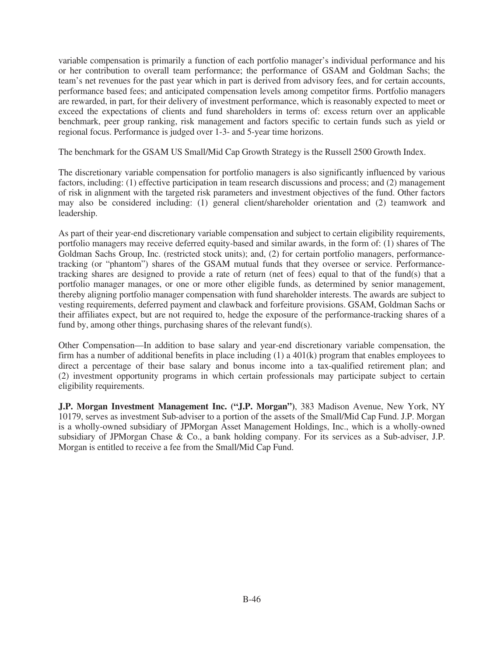variable compensation is primarily a function of each portfolio manager's individual performance and his or her contribution to overall team performance; the performance of GSAM and Goldman Sachs; the team's net revenues for the past year which in part is derived from advisory fees, and for certain accounts, performance based fees; and anticipated compensation levels among competitor firms. Portfolio managers are rewarded, in part, for their delivery of investment performance, which is reasonably expected to meet or exceed the expectations of clients and fund shareholders in terms of: excess return over an applicable benchmark, peer group ranking, risk management and factors specific to certain funds such as yield or regional focus. Performance is judged over 1-3- and 5-year time horizons.

The benchmark for the GSAM US Small/Mid Cap Growth Strategy is the Russell 2500 Growth Index.

The discretionary variable compensation for portfolio managers is also significantly influenced by various factors, including: (1) effective participation in team research discussions and process; and (2) management of risk in alignment with the targeted risk parameters and investment objectives of the fund. Other factors may also be considered including: (1) general client/shareholder orientation and (2) teamwork and leadership.

As part of their year-end discretionary variable compensation and subject to certain eligibility requirements, portfolio managers may receive deferred equity-based and similar awards, in the form of: (1) shares of The Goldman Sachs Group, Inc. (restricted stock units); and, (2) for certain portfolio managers, performancetracking (or "phantom") shares of the GSAM mutual funds that they oversee or service. Performancetracking shares are designed to provide a rate of return (net of fees) equal to that of the fund(s) that a portfolio manager manages, or one or more other eligible funds, as determined by senior management, thereby aligning portfolio manager compensation with fund shareholder interests. The awards are subject to vesting requirements, deferred payment and clawback and forfeiture provisions. GSAM, Goldman Sachs or their affiliates expect, but are not required to, hedge the exposure of the performance-tracking shares of a fund by, among other things, purchasing shares of the relevant fund(s).

Other Compensation—In addition to base salary and year-end discretionary variable compensation, the firm has a number of additional benefits in place including  $(1)$  a 401 $(k)$  program that enables employees to direct a percentage of their base salary and bonus income into a tax-qualified retirement plan; and (2) investment opportunity programs in which certain professionals may participate subject to certain eligibility requirements.

**J.P. Morgan Investment Management Inc. ("J.P. Morgan")**, 383 Madison Avenue, New York, NY 10179, serves as investment Sub-adviser to a portion of the assets of the Small/Mid Cap Fund. J.P. Morgan is a wholly-owned subsidiary of JPMorgan Asset Management Holdings, Inc., which is a wholly-owned subsidiary of JPMorgan Chase & Co., a bank holding company. For its services as a Sub-adviser, J.P. Morgan is entitled to receive a fee from the Small/Mid Cap Fund.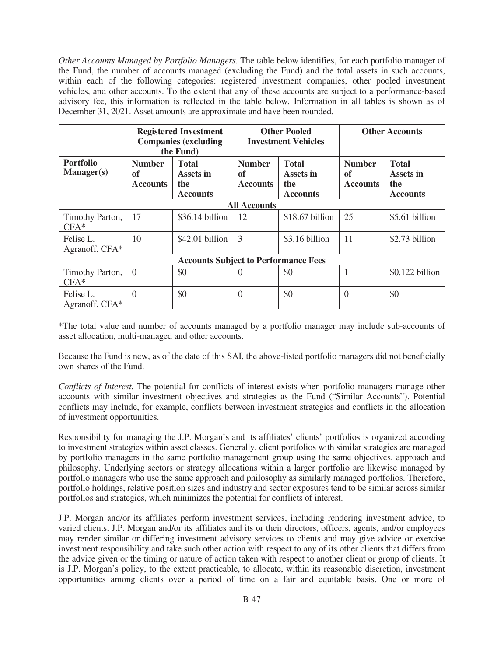*Other Accounts Managed by Portfolio Managers.* The table below identifies, for each portfolio manager of the Fund, the number of accounts managed (excluding the Fund) and the total assets in such accounts, within each of the following categories: registered investment companies, other pooled investment vehicles, and other accounts. To the extent that any of these accounts are subject to a performance-based advisory fee, this information is reflected in the table below. Information in all tables is shown as of December 31, 2021. Asset amounts are approximate and have been rounded.

|                                       |                                        | <b>Registered Investment</b><br><b>Companies (excluding</b><br>the Fund) | <b>Other Pooled</b><br><b>Investment Vehicles</b> |                                                     | <b>Other Accounts</b>                  |                                                     |
|---------------------------------------|----------------------------------------|--------------------------------------------------------------------------|---------------------------------------------------|-----------------------------------------------------|----------------------------------------|-----------------------------------------------------|
| <b>Portfolio</b><br><b>Manager(s)</b> | <b>Number</b><br>of<br><b>Accounts</b> | <b>Total</b><br>Assets in<br>the<br><b>Accounts</b>                      | <b>Number</b><br>of<br><b>Accounts</b>            | <b>Total</b><br>Assets in<br>the<br><b>Accounts</b> | <b>Number</b><br>of<br><b>Accounts</b> | <b>Total</b><br>Assets in<br>the<br><b>Accounts</b> |
|                                       |                                        |                                                                          | <b>All Accounts</b>                               |                                                     |                                        |                                                     |
| Timothy Parton,<br>$CFA*$             | 17                                     | \$36.14 billion                                                          | 12                                                | \$18.67 billion                                     | 25                                     | \$5.61 billion                                      |
| Felise L.<br>Agranoff, CFA*           | 10                                     | \$42.01 billion                                                          | $\overline{3}$                                    | \$3.16 billion                                      | 11                                     | \$2.73 billion                                      |
|                                       |                                        | <b>Accounts Subject to Performance Fees</b>                              |                                                   |                                                     |                                        |                                                     |
| Timothy Parton,<br>$CFA*$             | $\overline{0}$                         | \$0                                                                      | $\left( \right)$                                  | \$0                                                 |                                        | \$0.122 billion                                     |
| Felise L.<br>Agranoff, CFA*           | $\Omega$                               | \$0                                                                      | $\theta$                                          | \$0                                                 | $\overline{0}$                         | \$0                                                 |

\*The total value and number of accounts managed by a portfolio manager may include sub-accounts of asset allocation, multi-managed and other accounts.

Because the Fund is new, as of the date of this SAI, the above-listed portfolio managers did not beneficially own shares of the Fund.

*Conflicts of Interest.* The potential for conflicts of interest exists when portfolio managers manage other accounts with similar investment objectives and strategies as the Fund ("Similar Accounts"). Potential conflicts may include, for example, conflicts between investment strategies and conflicts in the allocation of investment opportunities.

Responsibility for managing the J.P. Morgan's and its affiliates' clients' portfolios is organized according to investment strategies within asset classes. Generally, client portfolios with similar strategies are managed by portfolio managers in the same portfolio management group using the same objectives, approach and philosophy. Underlying sectors or strategy allocations within a larger portfolio are likewise managed by portfolio managers who use the same approach and philosophy as similarly managed portfolios. Therefore, portfolio holdings, relative position sizes and industry and sector exposures tend to be similar across similar portfolios and strategies, which minimizes the potential for conflicts of interest.

J.P. Morgan and/or its affiliates perform investment services, including rendering investment advice, to varied clients. J.P. Morgan and/or its affiliates and its or their directors, officers, agents, and/or employees may render similar or differing investment advisory services to clients and may give advice or exercise investment responsibility and take such other action with respect to any of its other clients that differs from the advice given or the timing or nature of action taken with respect to another client or group of clients. It is J.P. Morgan's policy, to the extent practicable, to allocate, within its reasonable discretion, investment opportunities among clients over a period of time on a fair and equitable basis. One or more of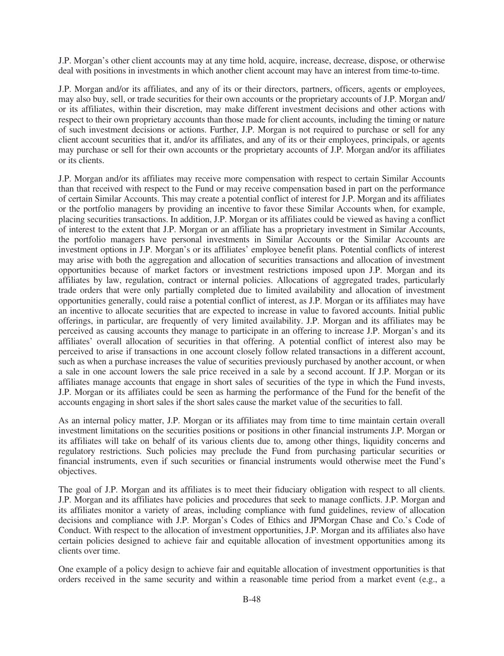J.P. Morgan's other client accounts may at any time hold, acquire, increase, decrease, dispose, or otherwise deal with positions in investments in which another client account may have an interest from time-to-time.

J.P. Morgan and/or its affiliates, and any of its or their directors, partners, officers, agents or employees, may also buy, sell, or trade securities for their own accounts or the proprietary accounts of J.P. Morgan and/ or its affiliates, within their discretion, may make different investment decisions and other actions with respect to their own proprietary accounts than those made for client accounts, including the timing or nature of such investment decisions or actions. Further, J.P. Morgan is not required to purchase or sell for any client account securities that it, and/or its affiliates, and any of its or their employees, principals, or agents may purchase or sell for their own accounts or the proprietary accounts of J.P. Morgan and/or its affiliates or its clients.

J.P. Morgan and/or its affiliates may receive more compensation with respect to certain Similar Accounts than that received with respect to the Fund or may receive compensation based in part on the performance of certain Similar Accounts. This may create a potential conflict of interest for J.P. Morgan and its affiliates or the portfolio managers by providing an incentive to favor these Similar Accounts when, for example, placing securities transactions. In addition, J.P. Morgan or its affiliates could be viewed as having a conflict of interest to the extent that J.P. Morgan or an affiliate has a proprietary investment in Similar Accounts, the portfolio managers have personal investments in Similar Accounts or the Similar Accounts are investment options in J.P. Morgan's or its affiliates' employee benefit plans. Potential conflicts of interest may arise with both the aggregation and allocation of securities transactions and allocation of investment opportunities because of market factors or investment restrictions imposed upon J.P. Morgan and its affiliates by law, regulation, contract or internal policies. Allocations of aggregated trades, particularly trade orders that were only partially completed due to limited availability and allocation of investment opportunities generally, could raise a potential conflict of interest, as J.P. Morgan or its affiliates may have an incentive to allocate securities that are expected to increase in value to favored accounts. Initial public offerings, in particular, are frequently of very limited availability. J.P. Morgan and its affiliates may be perceived as causing accounts they manage to participate in an offering to increase J.P. Morgan's and its affiliates' overall allocation of securities in that offering. A potential conflict of interest also may be perceived to arise if transactions in one account closely follow related transactions in a different account, such as when a purchase increases the value of securities previously purchased by another account, or when a sale in one account lowers the sale price received in a sale by a second account. If J.P. Morgan or its affiliates manage accounts that engage in short sales of securities of the type in which the Fund invests, J.P. Morgan or its affiliates could be seen as harming the performance of the Fund for the benefit of the accounts engaging in short sales if the short sales cause the market value of the securities to fall.

As an internal policy matter, J.P. Morgan or its affiliates may from time to time maintain certain overall investment limitations on the securities positions or positions in other financial instruments J.P. Morgan or its affiliates will take on behalf of its various clients due to, among other things, liquidity concerns and regulatory restrictions. Such policies may preclude the Fund from purchasing particular securities or financial instruments, even if such securities or financial instruments would otherwise meet the Fund's objectives.

The goal of J.P. Morgan and its affiliates is to meet their fiduciary obligation with respect to all clients. J.P. Morgan and its affiliates have policies and procedures that seek to manage conflicts. J.P. Morgan and its affiliates monitor a variety of areas, including compliance with fund guidelines, review of allocation decisions and compliance with J.P. Morgan's Codes of Ethics and JPMorgan Chase and Co.'s Code of Conduct. With respect to the allocation of investment opportunities, J.P. Morgan and its affiliates also have certain policies designed to achieve fair and equitable allocation of investment opportunities among its clients over time.

One example of a policy design to achieve fair and equitable allocation of investment opportunities is that orders received in the same security and within a reasonable time period from a market event (e.g., a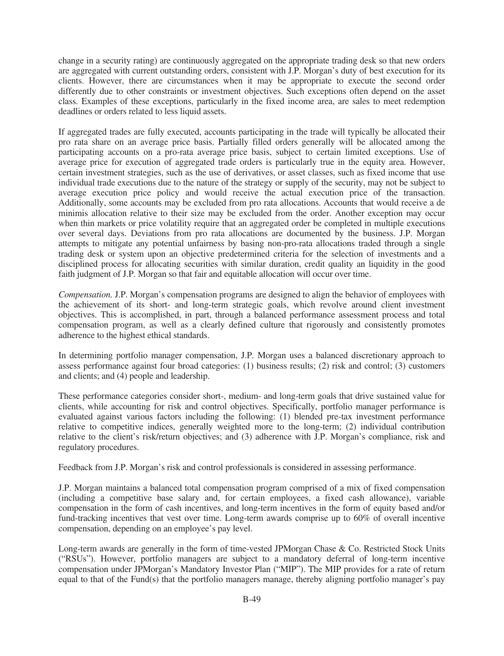change in a security rating) are continuously aggregated on the appropriate trading desk so that new orders are aggregated with current outstanding orders, consistent with J.P. Morgan's duty of best execution for its clients. However, there are circumstances when it may be appropriate to execute the second order differently due to other constraints or investment objectives. Such exceptions often depend on the asset class. Examples of these exceptions, particularly in the fixed income area, are sales to meet redemption deadlines or orders related to less liquid assets.

If aggregated trades are fully executed, accounts participating in the trade will typically be allocated their pro rata share on an average price basis. Partially filled orders generally will be allocated among the participating accounts on a pro-rata average price basis, subject to certain limited exceptions. Use of average price for execution of aggregated trade orders is particularly true in the equity area. However, certain investment strategies, such as the use of derivatives, or asset classes, such as fixed income that use individual trade executions due to the nature of the strategy or supply of the security, may not be subject to average execution price policy and would receive the actual execution price of the transaction. Additionally, some accounts may be excluded from pro rata allocations. Accounts that would receive a de minimis allocation relative to their size may be excluded from the order. Another exception may occur when thin markets or price volatility require that an aggregated order be completed in multiple executions over several days. Deviations from pro rata allocations are documented by the business. J.P. Morgan attempts to mitigate any potential unfairness by basing non-pro-rata allocations traded through a single trading desk or system upon an objective predetermined criteria for the selection of investments and a disciplined process for allocating securities with similar duration, credit quality an liquidity in the good faith judgment of J.P. Morgan so that fair and equitable allocation will occur over time.

*Compensation.* J.P. Morgan's compensation programs are designed to align the behavior of employees with the achievement of its short- and long-term strategic goals, which revolve around client investment objectives. This is accomplished, in part, through a balanced performance assessment process and total compensation program, as well as a clearly defined culture that rigorously and consistently promotes adherence to the highest ethical standards.

In determining portfolio manager compensation, J.P. Morgan uses a balanced discretionary approach to assess performance against four broad categories: (1) business results; (2) risk and control; (3) customers and clients; and (4) people and leadership.

These performance categories consider short-, medium- and long-term goals that drive sustained value for clients, while accounting for risk and control objectives. Specifically, portfolio manager performance is evaluated against various factors including the following: (1) blended pre-tax investment performance relative to competitive indices, generally weighted more to the long-term; (2) individual contribution relative to the client's risk/return objectives; and (3) adherence with J.P. Morgan's compliance, risk and regulatory procedures.

Feedback from J.P. Morgan's risk and control professionals is considered in assessing performance.

J.P. Morgan maintains a balanced total compensation program comprised of a mix of fixed compensation (including a competitive base salary and, for certain employees, a fixed cash allowance), variable compensation in the form of cash incentives, and long-term incentives in the form of equity based and/or fund-tracking incentives that vest over time. Long-term awards comprise up to 60% of overall incentive compensation, depending on an employee's pay level.

Long-term awards are generally in the form of time-vested JPMorgan Chase & Co. Restricted Stock Units ("RSUs"). However, portfolio managers are subject to a mandatory deferral of long-term incentive compensation under JPMorgan's Mandatory Investor Plan ("MIP"). The MIP provides for a rate of return equal to that of the Fund(s) that the portfolio managers manage, thereby aligning portfolio manager's pay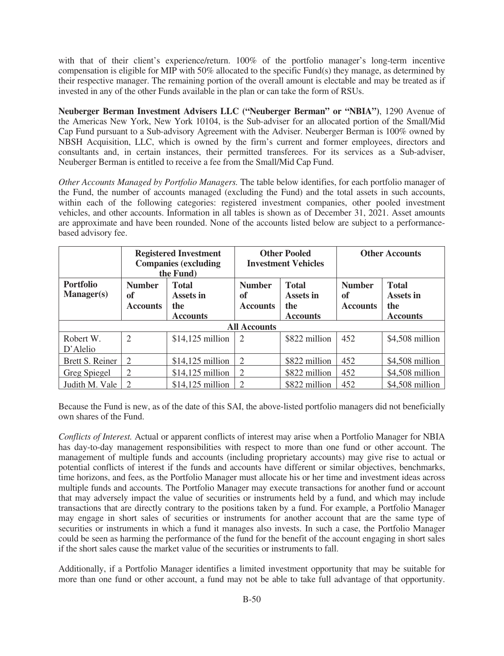with that of their client's experience/return. 100% of the portfolio manager's long-term incentive compensation is eligible for MIP with 50% allocated to the specific Fund(s) they manage, as determined by their respective manager. The remaining portion of the overall amount is electable and may be treated as if invested in any of the other Funds available in the plan or can take the form of RSUs.

**Neuberger Berman Investment Advisers LLC ("Neuberger Berman" or "NBIA")**, 1290 Avenue of the Americas New York, New York 10104, is the Sub-adviser for an allocated portion of the Small/Mid Cap Fund pursuant to a Sub-advisory Agreement with the Adviser. Neuberger Berman is 100% owned by NBSH Acquisition, LLC, which is owned by the firm's current and former employees, directors and consultants and, in certain instances, their permitted transferees. For its services as a Sub-adviser, Neuberger Berman is entitled to receive a fee from the Small/Mid Cap Fund.

*Other Accounts Managed by Portfolio Managers.* The table below identifies, for each portfolio manager of the Fund, the number of accounts managed (excluding the Fund) and the total assets in such accounts, within each of the following categories: registered investment companies, other pooled investment vehicles, and other accounts. Information in all tables is shown as of December 31, 2021. Asset amounts are approximate and have been rounded. None of the accounts listed below are subject to a performancebased advisory fee.

|                                       | <b>Registered Investment</b><br><b>Companies (excluding</b><br>the Fund)                      |                   |                                        | <b>Other Pooled</b><br><b>Investment Vehicles</b>   | <b>Other Accounts</b>                  |                                                     |
|---------------------------------------|-----------------------------------------------------------------------------------------------|-------------------|----------------------------------------|-----------------------------------------------------|----------------------------------------|-----------------------------------------------------|
| <b>Portfolio</b><br><b>Manager(s)</b> | <b>Number</b><br><b>Total</b><br>of<br>Assets in<br>the<br><b>Accounts</b><br><b>Accounts</b> |                   | <b>Number</b><br>of<br><b>Accounts</b> | <b>Total</b><br>Assets in<br>the<br><b>Accounts</b> | <b>Number</b><br>of<br><b>Accounts</b> | <b>Total</b><br>Assets in<br>the<br><b>Accounts</b> |
|                                       |                                                                                               |                   | <b>All Accounts</b>                    |                                                     |                                        |                                                     |
| Robert W.<br>D'Alelio                 | $\overline{2}$                                                                                | $$14,125$ million | $\overline{2}$                         | \$822 million                                       | 452                                    | \$4,508 million                                     |
| Brett S. Reiner                       | $\overline{2}$                                                                                | $$14,125$ million | 2                                      | \$822 million                                       | 452                                    | $$4,508$ million                                    |
| Greg Spiegel                          | $\overline{2}$                                                                                | $$14,125$ million | $\overline{2}$                         | \$822 million                                       | 452                                    | \$4,508 million                                     |
| Judith M. Vale                        |                                                                                               | $$14,125$ million | $\overline{2}$                         | \$822 million                                       | 452                                    | \$4,508 million                                     |

Because the Fund is new, as of the date of this SAI, the above-listed portfolio managers did not beneficially own shares of the Fund.

*Conflicts of Interest.* Actual or apparent conflicts of interest may arise when a Portfolio Manager for NBIA has day-to-day management responsibilities with respect to more than one fund or other account. The management of multiple funds and accounts (including proprietary accounts) may give rise to actual or potential conflicts of interest if the funds and accounts have different or similar objectives, benchmarks, time horizons, and fees, as the Portfolio Manager must allocate his or her time and investment ideas across multiple funds and accounts. The Portfolio Manager may execute transactions for another fund or account that may adversely impact the value of securities or instruments held by a fund, and which may include transactions that are directly contrary to the positions taken by a fund. For example, a Portfolio Manager may engage in short sales of securities or instruments for another account that are the same type of securities or instruments in which a fund it manages also invests. In such a case, the Portfolio Manager could be seen as harming the performance of the fund for the benefit of the account engaging in short sales if the short sales cause the market value of the securities or instruments to fall.

Additionally, if a Portfolio Manager identifies a limited investment opportunity that may be suitable for more than one fund or other account, a fund may not be able to take full advantage of that opportunity.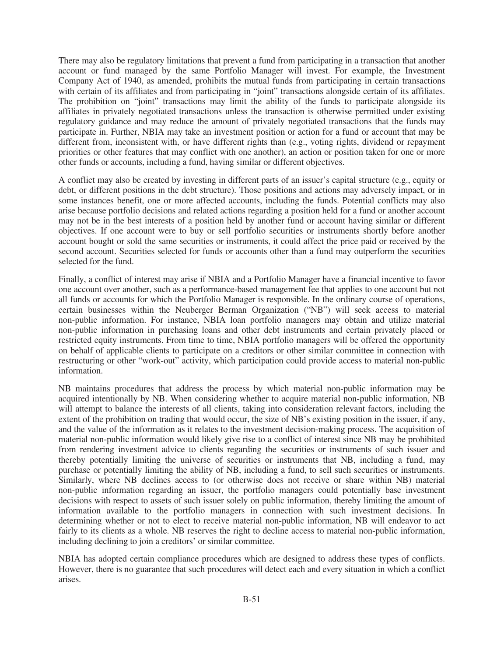There may also be regulatory limitations that prevent a fund from participating in a transaction that another account or fund managed by the same Portfolio Manager will invest. For example, the Investment Company Act of 1940, as amended, prohibits the mutual funds from participating in certain transactions with certain of its affiliates and from participating in "joint" transactions alongside certain of its affiliates. The prohibition on "joint" transactions may limit the ability of the funds to participate alongside its affiliates in privately negotiated transactions unless the transaction is otherwise permitted under existing regulatory guidance and may reduce the amount of privately negotiated transactions that the funds may participate in. Further, NBIA may take an investment position or action for a fund or account that may be different from, inconsistent with, or have different rights than (e.g., voting rights, dividend or repayment priorities or other features that may conflict with one another), an action or position taken for one or more other funds or accounts, including a fund, having similar or different objectives.

A conflict may also be created by investing in different parts of an issuer's capital structure (e.g., equity or debt, or different positions in the debt structure). Those positions and actions may adversely impact, or in some instances benefit, one or more affected accounts, including the funds. Potential conflicts may also arise because portfolio decisions and related actions regarding a position held for a fund or another account may not be in the best interests of a position held by another fund or account having similar or different objectives. If one account were to buy or sell portfolio securities or instruments shortly before another account bought or sold the same securities or instruments, it could affect the price paid or received by the second account. Securities selected for funds or accounts other than a fund may outperform the securities selected for the fund.

Finally, a conflict of interest may arise if NBIA and a Portfolio Manager have a financial incentive to favor one account over another, such as a performance-based management fee that applies to one account but not all funds or accounts for which the Portfolio Manager is responsible. In the ordinary course of operations, certain businesses within the Neuberger Berman Organization ("NB") will seek access to material non-public information. For instance, NBIA loan portfolio managers may obtain and utilize material non-public information in purchasing loans and other debt instruments and certain privately placed or restricted equity instruments. From time to time, NBIA portfolio managers will be offered the opportunity on behalf of applicable clients to participate on a creditors or other similar committee in connection with restructuring or other "work-out" activity, which participation could provide access to material non-public information.

NB maintains procedures that address the process by which material non-public information may be acquired intentionally by NB. When considering whether to acquire material non-public information, NB will attempt to balance the interests of all clients, taking into consideration relevant factors, including the extent of the prohibition on trading that would occur, the size of NB's existing position in the issuer, if any, and the value of the information as it relates to the investment decision-making process. The acquisition of material non-public information would likely give rise to a conflict of interest since NB may be prohibited from rendering investment advice to clients regarding the securities or instruments of such issuer and thereby potentially limiting the universe of securities or instruments that NB, including a fund, may purchase or potentially limiting the ability of NB, including a fund, to sell such securities or instruments. Similarly, where NB declines access to (or otherwise does not receive or share within NB) material non-public information regarding an issuer, the portfolio managers could potentially base investment decisions with respect to assets of such issuer solely on public information, thereby limiting the amount of information available to the portfolio managers in connection with such investment decisions. In determining whether or not to elect to receive material non-public information, NB will endeavor to act fairly to its clients as a whole. NB reserves the right to decline access to material non-public information, including declining to join a creditors' or similar committee.

NBIA has adopted certain compliance procedures which are designed to address these types of conflicts. However, there is no guarantee that such procedures will detect each and every situation in which a conflict arises.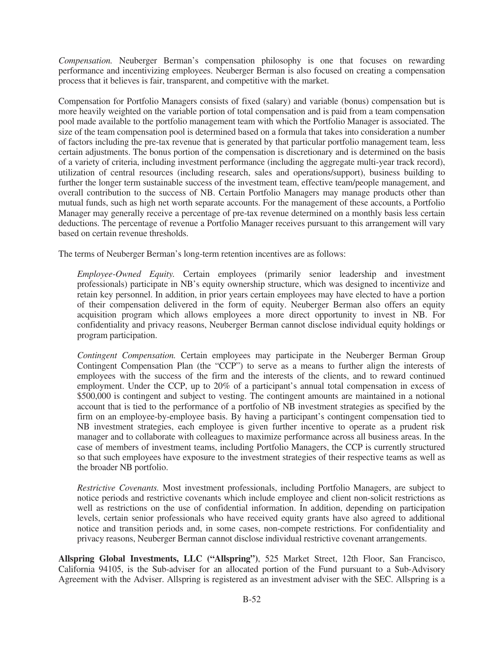*Compensation.* Neuberger Berman's compensation philosophy is one that focuses on rewarding performance and incentivizing employees. Neuberger Berman is also focused on creating a compensation process that it believes is fair, transparent, and competitive with the market.

Compensation for Portfolio Managers consists of fixed (salary) and variable (bonus) compensation but is more heavily weighted on the variable portion of total compensation and is paid from a team compensation pool made available to the portfolio management team with which the Portfolio Manager is associated. The size of the team compensation pool is determined based on a formula that takes into consideration a number of factors including the pre-tax revenue that is generated by that particular portfolio management team, less certain adjustments. The bonus portion of the compensation is discretionary and is determined on the basis of a variety of criteria, including investment performance (including the aggregate multi-year track record), utilization of central resources (including research, sales and operations/support), business building to further the longer term sustainable success of the investment team, effective team/people management, and overall contribution to the success of NB. Certain Portfolio Managers may manage products other than mutual funds, such as high net worth separate accounts. For the management of these accounts, a Portfolio Manager may generally receive a percentage of pre-tax revenue determined on a monthly basis less certain deductions. The percentage of revenue a Portfolio Manager receives pursuant to this arrangement will vary based on certain revenue thresholds.

The terms of Neuberger Berman's long-term retention incentives are as follows:

*Employee-Owned Equity.* Certain employees (primarily senior leadership and investment professionals) participate in NB's equity ownership structure, which was designed to incentivize and retain key personnel. In addition, in prior years certain employees may have elected to have a portion of their compensation delivered in the form of equity. Neuberger Berman also offers an equity acquisition program which allows employees a more direct opportunity to invest in NB. For confidentiality and privacy reasons, Neuberger Berman cannot disclose individual equity holdings or program participation.

*Contingent Compensation.* Certain employees may participate in the Neuberger Berman Group Contingent Compensation Plan (the "CCP") to serve as a means to further align the interests of employees with the success of the firm and the interests of the clients, and to reward continued employment. Under the CCP, up to 20% of a participant's annual total compensation in excess of \$500,000 is contingent and subject to vesting. The contingent amounts are maintained in a notional account that is tied to the performance of a portfolio of NB investment strategies as specified by the firm on an employee-by-employee basis. By having a participant's contingent compensation tied to NB investment strategies, each employee is given further incentive to operate as a prudent risk manager and to collaborate with colleagues to maximize performance across all business areas. In the case of members of investment teams, including Portfolio Managers, the CCP is currently structured so that such employees have exposure to the investment strategies of their respective teams as well as the broader NB portfolio.

*Restrictive Covenants.* Most investment professionals, including Portfolio Managers, are subject to notice periods and restrictive covenants which include employee and client non-solicit restrictions as well as restrictions on the use of confidential information. In addition, depending on participation levels, certain senior professionals who have received equity grants have also agreed to additional notice and transition periods and, in some cases, non-compete restrictions. For confidentiality and privacy reasons, Neuberger Berman cannot disclose individual restrictive covenant arrangements.

**Allspring Global Investments, LLC ("Allspring")**, 525 Market Street, 12th Floor, San Francisco, California 94105, is the Sub-adviser for an allocated portion of the Fund pursuant to a Sub-Advisory Agreement with the Adviser. Allspring is registered as an investment adviser with the SEC. Allspring is a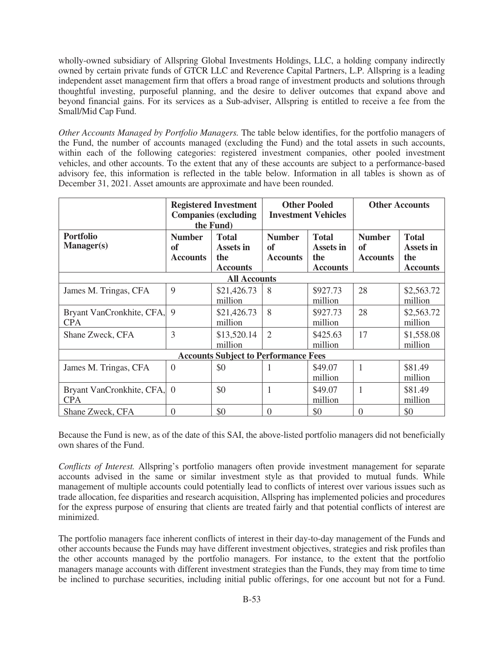wholly-owned subsidiary of Allspring Global Investments Holdings, LLC, a holding company indirectly owned by certain private funds of GTCR LLC and Reverence Capital Partners, L.P. Allspring is a leading independent asset management firm that offers a broad range of investment products and solutions through thoughtful investing, purposeful planning, and the desire to deliver outcomes that expand above and beyond financial gains. For its services as a Sub-adviser, Allspring is entitled to receive a fee from the Small/Mid Cap Fund.

*Other Accounts Managed by Portfolio Managers.* The table below identifies, for the portfolio managers of the Fund, the number of accounts managed (excluding the Fund) and the total assets in such accounts, within each of the following categories: registered investment companies, other pooled investment vehicles, and other accounts. To the extent that any of these accounts are subject to a performance-based advisory fee, this information is reflected in the table below. Information in all tables is shown as of December 31, 2021. Asset amounts are approximate and have been rounded.

|                                           | <b>Registered Investment</b><br><b>Companies (excluding</b><br>the Fund) |                                                     |                                        | <b>Other Pooled</b><br><b>Investment Vehicles</b>   | <b>Other Accounts</b>                  |                                                     |
|-------------------------------------------|--------------------------------------------------------------------------|-----------------------------------------------------|----------------------------------------|-----------------------------------------------------|----------------------------------------|-----------------------------------------------------|
| <b>Portfolio</b><br><b>Manager(s)</b>     | <b>Number</b><br>of<br><b>Accounts</b>                                   | <b>Total</b><br>Assets in<br>the<br><b>Accounts</b> | <b>Number</b><br>of<br><b>Accounts</b> | <b>Total</b><br>Assets in<br>the<br><b>Accounts</b> | <b>Number</b><br>of<br><b>Accounts</b> | <b>Total</b><br>Assets in<br>the<br><b>Accounts</b> |
|                                           |                                                                          | <b>All Accounts</b>                                 |                                        |                                                     |                                        |                                                     |
| James M. Tringas, CFA                     | 9                                                                        | \$21,426.73<br>million                              | 8                                      | \$927.73<br>million                                 | 28                                     | \$2,563.72<br>million                               |
| Bryant VanCronkhite, CFA,<br><b>CPA</b>   | 9                                                                        | \$21,426.73<br>million                              | 8                                      | \$927.73<br>million                                 | 28                                     | \$2,563.72<br>million                               |
| Shane Zweck, CFA                          | 3                                                                        | \$13,520.14<br>million                              | $\overline{2}$                         | \$425.63<br>million                                 | 17                                     | \$1,558.08<br>million                               |
|                                           |                                                                          | <b>Accounts Subject to Performance Fees</b>         |                                        |                                                     |                                        |                                                     |
| James M. Tringas, CFA                     | $\theta$                                                                 | \$0                                                 | 1                                      | \$49.07<br>million                                  | 1                                      | \$81.49<br>million                                  |
| Bryant VanCronkhite, CFA, 0<br><b>CPA</b> |                                                                          | \$0                                                 |                                        | \$49.07<br>million                                  | 1                                      | \$81.49<br>million                                  |
| Shane Zweck, CFA                          | $\Omega$                                                                 | \$0                                                 | $\Omega$                               | \$0                                                 | $\Omega$                               | \$0                                                 |

Because the Fund is new, as of the date of this SAI, the above-listed portfolio managers did not beneficially own shares of the Fund.

*Conflicts of Interest.* Allspring's portfolio managers often provide investment management for separate accounts advised in the same or similar investment style as that provided to mutual funds. While management of multiple accounts could potentially lead to conflicts of interest over various issues such as trade allocation, fee disparities and research acquisition, Allspring has implemented policies and procedures for the express purpose of ensuring that clients are treated fairly and that potential conflicts of interest are minimized.

The portfolio managers face inherent conflicts of interest in their day-to-day management of the Funds and other accounts because the Funds may have different investment objectives, strategies and risk profiles than the other accounts managed by the portfolio managers. For instance, to the extent that the portfolio managers manage accounts with different investment strategies than the Funds, they may from time to time be inclined to purchase securities, including initial public offerings, for one account but not for a Fund.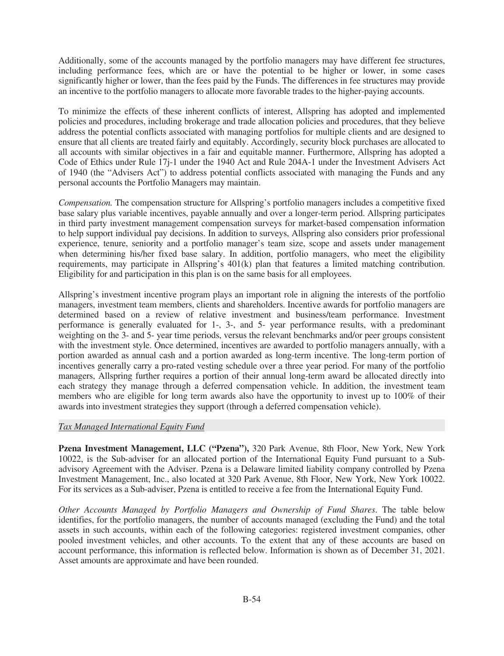Additionally, some of the accounts managed by the portfolio managers may have different fee structures, including performance fees, which are or have the potential to be higher or lower, in some cases significantly higher or lower, than the fees paid by the Funds. The differences in fee structures may provide an incentive to the portfolio managers to allocate more favorable trades to the higher-paying accounts.

To minimize the effects of these inherent conflicts of interest, Allspring has adopted and implemented policies and procedures, including brokerage and trade allocation policies and procedures, that they believe address the potential conflicts associated with managing portfolios for multiple clients and are designed to ensure that all clients are treated fairly and equitably. Accordingly, security block purchases are allocated to all accounts with similar objectives in a fair and equitable manner. Furthermore, Allspring has adopted a Code of Ethics under Rule 17j-1 under the 1940 Act and Rule 204A-1 under the Investment Advisers Act of 1940 (the "Advisers Act") to address potential conflicts associated with managing the Funds and any personal accounts the Portfolio Managers may maintain.

*Compensation.* The compensation structure for Allspring's portfolio managers includes a competitive fixed base salary plus variable incentives, payable annually and over a longer-term period. Allspring participates in third party investment management compensation surveys for market-based compensation information to help support individual pay decisions. In addition to surveys, Allspring also considers prior professional experience, tenure, seniority and a portfolio manager's team size, scope and assets under management when determining his/her fixed base salary. In addition, portfolio managers, who meet the eligibility requirements, may participate in Allspring's 401(k) plan that features a limited matching contribution. Eligibility for and participation in this plan is on the same basis for all employees.

Allspring's investment incentive program plays an important role in aligning the interests of the portfolio managers, investment team members, clients and shareholders. Incentive awards for portfolio managers are determined based on a review of relative investment and business/team performance. Investment performance is generally evaluated for 1-, 3-, and 5- year performance results, with a predominant weighting on the 3- and 5- year time periods, versus the relevant benchmarks and/or peer groups consistent with the investment style. Once determined, incentives are awarded to portfolio managers annually, with a portion awarded as annual cash and a portion awarded as long-term incentive. The long-term portion of incentives generally carry a pro-rated vesting schedule over a three year period. For many of the portfolio managers, Allspring further requires a portion of their annual long-term award be allocated directly into each strategy they manage through a deferred compensation vehicle. In addition, the investment team members who are eligible for long term awards also have the opportunity to invest up to 100% of their awards into investment strategies they support (through a deferred compensation vehicle).

# *Tax Managed International Equity Fund*

**Pzena Investment Management, LLC ("Pzena"),** 320 Park Avenue, 8th Floor, New York, New York 10022, is the Sub-adviser for an allocated portion of the International Equity Fund pursuant to a Subadvisory Agreement with the Adviser. Pzena is a Delaware limited liability company controlled by Pzena Investment Management, Inc., also located at 320 Park Avenue, 8th Floor, New York, New York 10022. For its services as a Sub-adviser, Pzena is entitled to receive a fee from the International Equity Fund.

*Other Accounts Managed by Portfolio Managers and Ownership of Fund Shares*. The table below identifies, for the portfolio managers, the number of accounts managed (excluding the Fund) and the total assets in such accounts, within each of the following categories: registered investment companies, other pooled investment vehicles, and other accounts. To the extent that any of these accounts are based on account performance, this information is reflected below. Information is shown as of December 31, 2021. Asset amounts are approximate and have been rounded.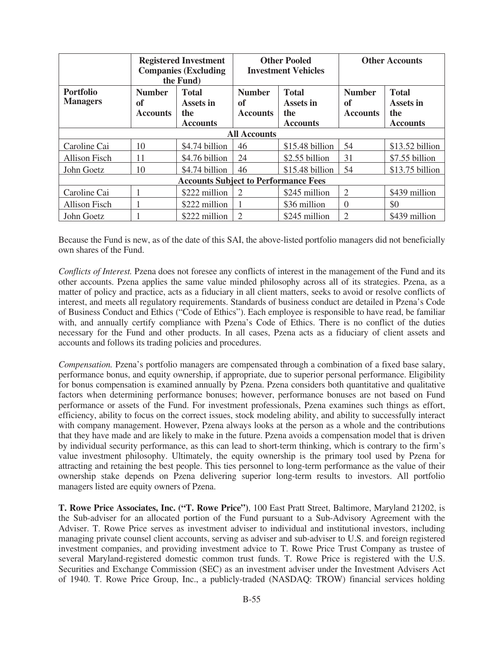|                                     | <b>Registered Investment</b><br><b>Companies (Excluding</b><br>the Fund)                      |                                             |                                        | <b>Other Pooled</b><br><b>Investment Vehicles</b>   | <b>Other Accounts</b>                  |                                                     |
|-------------------------------------|-----------------------------------------------------------------------------------------------|---------------------------------------------|----------------------------------------|-----------------------------------------------------|----------------------------------------|-----------------------------------------------------|
| <b>Portfolio</b><br><b>Managers</b> | <b>Number</b><br><b>Total</b><br>of<br>Assets in<br>the<br><b>Accounts</b><br><b>Accounts</b> |                                             | <b>Number</b><br>of<br><b>Accounts</b> | <b>Total</b><br>Assets in<br>the<br><b>Accounts</b> | <b>Number</b><br>of<br><b>Accounts</b> | <b>Total</b><br>Assets in<br>the<br><b>Accounts</b> |
|                                     |                                                                                               |                                             | <b>All Accounts</b>                    |                                                     |                                        |                                                     |
| Caroline Cai                        | 10                                                                                            | \$4.74 billion                              | 46                                     | \$15.48 billion                                     | 54                                     | \$13.52 billion                                     |
| Allison Fisch                       | 11                                                                                            | \$4.76 billion                              | 24                                     | \$2.55 billion                                      | 31                                     | \$7.55 billion                                      |
| John Goetz                          | 10                                                                                            | \$4.74 billion                              | 46                                     | \$15.48 billion                                     | 54                                     | \$13.75 billion                                     |
|                                     |                                                                                               | <b>Accounts Subject to Performance Fees</b> |                                        |                                                     |                                        |                                                     |
| Caroline Cai                        |                                                                                               | \$222 million                               | 2                                      | \$245 million                                       | $\overline{c}$                         | \$439 million                                       |
| <b>Allison Fisch</b>                |                                                                                               | \$222 million                               |                                        | \$36 million                                        | $\Omega$                               | \$0                                                 |
| John Goetz                          |                                                                                               | \$222 million                               | $\mathfrak{D}$                         | \$245 million                                       | $\mathcal{D}_{\mathcal{D}}$            | \$439 million                                       |

Because the Fund is new, as of the date of this SAI, the above-listed portfolio managers did not beneficially own shares of the Fund.

*Conflicts of Interest.* Pzena does not foresee any conflicts of interest in the management of the Fund and its other accounts. Pzena applies the same value minded philosophy across all of its strategies. Pzena, as a matter of policy and practice, acts as a fiduciary in all client matters, seeks to avoid or resolve conflicts of interest, and meets all regulatory requirements. Standards of business conduct are detailed in Pzena's Code of Business Conduct and Ethics ("Code of Ethics"). Each employee is responsible to have read, be familiar with, and annually certify compliance with Pzena's Code of Ethics. There is no conflict of the duties necessary for the Fund and other products. In all cases, Pzena acts as a fiduciary of client assets and accounts and follows its trading policies and procedures.

*Compensation.* Pzena's portfolio managers are compensated through a combination of a fixed base salary, performance bonus, and equity ownership, if appropriate, due to superior personal performance. Eligibility for bonus compensation is examined annually by Pzena. Pzena considers both quantitative and qualitative factors when determining performance bonuses; however, performance bonuses are not based on Fund performance or assets of the Fund. For investment professionals, Pzena examines such things as effort, efficiency, ability to focus on the correct issues, stock modeling ability, and ability to successfully interact with company management. However, Pzena always looks at the person as a whole and the contributions that they have made and are likely to make in the future. Pzena avoids a compensation model that is driven by individual security performance, as this can lead to short-term thinking, which is contrary to the firm's value investment philosophy. Ultimately, the equity ownership is the primary tool used by Pzena for attracting and retaining the best people. This ties personnel to long-term performance as the value of their ownership stake depends on Pzena delivering superior long-term results to investors. All portfolio managers listed are equity owners of Pzena.

**T. Rowe Price Associates, Inc. ("T. Rowe Price")**, 100 East Pratt Street, Baltimore, Maryland 21202, is the Sub-adviser for an allocated portion of the Fund pursuant to a Sub-Advisory Agreement with the Adviser. T. Rowe Price serves as investment adviser to individual and institutional investors, including managing private counsel client accounts, serving as adviser and sub-adviser to U.S. and foreign registered investment companies, and providing investment advice to T. Rowe Price Trust Company as trustee of several Maryland-registered domestic common trust funds. T. Rowe Price is registered with the U.S. Securities and Exchange Commission (SEC) as an investment adviser under the Investment Advisers Act of 1940. T. Rowe Price Group, Inc., a publicly-traded (NASDAQ: TROW) financial services holding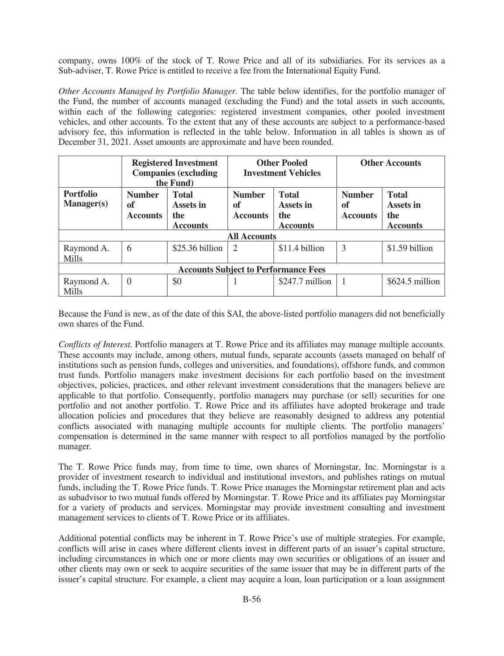company, owns 100% of the stock of T. Rowe Price and all of its subsidiaries. For its services as a Sub-adviser, T. Rowe Price is entitled to receive a fee from the International Equity Fund.

*Other Accounts Managed by Portfolio Manager.* The table below identifies, for the portfolio manager of the Fund, the number of accounts managed (excluding the Fund) and the total assets in such accounts, within each of the following categories: registered investment companies, other pooled investment vehicles, and other accounts. To the extent that any of these accounts are subject to a performance-based advisory fee, this information is reflected in the table below. Information in all tables is shown as of December 31, 2021. Asset amounts are approximate and have been rounded.

|                                             | <b>Registered Investment</b><br><b>Companies (excluding</b><br>the Fund) |                                                     | <b>Other Pooled</b><br><b>Investment Vehicles</b>                                                    |                  | <b>Other Accounts</b>                  |                                                     |
|---------------------------------------------|--------------------------------------------------------------------------|-----------------------------------------------------|------------------------------------------------------------------------------------------------------|------------------|----------------------------------------|-----------------------------------------------------|
| <b>Portfolio</b><br>Manager(s)              | <b>Number</b><br>of<br><b>Accounts</b>                                   | <b>Total</b><br>Assets in<br>the<br><b>Accounts</b> | <b>Total</b><br><b>Number</b><br><b>Assets in</b><br>of<br><b>Accounts</b><br>the<br><b>Accounts</b> |                  | <b>Number</b><br>of<br><b>Accounts</b> | <b>Total</b><br>Assets in<br>the<br><b>Accounts</b> |
|                                             |                                                                          |                                                     | <b>All Accounts</b>                                                                                  |                  |                                        |                                                     |
| Raymond A.<br><b>Mills</b>                  | 6                                                                        | $$25.36$ billion                                    | 2                                                                                                    | \$11.4 billion   | 3                                      | \$1.59 billion                                      |
| <b>Accounts Subject to Performance Fees</b> |                                                                          |                                                     |                                                                                                      |                  |                                        |                                                     |
| Raymond A.<br>Mills                         | $\Omega$                                                                 | \$0                                                 |                                                                                                      | $$247.7$ million |                                        | $$624.5$ million                                    |

Because the Fund is new, as of the date of this SAI, the above-listed portfolio managers did not beneficially own shares of the Fund.

*Conflicts of Interest.* Portfolio managers at T. Rowe Price and its affiliates may manage multiple accounts. These accounts may include, among others, mutual funds, separate accounts (assets managed on behalf of institutions such as pension funds, colleges and universities, and foundations), offshore funds, and common trust funds. Portfolio managers make investment decisions for each portfolio based on the investment objectives, policies, practices, and other relevant investment considerations that the managers believe are applicable to that portfolio. Consequently, portfolio managers may purchase (or sell) securities for one portfolio and not another portfolio. T. Rowe Price and its affiliates have adopted brokerage and trade allocation policies and procedures that they believe are reasonably designed to address any potential conflicts associated with managing multiple accounts for multiple clients. The portfolio managers' compensation is determined in the same manner with respect to all portfolios managed by the portfolio manager.

The T. Rowe Price funds may, from time to time, own shares of Morningstar, Inc. Morningstar is a provider of investment research to individual and institutional investors, and publishes ratings on mutual funds, including the T. Rowe Price funds. T. Rowe Price manages the Morningstar retirement plan and acts as subadvisor to two mutual funds offered by Morningstar. T. Rowe Price and its affiliates pay Morningstar for a variety of products and services. Morningstar may provide investment consulting and investment management services to clients of T. Rowe Price or its affiliates.

Additional potential conflicts may be inherent in T. Rowe Price's use of multiple strategies. For example, conflicts will arise in cases where different clients invest in different parts of an issuer's capital structure, including circumstances in which one or more clients may own securities or obligations of an issuer and other clients may own or seek to acquire securities of the same issuer that may be in different parts of the issuer's capital structure. For example, a client may acquire a loan, loan participation or a loan assignment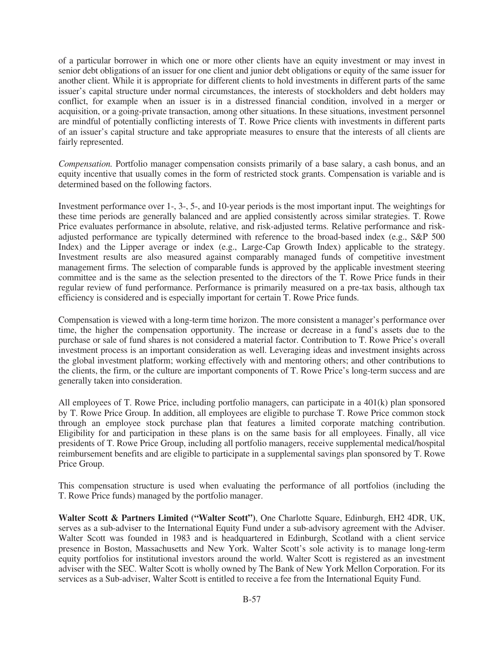of a particular borrower in which one or more other clients have an equity investment or may invest in senior debt obligations of an issuer for one client and junior debt obligations or equity of the same issuer for another client. While it is appropriate for different clients to hold investments in different parts of the same issuer's capital structure under normal circumstances, the interests of stockholders and debt holders may conflict, for example when an issuer is in a distressed financial condition, involved in a merger or acquisition, or a going-private transaction, among other situations. In these situations, investment personnel are mindful of potentially conflicting interests of T. Rowe Price clients with investments in different parts of an issuer's capital structure and take appropriate measures to ensure that the interests of all clients are fairly represented.

*Compensation.* Portfolio manager compensation consists primarily of a base salary, a cash bonus, and an equity incentive that usually comes in the form of restricted stock grants. Compensation is variable and is determined based on the following factors.

Investment performance over 1-, 3-, 5-, and 10-year periods is the most important input. The weightings for these time periods are generally balanced and are applied consistently across similar strategies. T. Rowe Price evaluates performance in absolute, relative, and risk-adjusted terms. Relative performance and riskadjusted performance are typically determined with reference to the broad-based index (e.g., S&P 500 Index) and the Lipper average or index (e.g., Large-Cap Growth Index) applicable to the strategy. Investment results are also measured against comparably managed funds of competitive investment management firms. The selection of comparable funds is approved by the applicable investment steering committee and is the same as the selection presented to the directors of the T. Rowe Price funds in their regular review of fund performance. Performance is primarily measured on a pre-tax basis, although tax efficiency is considered and is especially important for certain T. Rowe Price funds.

Compensation is viewed with a long-term time horizon. The more consistent a manager's performance over time, the higher the compensation opportunity. The increase or decrease in a fund's assets due to the purchase or sale of fund shares is not considered a material factor. Contribution to T. Rowe Price's overall investment process is an important consideration as well. Leveraging ideas and investment insights across the global investment platform; working effectively with and mentoring others; and other contributions to the clients, the firm, or the culture are important components of T. Rowe Price's long-term success and are generally taken into consideration.

All employees of T. Rowe Price, including portfolio managers, can participate in a 401(k) plan sponsored by T. Rowe Price Group. In addition, all employees are eligible to purchase T. Rowe Price common stock through an employee stock purchase plan that features a limited corporate matching contribution. Eligibility for and participation in these plans is on the same basis for all employees. Finally, all vice presidents of T. Rowe Price Group, including all portfolio managers, receive supplemental medical/hospital reimbursement benefits and are eligible to participate in a supplemental savings plan sponsored by T. Rowe Price Group.

This compensation structure is used when evaluating the performance of all portfolios (including the T. Rowe Price funds) managed by the portfolio manager.

**Walter Scott & Partners Limited ("Walter Scott")**, One Charlotte Square, Edinburgh, EH2 4DR, UK, serves as a sub-adviser to the International Equity Fund under a sub-advisory agreement with the Adviser. Walter Scott was founded in 1983 and is headquartered in Edinburgh, Scotland with a client service presence in Boston, Massachusetts and New York. Walter Scott's sole activity is to manage long-term equity portfolios for institutional investors around the world. Walter Scott is registered as an investment adviser with the SEC. Walter Scott is wholly owned by The Bank of New York Mellon Corporation. For its services as a Sub-adviser, Walter Scott is entitled to receive a fee from the International Equity Fund.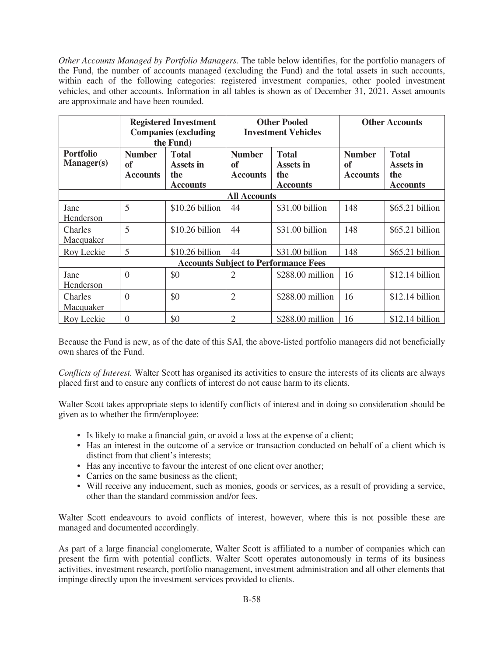*Other Accounts Managed by Portfolio Managers.* The table below identifies, for the portfolio managers of the Fund, the number of accounts managed (excluding the Fund) and the total assets in such accounts, within each of the following categories: registered investment companies, other pooled investment vehicles, and other accounts. Information in all tables is shown as of December 31, 2021. Asset amounts are approximate and have been rounded.

|                                       |                                        | <b>Registered Investment</b><br><b>Companies (excluding</b><br>the Fund) | <b>Other Pooled</b><br><b>Investment Vehicles</b>                                             |                                             | <b>Other Accounts</b>                  |                                                     |
|---------------------------------------|----------------------------------------|--------------------------------------------------------------------------|-----------------------------------------------------------------------------------------------|---------------------------------------------|----------------------------------------|-----------------------------------------------------|
| <b>Portfolio</b><br><b>Manager(s)</b> | <b>Number</b><br>of<br><b>Accounts</b> | <b>Total</b><br>Assets in<br>the<br><b>Accounts</b>                      | <b>Number</b><br><b>Total</b><br>of<br>Assets in<br>the<br><b>Accounts</b><br><b>Accounts</b> |                                             | <b>Number</b><br>of<br><b>Accounts</b> | <b>Total</b><br>Assets in<br>the<br><b>Accounts</b> |
|                                       |                                        |                                                                          | <b>All Accounts</b>                                                                           |                                             |                                        |                                                     |
| Jane<br>Henderson                     | 5                                      | \$10.26 billion                                                          | 44                                                                                            | \$31.00 billion                             | 148                                    | \$65.21 billion                                     |
| Charles<br>Macquaker                  | 5                                      | \$10.26 billion                                                          | 44                                                                                            | \$31.00 billion                             | 148                                    | \$65.21 billion                                     |
| Roy Leckie                            | 5                                      | \$10.26 billion                                                          | 44                                                                                            | \$31.00 billion                             | 148                                    | \$65.21 billion                                     |
|                                       |                                        |                                                                          |                                                                                               | <b>Accounts Subject to Performance Fees</b> |                                        |                                                     |
| Jane<br>Henderson                     | $\theta$                               | \$0                                                                      | $\overline{2}$                                                                                | \$288.00 million                            | 16                                     | $$12.14$ billion                                    |
| Charles<br>Macquaker                  | $\Omega$                               | \$0                                                                      | $\overline{2}$                                                                                | \$288.00 million                            | 16                                     | $$12.14$ billion                                    |
| Roy Leckie                            | $\theta$                               | \$0                                                                      | $\overline{2}$                                                                                | \$288.00 million                            | 16                                     | \$12.14 billion                                     |

Because the Fund is new, as of the date of this SAI, the above-listed portfolio managers did not beneficially own shares of the Fund.

*Conflicts of Interest.* Walter Scott has organised its activities to ensure the interests of its clients are always placed first and to ensure any conflicts of interest do not cause harm to its clients.

Walter Scott takes appropriate steps to identify conflicts of interest and in doing so consideration should be given as to whether the firm/employee:

- Is likely to make a financial gain, or avoid a loss at the expense of a client;
- Has an interest in the outcome of a service or transaction conducted on behalf of a client which is distinct from that client's interests;
- Has any incentive to favour the interest of one client over another;
- Carries on the same business as the client;
- Will receive any inducement, such as monies, goods or services, as a result of providing a service, other than the standard commission and/or fees.

Walter Scott endeavours to avoid conflicts of interest, however, where this is not possible these are managed and documented accordingly.

As part of a large financial conglomerate, Walter Scott is affiliated to a number of companies which can present the firm with potential conflicts. Walter Scott operates autonomously in terms of its business activities, investment research, portfolio management, investment administration and all other elements that impinge directly upon the investment services provided to clients.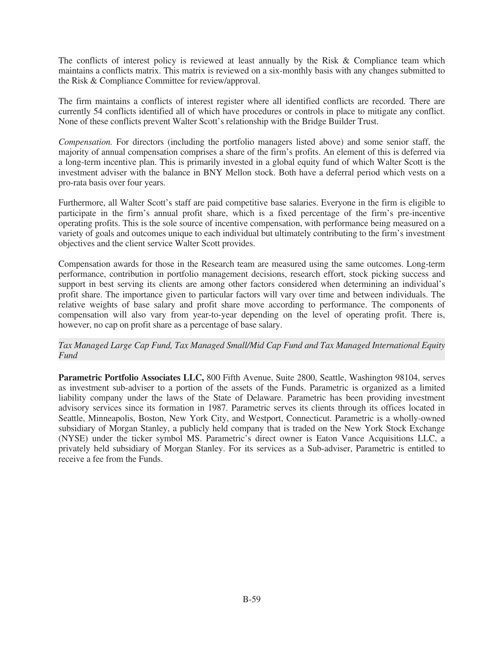The conflicts of interest policy is reviewed at least annually by the Risk & Compliance team which maintains a conflicts matrix. This matrix is reviewed on a six-monthly basis with any changes submitted to the Risk & Compliance Committee for review/approval.

The firm maintains a conflicts of interest register where all identified conflicts are recorded. There are currently 54 conflicts identified all of which have procedures or controls in place to mitigate any conflict. None of these conflicts prevent Walter Scott's relationship with the Bridge Builder Trust.

*Compensation.* For directors (including the portfolio managers listed above) and some senior staff, the majority of annual compensation comprises a share of the firm's profits. An element of this is deferred via a long-term incentive plan. This is primarily invested in a global equity fund of which Walter Scott is the investment adviser with the balance in BNY Mellon stock. Both have a deferral period which vests on a pro-rata basis over four years.

Furthermore, all Walter Scott's staff are paid competitive base salaries. Everyone in the firm is eligible to participate in the firm's annual profit share, which is a fixed percentage of the firm's pre-incentive operating profits. This is the sole source of incentive compensation, with performance being measured on a variety of goals and outcomes unique to each individual but ultimately contributing to the firm's investment objectives and the client service Walter Scott provides.

Compensation awards for those in the Research team are measured using the same outcomes. Long-term performance, contribution in portfolio management decisions, research effort, stock picking success and support in best serving its clients are among other factors considered when determining an individual's profit share. The importance given to particular factors will vary over time and between individuals. The relative weights of base salary and profit share move according to performance. The components of compensation will also vary from year-to-year depending on the level of operating profit. There is, however, no cap on profit share as a percentage of base salary.

*Tax Managed Large Cap Fund, Tax Managed Small/Mid Cap Fund and Tax Managed International Equity Fund*

**Parametric Portfolio Associates LLC,** 800 Fifth Avenue, Suite 2800, Seattle, Washington 98104, serves as investment sub-adviser to a portion of the assets of the Funds. Parametric is organized as a limited liability company under the laws of the State of Delaware. Parametric has been providing investment advisory services since its formation in 1987. Parametric serves its clients through its offices located in Seattle, Minneapolis, Boston, New York City, and Westport, Connecticut. Parametric is a wholly-owned subsidiary of Morgan Stanley, a publicly held company that is traded on the New York Stock Exchange (NYSE) under the ticker symbol MS. Parametric's direct owner is Eaton Vance Acquisitions LLC, a privately held subsidiary of Morgan Stanley. For its services as a Sub-adviser, Parametric is entitled to receive a fee from the Funds.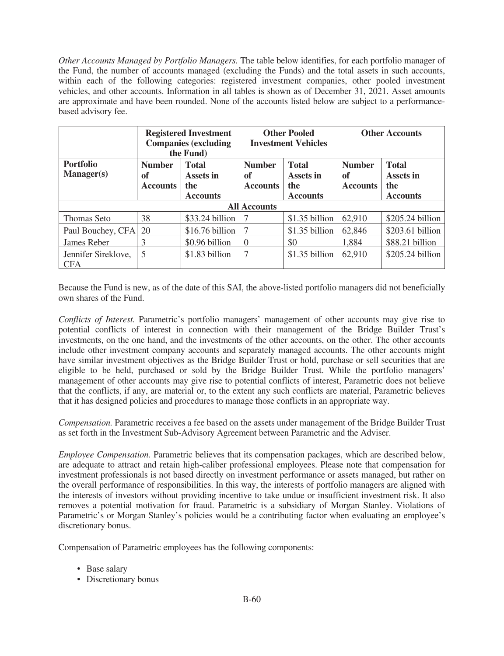*Other Accounts Managed by Portfolio Managers.* The table below identifies, for each portfolio manager of the Fund, the number of accounts managed (excluding the Funds) and the total assets in such accounts, within each of the following categories: registered investment companies, other pooled investment vehicles, and other accounts. Information in all tables is shown as of December 31, 2021. Asset amounts are approximate and have been rounded. None of the accounts listed below are subject to a performancebased advisory fee.

|                                       | <b>Registered Investment</b><br><b>Companies (excluding</b><br>the Fund)                      |                  |                                        | <b>Other Pooled</b><br><b>Investment Vehicles</b>   | <b>Other Accounts</b>                  |                                                     |
|---------------------------------------|-----------------------------------------------------------------------------------------------|------------------|----------------------------------------|-----------------------------------------------------|----------------------------------------|-----------------------------------------------------|
| <b>Portfolio</b><br><b>Manager(s)</b> | <b>Number</b><br><b>Total</b><br>Assets in<br>of<br>the<br><b>Accounts</b><br><b>Accounts</b> |                  | <b>Number</b><br>of<br><b>Accounts</b> | <b>Total</b><br>Assets in<br>the<br><b>Accounts</b> | <b>Number</b><br>of<br><b>Accounts</b> | <b>Total</b><br>Assets in<br>the<br><b>Accounts</b> |
|                                       |                                                                                               |                  | <b>All Accounts</b>                    |                                                     |                                        |                                                     |
| Thomas Seto                           | 38                                                                                            | \$33.24 billion  | 7                                      | \$1.35 billion                                      | 62,910                                 | $$205.24$ billion                                   |
| Paul Bouchey, CFA                     | 20                                                                                            | $$16.76$ billion | 7                                      | \$1.35 billion                                      | 62,846                                 | \$203.61 billion                                    |
| James Reber                           | 3<br>\$0.96 billion                                                                           |                  | $\theta$                               | \$0                                                 | 1,884                                  | \$88.21 billion                                     |
| Jennifer Sireklove,<br><b>CFA</b>     | 5                                                                                             | \$1.83 billion   | 7                                      | $$1.35$ billion                                     | 62.910                                 | \$205.24 billion                                    |

Because the Fund is new, as of the date of this SAI, the above-listed portfolio managers did not beneficially own shares of the Fund.

*Conflicts of Interest.* Parametric's portfolio managers' management of other accounts may give rise to potential conflicts of interest in connection with their management of the Bridge Builder Trust's investments, on the one hand, and the investments of the other accounts, on the other. The other accounts include other investment company accounts and separately managed accounts. The other accounts might have similar investment objectives as the Bridge Builder Trust or hold, purchase or sell securities that are eligible to be held, purchased or sold by the Bridge Builder Trust. While the portfolio managers' management of other accounts may give rise to potential conflicts of interest, Parametric does not believe that the conflicts, if any, are material or, to the extent any such conflicts are material, Parametric believes that it has designed policies and procedures to manage those conflicts in an appropriate way.

*Compensation.* Parametric receives a fee based on the assets under management of the Bridge Builder Trust as set forth in the Investment Sub-Advisory Agreement between Parametric and the Adviser.

*Employee Compensation.* Parametric believes that its compensation packages, which are described below, are adequate to attract and retain high-caliber professional employees. Please note that compensation for investment professionals is not based directly on investment performance or assets managed, but rather on the overall performance of responsibilities. In this way, the interests of portfolio managers are aligned with the interests of investors without providing incentive to take undue or insufficient investment risk. It also removes a potential motivation for fraud. Parametric is a subsidiary of Morgan Stanley. Violations of Parametric's or Morgan Stanley's policies would be a contributing factor when evaluating an employee's discretionary bonus.

Compensation of Parametric employees has the following components:

- Base salary
- Discretionary bonus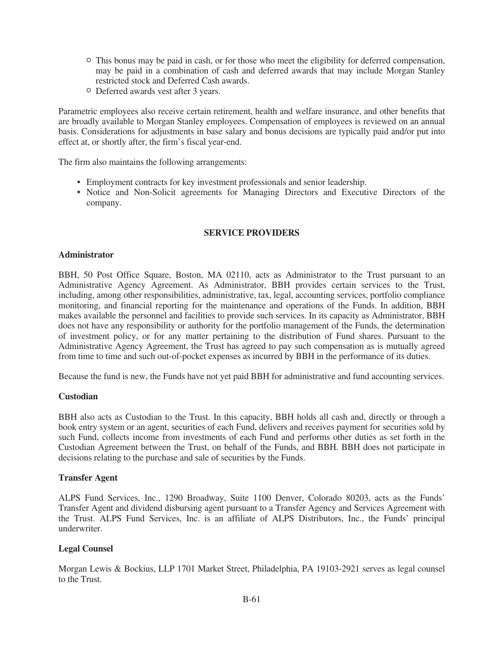- <sup>O</sup> This bonus may be paid in cash, or for those who meet the eligibility for deferred compensation, may be paid in a combination of cash and deferred awards that may include Morgan Stanley restricted stock and Deferred Cash awards.
- <sup>O</sup> Deferred awards vest after 3 years.

Parametric employees also receive certain retirement, health and welfare insurance, and other benefits that are broadly available to Morgan Stanley employees. Compensation of employees is reviewed on an annual basis. Considerations for adjustments in base salary and bonus decisions are typically paid and/or put into effect at, or shortly after, the firm's fiscal year-end.

The firm also maintains the following arrangements:

- Employment contracts for key investment professionals and senior leadership.
- Notice and Non-Solicit agreements for Managing Directors and Executive Directors of the company.

# **SERVICE PROVIDERS**

### **Administrator**

BBH, 50 Post Office Square, Boston, MA 02110, acts as Administrator to the Trust pursuant to an Administrative Agency Agreement. As Administrator, BBH provides certain services to the Trust, including, among other responsibilities, administrative, tax, legal, accounting services, portfolio compliance monitoring, and financial reporting for the maintenance and operations of the Funds. In addition, BBH makes available the personnel and facilities to provide such services. In its capacity as Administrator, BBH does not have any responsibility or authority for the portfolio management of the Funds, the determination of investment policy, or for any matter pertaining to the distribution of Fund shares. Pursuant to the Administrative Agency Agreement, the Trust has agreed to pay such compensation as is mutually agreed from time to time and such out-of-pocket expenses as incurred by BBH in the performance of its duties.

Because the fund is new, the Funds have not yet paid BBH for administrative and fund accounting services.

# **Custodian**

BBH also acts as Custodian to the Trust. In this capacity, BBH holds all cash and, directly or through a book entry system or an agent, securities of each Fund, delivers and receives payment for securities sold by such Fund, collects income from investments of each Fund and performs other duties as set forth in the Custodian Agreement between the Trust, on behalf of the Funds, and BBH. BBH does not participate in decisions relating to the purchase and sale of securities by the Funds.

# **Transfer Agent**

ALPS Fund Services, Inc., 1290 Broadway, Suite 1100 Denver, Colorado 80203, acts as the Funds' Transfer Agent and dividend disbursing agent pursuant to a Transfer Agency and Services Agreement with the Trust. ALPS Fund Services, Inc. is an affiliate of ALPS Distributors, Inc., the Funds' principal underwriter.

# **Legal Counsel**

Morgan Lewis & Bockius, LLP 1701 Market Street, Philadelphia, PA 19103-2921 serves as legal counsel to the Trust.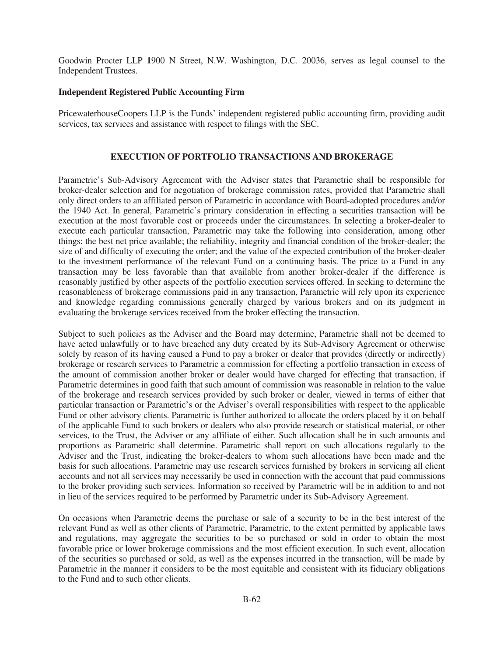Goodwin Procter LLP **1**900 N Street, N.W. Washington, D.C. 20036, serves as legal counsel to the Independent Trustees.

### **Independent Registered Public Accounting Firm**

PricewaterhouseCoopers LLP is the Funds' independent registered public accounting firm, providing audit services, tax services and assistance with respect to filings with the SEC.

## **EXECUTION OF PORTFOLIO TRANSACTIONS AND BROKERAGE**

Parametric's Sub-Advisory Agreement with the Adviser states that Parametric shall be responsible for broker-dealer selection and for negotiation of brokerage commission rates, provided that Parametric shall only direct orders to an affiliated person of Parametric in accordance with Board-adopted procedures and/or the 1940 Act. In general, Parametric's primary consideration in effecting a securities transaction will be execution at the most favorable cost or proceeds under the circumstances. In selecting a broker-dealer to execute each particular transaction, Parametric may take the following into consideration, among other things: the best net price available; the reliability, integrity and financial condition of the broker-dealer; the size of and difficulty of executing the order; and the value of the expected contribution of the broker-dealer to the investment performance of the relevant Fund on a continuing basis. The price to a Fund in any transaction may be less favorable than that available from another broker-dealer if the difference is reasonably justified by other aspects of the portfolio execution services offered. In seeking to determine the reasonableness of brokerage commissions paid in any transaction, Parametric will rely upon its experience and knowledge regarding commissions generally charged by various brokers and on its judgment in evaluating the brokerage services received from the broker effecting the transaction.

Subject to such policies as the Adviser and the Board may determine, Parametric shall not be deemed to have acted unlawfully or to have breached any duty created by its Sub-Advisory Agreement or otherwise solely by reason of its having caused a Fund to pay a broker or dealer that provides (directly or indirectly) brokerage or research services to Parametric a commission for effecting a portfolio transaction in excess of the amount of commission another broker or dealer would have charged for effecting that transaction, if Parametric determines in good faith that such amount of commission was reasonable in relation to the value of the brokerage and research services provided by such broker or dealer, viewed in terms of either that particular transaction or Parametric's or the Adviser's overall responsibilities with respect to the applicable Fund or other advisory clients. Parametric is further authorized to allocate the orders placed by it on behalf of the applicable Fund to such brokers or dealers who also provide research or statistical material, or other services, to the Trust, the Adviser or any affiliate of either. Such allocation shall be in such amounts and proportions as Parametric shall determine. Parametric shall report on such allocations regularly to the Adviser and the Trust, indicating the broker-dealers to whom such allocations have been made and the basis for such allocations. Parametric may use research services furnished by brokers in servicing all client accounts and not all services may necessarily be used in connection with the account that paid commissions to the broker providing such services. Information so received by Parametric will be in addition to and not in lieu of the services required to be performed by Parametric under its Sub-Advisory Agreement.

On occasions when Parametric deems the purchase or sale of a security to be in the best interest of the relevant Fund as well as other clients of Parametric, Parametric, to the extent permitted by applicable laws and regulations, may aggregate the securities to be so purchased or sold in order to obtain the most favorable price or lower brokerage commissions and the most efficient execution. In such event, allocation of the securities so purchased or sold, as well as the expenses incurred in the transaction, will be made by Parametric in the manner it considers to be the most equitable and consistent with its fiduciary obligations to the Fund and to such other clients.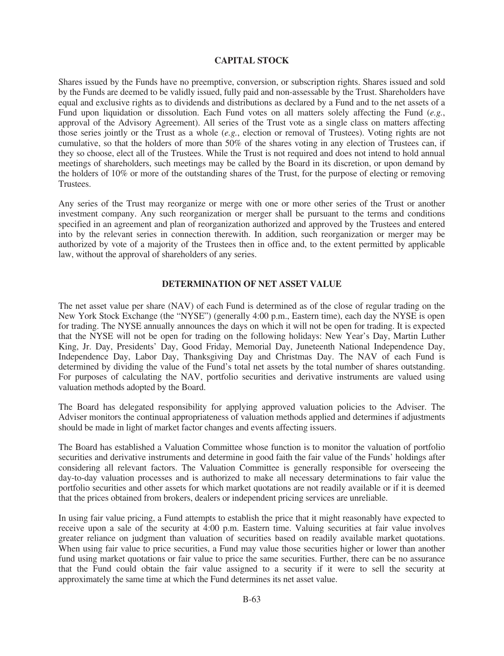## **CAPITAL STOCK**

Shares issued by the Funds have no preemptive, conversion, or subscription rights. Shares issued and sold by the Funds are deemed to be validly issued, fully paid and non-assessable by the Trust. Shareholders have equal and exclusive rights as to dividends and distributions as declared by a Fund and to the net assets of a Fund upon liquidation or dissolution. Each Fund votes on all matters solely affecting the Fund (*e.g.*, approval of the Advisory Agreement). All series of the Trust vote as a single class on matters affecting those series jointly or the Trust as a whole (*e.g.*, election or removal of Trustees). Voting rights are not cumulative, so that the holders of more than 50% of the shares voting in any election of Trustees can, if they so choose, elect all of the Trustees. While the Trust is not required and does not intend to hold annual meetings of shareholders, such meetings may be called by the Board in its discretion, or upon demand by the holders of 10% or more of the outstanding shares of the Trust, for the purpose of electing or removing Trustees.

Any series of the Trust may reorganize or merge with one or more other series of the Trust or another investment company. Any such reorganization or merger shall be pursuant to the terms and conditions specified in an agreement and plan of reorganization authorized and approved by the Trustees and entered into by the relevant series in connection therewith. In addition, such reorganization or merger may be authorized by vote of a majority of the Trustees then in office and, to the extent permitted by applicable law, without the approval of shareholders of any series.

### **DETERMINATION OF NET ASSET VALUE**

The net asset value per share (NAV) of each Fund is determined as of the close of regular trading on the New York Stock Exchange (the "NYSE") (generally 4:00 p.m., Eastern time), each day the NYSE is open for trading. The NYSE annually announces the days on which it will not be open for trading. It is expected that the NYSE will not be open for trading on the following holidays: New Year's Day, Martin Luther King, Jr. Day, Presidents' Day, Good Friday, Memorial Day, Juneteenth National Independence Day, Independence Day, Labor Day, Thanksgiving Day and Christmas Day. The NAV of each Fund is determined by dividing the value of the Fund's total net assets by the total number of shares outstanding. For purposes of calculating the NAV, portfolio securities and derivative instruments are valued using valuation methods adopted by the Board.

The Board has delegated responsibility for applying approved valuation policies to the Adviser. The Adviser monitors the continual appropriateness of valuation methods applied and determines if adjustments should be made in light of market factor changes and events affecting issuers.

The Board has established a Valuation Committee whose function is to monitor the valuation of portfolio securities and derivative instruments and determine in good faith the fair value of the Funds' holdings after considering all relevant factors. The Valuation Committee is generally responsible for overseeing the day-to-day valuation processes and is authorized to make all necessary determinations to fair value the portfolio securities and other assets for which market quotations are not readily available or if it is deemed that the prices obtained from brokers, dealers or independent pricing services are unreliable.

In using fair value pricing, a Fund attempts to establish the price that it might reasonably have expected to receive upon a sale of the security at 4:00 p.m. Eastern time. Valuing securities at fair value involves greater reliance on judgment than valuation of securities based on readily available market quotations. When using fair value to price securities, a Fund may value those securities higher or lower than another fund using market quotations or fair value to price the same securities. Further, there can be no assurance that the Fund could obtain the fair value assigned to a security if it were to sell the security at approximately the same time at which the Fund determines its net asset value.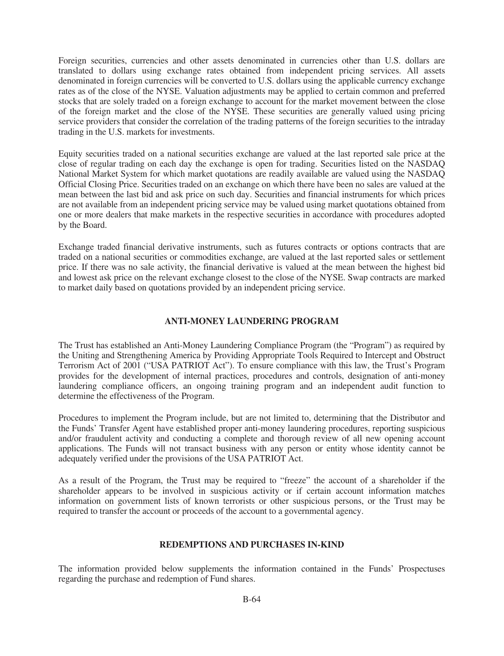Foreign securities, currencies and other assets denominated in currencies other than U.S. dollars are translated to dollars using exchange rates obtained from independent pricing services. All assets denominated in foreign currencies will be converted to U.S. dollars using the applicable currency exchange rates as of the close of the NYSE. Valuation adjustments may be applied to certain common and preferred stocks that are solely traded on a foreign exchange to account for the market movement between the close of the foreign market and the close of the NYSE. These securities are generally valued using pricing service providers that consider the correlation of the trading patterns of the foreign securities to the intraday trading in the U.S. markets for investments.

Equity securities traded on a national securities exchange are valued at the last reported sale price at the close of regular trading on each day the exchange is open for trading. Securities listed on the NASDAQ National Market System for which market quotations are readily available are valued using the NASDAQ Official Closing Price. Securities traded on an exchange on which there have been no sales are valued at the mean between the last bid and ask price on such day. Securities and financial instruments for which prices are not available from an independent pricing service may be valued using market quotations obtained from one or more dealers that make markets in the respective securities in accordance with procedures adopted by the Board.

Exchange traded financial derivative instruments, such as futures contracts or options contracts that are traded on a national securities or commodities exchange, are valued at the last reported sales or settlement price. If there was no sale activity, the financial derivative is valued at the mean between the highest bid and lowest ask price on the relevant exchange closest to the close of the NYSE. Swap contracts are marked to market daily based on quotations provided by an independent pricing service.

# **ANTI-MONEY LAUNDERING PROGRAM**

The Trust has established an Anti-Money Laundering Compliance Program (the "Program") as required by the Uniting and Strengthening America by Providing Appropriate Tools Required to Intercept and Obstruct Terrorism Act of 2001 ("USA PATRIOT Act"). To ensure compliance with this law, the Trust's Program provides for the development of internal practices, procedures and controls, designation of anti-money laundering compliance officers, an ongoing training program and an independent audit function to determine the effectiveness of the Program.

Procedures to implement the Program include, but are not limited to, determining that the Distributor and the Funds' Transfer Agent have established proper anti-money laundering procedures, reporting suspicious and/or fraudulent activity and conducting a complete and thorough review of all new opening account applications. The Funds will not transact business with any person or entity whose identity cannot be adequately verified under the provisions of the USA PATRIOT Act.

As a result of the Program, the Trust may be required to "freeze" the account of a shareholder if the shareholder appears to be involved in suspicious activity or if certain account information matches information on government lists of known terrorists or other suspicious persons, or the Trust may be required to transfer the account or proceeds of the account to a governmental agency.

# **REDEMPTIONS AND PURCHASES IN-KIND**

The information provided below supplements the information contained in the Funds' Prospectuses regarding the purchase and redemption of Fund shares.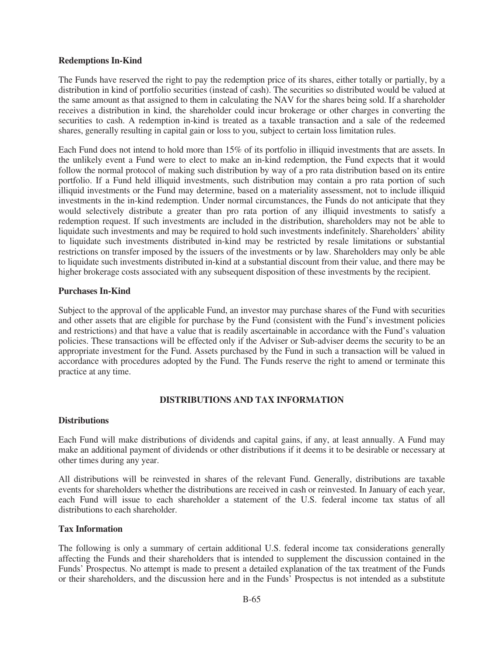## **Redemptions In-Kind**

The Funds have reserved the right to pay the redemption price of its shares, either totally or partially, by a distribution in kind of portfolio securities (instead of cash). The securities so distributed would be valued at the same amount as that assigned to them in calculating the NAV for the shares being sold. If a shareholder receives a distribution in kind, the shareholder could incur brokerage or other charges in converting the securities to cash. A redemption in-kind is treated as a taxable transaction and a sale of the redeemed shares, generally resulting in capital gain or loss to you, subject to certain loss limitation rules.

Each Fund does not intend to hold more than 15% of its portfolio in illiquid investments that are assets. In the unlikely event a Fund were to elect to make an in-kind redemption, the Fund expects that it would follow the normal protocol of making such distribution by way of a pro rata distribution based on its entire portfolio. If a Fund held illiquid investments, such distribution may contain a pro rata portion of such illiquid investments or the Fund may determine, based on a materiality assessment, not to include illiquid investments in the in-kind redemption. Under normal circumstances, the Funds do not anticipate that they would selectively distribute a greater than pro rata portion of any illiquid investments to satisfy a redemption request. If such investments are included in the distribution, shareholders may not be able to liquidate such investments and may be required to hold such investments indefinitely. Shareholders' ability to liquidate such investments distributed in-kind may be restricted by resale limitations or substantial restrictions on transfer imposed by the issuers of the investments or by law. Shareholders may only be able to liquidate such investments distributed in-kind at a substantial discount from their value, and there may be higher brokerage costs associated with any subsequent disposition of these investments by the recipient.

## **Purchases In-Kind**

Subject to the approval of the applicable Fund, an investor may purchase shares of the Fund with securities and other assets that are eligible for purchase by the Fund (consistent with the Fund's investment policies and restrictions) and that have a value that is readily ascertainable in accordance with the Fund's valuation policies. These transactions will be effected only if the Adviser or Sub-adviser deems the security to be an appropriate investment for the Fund. Assets purchased by the Fund in such a transaction will be valued in accordance with procedures adopted by the Fund. The Funds reserve the right to amend or terminate this practice at any time.

# **DISTRIBUTIONS AND TAX INFORMATION**

### **Distributions**

Each Fund will make distributions of dividends and capital gains, if any, at least annually. A Fund may make an additional payment of dividends or other distributions if it deems it to be desirable or necessary at other times during any year.

All distributions will be reinvested in shares of the relevant Fund. Generally, distributions are taxable events for shareholders whether the distributions are received in cash or reinvested. In January of each year, each Fund will issue to each shareholder a statement of the U.S. federal income tax status of all distributions to each shareholder.

### **Tax Information**

The following is only a summary of certain additional U.S. federal income tax considerations generally affecting the Funds and their shareholders that is intended to supplement the discussion contained in the Funds' Prospectus. No attempt is made to present a detailed explanation of the tax treatment of the Funds or their shareholders, and the discussion here and in the Funds' Prospectus is not intended as a substitute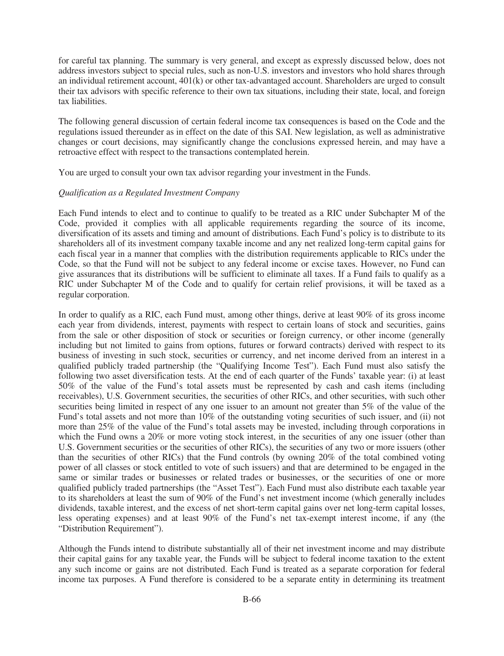for careful tax planning. The summary is very general, and except as expressly discussed below, does not address investors subject to special rules, such as non-U.S. investors and investors who hold shares through an individual retirement account, 401(k) or other tax-advantaged account. Shareholders are urged to consult their tax advisors with specific reference to their own tax situations, including their state, local, and foreign tax liabilities.

The following general discussion of certain federal income tax consequences is based on the Code and the regulations issued thereunder as in effect on the date of this SAI. New legislation, as well as administrative changes or court decisions, may significantly change the conclusions expressed herein, and may have a retroactive effect with respect to the transactions contemplated herein.

You are urged to consult your own tax advisor regarding your investment in the Funds.

### *Qualification as a Regulated Investment Company*

Each Fund intends to elect and to continue to qualify to be treated as a RIC under Subchapter M of the Code, provided it complies with all applicable requirements regarding the source of its income, diversification of its assets and timing and amount of distributions. Each Fund's policy is to distribute to its shareholders all of its investment company taxable income and any net realized long-term capital gains for each fiscal year in a manner that complies with the distribution requirements applicable to RICs under the Code, so that the Fund will not be subject to any federal income or excise taxes. However, no Fund can give assurances that its distributions will be sufficient to eliminate all taxes. If a Fund fails to qualify as a RIC under Subchapter M of the Code and to qualify for certain relief provisions, it will be taxed as a regular corporation.

In order to qualify as a RIC, each Fund must, among other things, derive at least 90% of its gross income each year from dividends, interest, payments with respect to certain loans of stock and securities, gains from the sale or other disposition of stock or securities or foreign currency, or other income (generally including but not limited to gains from options, futures or forward contracts) derived with respect to its business of investing in such stock, securities or currency, and net income derived from an interest in a qualified publicly traded partnership (the "Qualifying Income Test"). Each Fund must also satisfy the following two asset diversification tests. At the end of each quarter of the Funds' taxable year: (i) at least 50% of the value of the Fund's total assets must be represented by cash and cash items (including receivables), U.S. Government securities, the securities of other RICs, and other securities, with such other securities being limited in respect of any one issuer to an amount not greater than 5% of the value of the Fund's total assets and not more than 10% of the outstanding voting securities of such issuer, and (ii) not more than 25% of the value of the Fund's total assets may be invested, including through corporations in which the Fund owns a 20% or more voting stock interest, in the securities of any one issuer (other than U.S. Government securities or the securities of other RICs), the securities of any two or more issuers (other than the securities of other RICs) that the Fund controls (by owning 20% of the total combined voting power of all classes or stock entitled to vote of such issuers) and that are determined to be engaged in the same or similar trades or businesses or related trades or businesses, or the securities of one or more qualified publicly traded partnerships (the "Asset Test"). Each Fund must also distribute each taxable year to its shareholders at least the sum of 90% of the Fund's net investment income (which generally includes dividends, taxable interest, and the excess of net short-term capital gains over net long-term capital losses, less operating expenses) and at least 90% of the Fund's net tax-exempt interest income, if any (the "Distribution Requirement").

Although the Funds intend to distribute substantially all of their net investment income and may distribute their capital gains for any taxable year, the Funds will be subject to federal income taxation to the extent any such income or gains are not distributed. Each Fund is treated as a separate corporation for federal income tax purposes. A Fund therefore is considered to be a separate entity in determining its treatment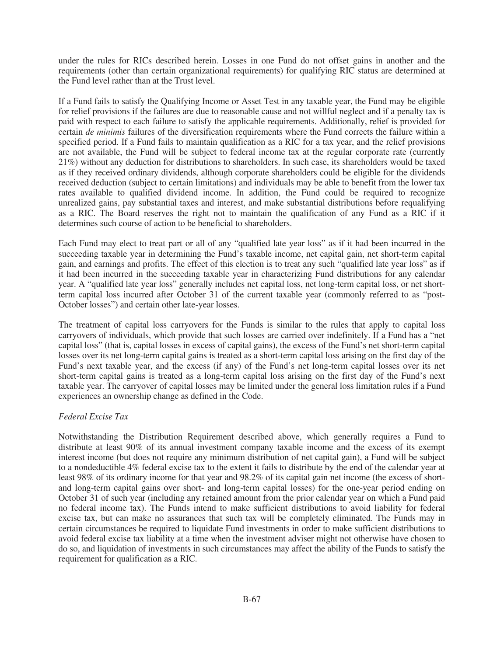under the rules for RICs described herein. Losses in one Fund do not offset gains in another and the requirements (other than certain organizational requirements) for qualifying RIC status are determined at the Fund level rather than at the Trust level.

If a Fund fails to satisfy the Qualifying Income or Asset Test in any taxable year, the Fund may be eligible for relief provisions if the failures are due to reasonable cause and not willful neglect and if a penalty tax is paid with respect to each failure to satisfy the applicable requirements. Additionally, relief is provided for certain *de minimis* failures of the diversification requirements where the Fund corrects the failure within a specified period. If a Fund fails to maintain qualification as a RIC for a tax year, and the relief provisions are not available, the Fund will be subject to federal income tax at the regular corporate rate (currently 21%) without any deduction for distributions to shareholders. In such case, its shareholders would be taxed as if they received ordinary dividends, although corporate shareholders could be eligible for the dividends received deduction (subject to certain limitations) and individuals may be able to benefit from the lower tax rates available to qualified dividend income. In addition, the Fund could be required to recognize unrealized gains, pay substantial taxes and interest, and make substantial distributions before requalifying as a RIC. The Board reserves the right not to maintain the qualification of any Fund as a RIC if it determines such course of action to be beneficial to shareholders.

Each Fund may elect to treat part or all of any "qualified late year loss" as if it had been incurred in the succeeding taxable year in determining the Fund's taxable income, net capital gain, net short-term capital gain, and earnings and profits. The effect of this election is to treat any such "qualified late year loss" as if it had been incurred in the succeeding taxable year in characterizing Fund distributions for any calendar year. A "qualified late year loss" generally includes net capital loss, net long-term capital loss, or net shortterm capital loss incurred after October 31 of the current taxable year (commonly referred to as "post-October losses") and certain other late-year losses.

The treatment of capital loss carryovers for the Funds is similar to the rules that apply to capital loss carryovers of individuals, which provide that such losses are carried over indefinitely. If a Fund has a "net capital loss" (that is, capital losses in excess of capital gains), the excess of the Fund's net short-term capital losses over its net long-term capital gains is treated as a short-term capital loss arising on the first day of the Fund's next taxable year, and the excess (if any) of the Fund's net long-term capital losses over its net short-term capital gains is treated as a long-term capital loss arising on the first day of the Fund's next taxable year. The carryover of capital losses may be limited under the general loss limitation rules if a Fund experiences an ownership change as defined in the Code.

### *Federal Excise Tax*

Notwithstanding the Distribution Requirement described above, which generally requires a Fund to distribute at least 90% of its annual investment company taxable income and the excess of its exempt interest income (but does not require any minimum distribution of net capital gain), a Fund will be subject to a nondeductible 4% federal excise tax to the extent it fails to distribute by the end of the calendar year at least 98% of its ordinary income for that year and 98.2% of its capital gain net income (the excess of shortand long-term capital gains over short- and long-term capital losses) for the one-year period ending on October 31 of such year (including any retained amount from the prior calendar year on which a Fund paid no federal income tax). The Funds intend to make sufficient distributions to avoid liability for federal excise tax, but can make no assurances that such tax will be completely eliminated. The Funds may in certain circumstances be required to liquidate Fund investments in order to make sufficient distributions to avoid federal excise tax liability at a time when the investment adviser might not otherwise have chosen to do so, and liquidation of investments in such circumstances may affect the ability of the Funds to satisfy the requirement for qualification as a RIC.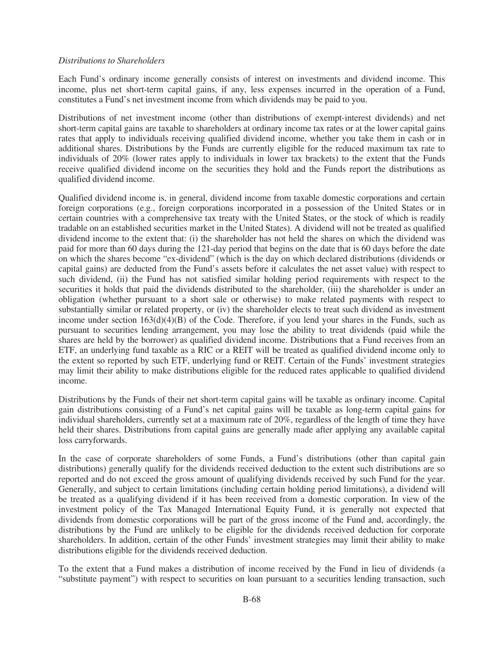### *Distributions to Shareholders*

Each Fund's ordinary income generally consists of interest on investments and dividend income. This income, plus net short-term capital gains, if any, less expenses incurred in the operation of a Fund, constitutes a Fund's net investment income from which dividends may be paid to you.

Distributions of net investment income (other than distributions of exempt-interest dividends) and net short-term capital gains are taxable to shareholders at ordinary income tax rates or at the lower capital gains rates that apply to individuals receiving qualified dividend income, whether you take them in cash or in additional shares. Distributions by the Funds are currently eligible for the reduced maximum tax rate to individuals of 20% (lower rates apply to individuals in lower tax brackets) to the extent that the Funds receive qualified dividend income on the securities they hold and the Funds report the distributions as qualified dividend income.

Qualified dividend income is, in general, dividend income from taxable domestic corporations and certain foreign corporations (e.g., foreign corporations incorporated in a possession of the United States or in certain countries with a comprehensive tax treaty with the United States, or the stock of which is readily tradable on an established securities market in the United States). A dividend will not be treated as qualified dividend income to the extent that: (i) the shareholder has not held the shares on which the dividend was paid for more than 60 days during the 121-day period that begins on the date that is 60 days before the date on which the shares become "ex-dividend" (which is the day on which declared distributions (dividends or capital gains) are deducted from the Fund's assets before it calculates the net asset value) with respect to such dividend, (ii) the Fund has not satisfied similar holding period requirements with respect to the securities it holds that paid the dividends distributed to the shareholder, (iii) the shareholder is under an obligation (whether pursuant to a short sale or otherwise) to make related payments with respect to substantially similar or related property, or (iv) the shareholder elects to treat such dividend as investment income under section  $163(d)(4)(B)$  of the Code. Therefore, if you lend your shares in the Funds, such as pursuant to securities lending arrangement, you may lose the ability to treat dividends (paid while the shares are held by the borrower) as qualified dividend income. Distributions that a Fund receives from an ETF, an underlying fund taxable as a RIC or a REIT will be treated as qualified dividend income only to the extent so reported by such ETF, underlying fund or REIT. Certain of the Funds' investment strategies may limit their ability to make distributions eligible for the reduced rates applicable to qualified dividend income.

Distributions by the Funds of their net short-term capital gains will be taxable as ordinary income. Capital gain distributions consisting of a Fund's net capital gains will be taxable as long-term capital gains for individual shareholders, currently set at a maximum rate of 20%, regardless of the length of time they have held their shares. Distributions from capital gains are generally made after applying any available capital loss carryforwards.

In the case of corporate shareholders of some Funds, a Fund's distributions (other than capital gain distributions) generally qualify for the dividends received deduction to the extent such distributions are so reported and do not exceed the gross amount of qualifying dividends received by such Fund for the year. Generally, and subject to certain limitations (including certain holding period limitations), a dividend will be treated as a qualifying dividend if it has been received from a domestic corporation. In view of the investment policy of the Tax Managed International Equity Fund, it is generally not expected that dividends from domestic corporations will be part of the gross income of the Fund and, accordingly, the distributions by the Fund are unlikely to be eligible for the dividends received deduction for corporate shareholders. In addition, certain of the other Funds' investment strategies may limit their ability to make distributions eligible for the dividends received deduction.

To the extent that a Fund makes a distribution of income received by the Fund in lieu of dividends (a "substitute payment") with respect to securities on loan pursuant to a securities lending transaction, such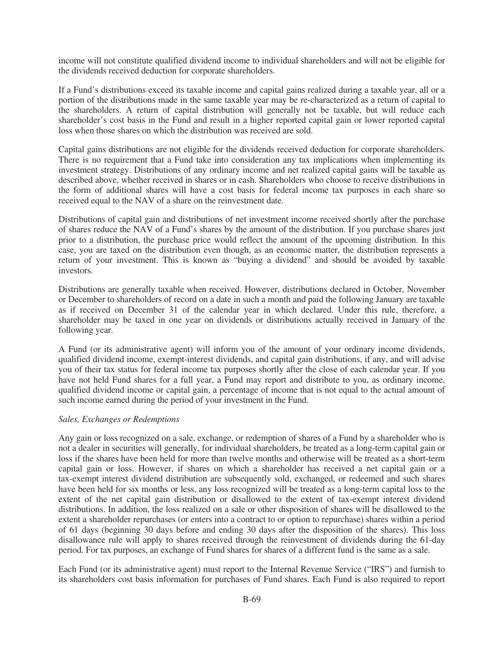income will not constitute qualified dividend income to individual shareholders and will not be eligible for the dividends received deduction for corporate shareholders.

If a Fund's distributions exceed its taxable income and capital gains realized during a taxable year, all or a portion of the distributions made in the same taxable year may be re-characterized as a return of capital to the shareholders. A return of capital distribution will generally not be taxable, but will reduce each shareholder's cost basis in the Fund and result in a higher reported capital gain or lower reported capital loss when those shares on which the distribution was received are sold.

Capital gains distributions are not eligible for the dividends received deduction for corporate shareholders. There is no requirement that a Fund take into consideration any tax implications when implementing its investment strategy. Distributions of any ordinary income and net realized capital gains will be taxable as described above, whether received in shares or in cash. Shareholders who choose to receive distributions in the form of additional shares will have a cost basis for federal income tax purposes in each share so received equal to the NAV of a share on the reinvestment date.

Distributions of capital gain and distributions of net investment income received shortly after the purchase of shares reduce the NAV of a Fund's shares by the amount of the distribution. If you purchase shares just prior to a distribution, the purchase price would reflect the amount of the upcoming distribution. In this case, you are taxed on the distribution even though, as an economic matter, the distribution represents a return of your investment. This is known as "buying a dividend" and should be avoided by taxable investors.

Distributions are generally taxable when received. However, distributions declared in October, November or December to shareholders of record on a date in such a month and paid the following January are taxable as if received on December 31 of the calendar year in which declared. Under this rule, therefore, a shareholder may be taxed in one year on dividends or distributions actually received in January of the following year.

A Fund (or its administrative agent) will inform you of the amount of your ordinary income dividends, qualified dividend income, exempt-interest dividends, and capital gain distributions, if any, and will advise you of their tax status for federal income tax purposes shortly after the close of each calendar year. If you have not held Fund shares for a full year, a Fund may report and distribute to you, as ordinary income, qualified dividend income or capital gain, a percentage of income that is not equal to the actual amount of such income earned during the period of your investment in the Fund.

### *Sales, Exchanges or Redemptions*

Any gain or loss recognized on a sale, exchange, or redemption of shares of a Fund by a shareholder who is not a dealer in securities will generally, for individual shareholders, be treated as a long-term capital gain or loss if the shares have been held for more than twelve months and otherwise will be treated as a short-term capital gain or loss. However, if shares on which a shareholder has received a net capital gain or a tax-exempt interest dividend distribution are subsequently sold, exchanged, or redeemed and such shares have been held for six months or less, any loss recognized will be treated as a long-term capital loss to the extent of the net capital gain distribution or disallowed to the extent of tax-exempt interest dividend distributions. In addition, the loss realized on a sale or other disposition of shares will be disallowed to the extent a shareholder repurchases (or enters into a contract to or option to repurchase) shares within a period of 61 days (beginning 30 days before and ending 30 days after the disposition of the shares). This loss disallowance rule will apply to shares received through the reinvestment of dividends during the 61-day period. For tax purposes, an exchange of Fund shares for shares of a different fund is the same as a sale.

Each Fund (or its administrative agent) must report to the Internal Revenue Service ("IRS") and furnish to its shareholders cost basis information for purchases of Fund shares. Each Fund is also required to report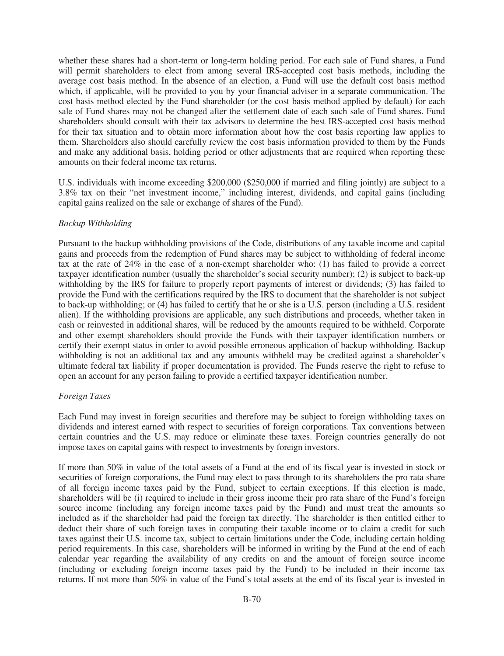whether these shares had a short-term or long-term holding period. For each sale of Fund shares, a Fund will permit shareholders to elect from among several IRS-accepted cost basis methods, including the average cost basis method. In the absence of an election, a Fund will use the default cost basis method which, if applicable, will be provided to you by your financial adviser in a separate communication. The cost basis method elected by the Fund shareholder (or the cost basis method applied by default) for each sale of Fund shares may not be changed after the settlement date of each such sale of Fund shares. Fund shareholders should consult with their tax advisors to determine the best IRS-accepted cost basis method for their tax situation and to obtain more information about how the cost basis reporting law applies to them. Shareholders also should carefully review the cost basis information provided to them by the Funds and make any additional basis, holding period or other adjustments that are required when reporting these amounts on their federal income tax returns.

U.S. individuals with income exceeding \$200,000 (\$250,000 if married and filing jointly) are subject to a 3.8% tax on their "net investment income," including interest, dividends, and capital gains (including capital gains realized on the sale or exchange of shares of the Fund).

### *Backup Withholding*

Pursuant to the backup withholding provisions of the Code, distributions of any taxable income and capital gains and proceeds from the redemption of Fund shares may be subject to withholding of federal income tax at the rate of 24% in the case of a non-exempt shareholder who: (1) has failed to provide a correct taxpayer identification number (usually the shareholder's social security number); (2) is subject to back-up withholding by the IRS for failure to properly report payments of interest or dividends; (3) has failed to provide the Fund with the certifications required by the IRS to document that the shareholder is not subject to back-up withholding; or (4) has failed to certify that he or she is a U.S. person (including a U.S. resident alien). If the withholding provisions are applicable, any such distributions and proceeds, whether taken in cash or reinvested in additional shares, will be reduced by the amounts required to be withheld. Corporate and other exempt shareholders should provide the Funds with their taxpayer identification numbers or certify their exempt status in order to avoid possible erroneous application of backup withholding. Backup withholding is not an additional tax and any amounts withheld may be credited against a shareholder's ultimate federal tax liability if proper documentation is provided. The Funds reserve the right to refuse to open an account for any person failing to provide a certified taxpayer identification number.

### *Foreign Taxes*

Each Fund may invest in foreign securities and therefore may be subject to foreign withholding taxes on dividends and interest earned with respect to securities of foreign corporations. Tax conventions between certain countries and the U.S. may reduce or eliminate these taxes. Foreign countries generally do not impose taxes on capital gains with respect to investments by foreign investors.

If more than 50% in value of the total assets of a Fund at the end of its fiscal year is invested in stock or securities of foreign corporations, the Fund may elect to pass through to its shareholders the pro rata share of all foreign income taxes paid by the Fund, subject to certain exceptions. If this election is made, shareholders will be (i) required to include in their gross income their pro rata share of the Fund's foreign source income (including any foreign income taxes paid by the Fund) and must treat the amounts so included as if the shareholder had paid the foreign tax directly. The shareholder is then entitled either to deduct their share of such foreign taxes in computing their taxable income or to claim a credit for such taxes against their U.S. income tax, subject to certain limitations under the Code, including certain holding period requirements. In this case, shareholders will be informed in writing by the Fund at the end of each calendar year regarding the availability of any credits on and the amount of foreign source income (including or excluding foreign income taxes paid by the Fund) to be included in their income tax returns. If not more than 50% in value of the Fund's total assets at the end of its fiscal year is invested in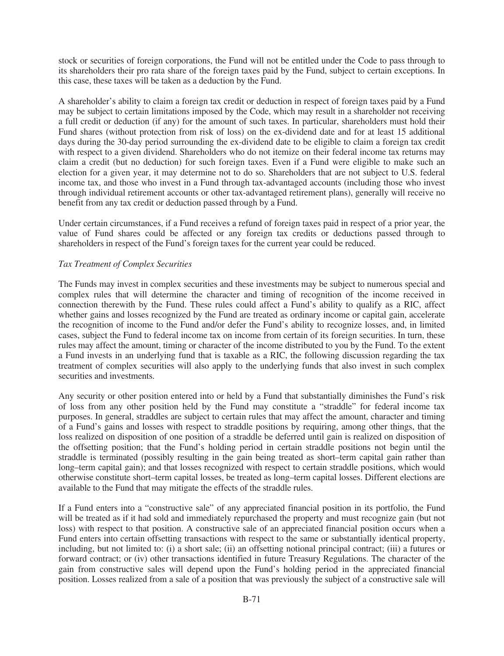stock or securities of foreign corporations, the Fund will not be entitled under the Code to pass through to its shareholders their pro rata share of the foreign taxes paid by the Fund, subject to certain exceptions. In this case, these taxes will be taken as a deduction by the Fund.

A shareholder's ability to claim a foreign tax credit or deduction in respect of foreign taxes paid by a Fund may be subject to certain limitations imposed by the Code, which may result in a shareholder not receiving a full credit or deduction (if any) for the amount of such taxes. In particular, shareholders must hold their Fund shares (without protection from risk of loss) on the ex-dividend date and for at least 15 additional days during the 30-day period surrounding the ex-dividend date to be eligible to claim a foreign tax credit with respect to a given dividend. Shareholders who do not itemize on their federal income tax returns may claim a credit (but no deduction) for such foreign taxes. Even if a Fund were eligible to make such an election for a given year, it may determine not to do so. Shareholders that are not subject to U.S. federal income tax, and those who invest in a Fund through tax-advantaged accounts (including those who invest through individual retirement accounts or other tax-advantaged retirement plans), generally will receive no benefit from any tax credit or deduction passed through by a Fund.

Under certain circumstances, if a Fund receives a refund of foreign taxes paid in respect of a prior year, the value of Fund shares could be affected or any foreign tax credits or deductions passed through to shareholders in respect of the Fund's foreign taxes for the current year could be reduced.

## *Tax Treatment of Complex Securities*

The Funds may invest in complex securities and these investments may be subject to numerous special and complex rules that will determine the character and timing of recognition of the income received in connection therewith by the Fund. These rules could affect a Fund's ability to qualify as a RIC, affect whether gains and losses recognized by the Fund are treated as ordinary income or capital gain, accelerate the recognition of income to the Fund and/or defer the Fund's ability to recognize losses, and, in limited cases, subject the Fund to federal income tax on income from certain of its foreign securities. In turn, these rules may affect the amount, timing or character of the income distributed to you by the Fund. To the extent a Fund invests in an underlying fund that is taxable as a RIC, the following discussion regarding the tax treatment of complex securities will also apply to the underlying funds that also invest in such complex securities and investments.

Any security or other position entered into or held by a Fund that substantially diminishes the Fund's risk of loss from any other position held by the Fund may constitute a "straddle" for federal income tax purposes. In general, straddles are subject to certain rules that may affect the amount, character and timing of a Fund's gains and losses with respect to straddle positions by requiring, among other things, that the loss realized on disposition of one position of a straddle be deferred until gain is realized on disposition of the offsetting position; that the Fund's holding period in certain straddle positions not begin until the straddle is terminated (possibly resulting in the gain being treated as short–term capital gain rather than long–term capital gain); and that losses recognized with respect to certain straddle positions, which would otherwise constitute short–term capital losses, be treated as long–term capital losses. Different elections are available to the Fund that may mitigate the effects of the straddle rules.

If a Fund enters into a "constructive sale" of any appreciated financial position in its portfolio, the Fund will be treated as if it had sold and immediately repurchased the property and must recognize gain (but not loss) with respect to that position. A constructive sale of an appreciated financial position occurs when a Fund enters into certain offsetting transactions with respect to the same or substantially identical property, including, but not limited to: (i) a short sale; (ii) an offsetting notional principal contract; (iii) a futures or forward contract; or (iv) other transactions identified in future Treasury Regulations. The character of the gain from constructive sales will depend upon the Fund's holding period in the appreciated financial position. Losses realized from a sale of a position that was previously the subject of a constructive sale will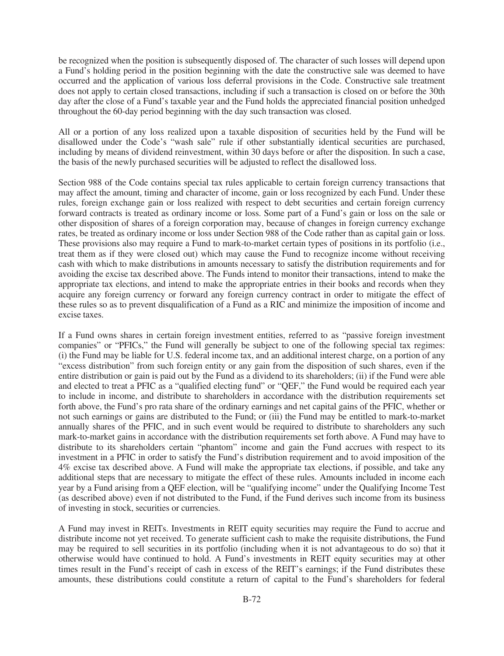be recognized when the position is subsequently disposed of. The character of such losses will depend upon a Fund's holding period in the position beginning with the date the constructive sale was deemed to have occurred and the application of various loss deferral provisions in the Code. Constructive sale treatment does not apply to certain closed transactions, including if such a transaction is closed on or before the 30th day after the close of a Fund's taxable year and the Fund holds the appreciated financial position unhedged throughout the 60-day period beginning with the day such transaction was closed.

All or a portion of any loss realized upon a taxable disposition of securities held by the Fund will be disallowed under the Code's "wash sale" rule if other substantially identical securities are purchased, including by means of dividend reinvestment, within 30 days before or after the disposition. In such a case, the basis of the newly purchased securities will be adjusted to reflect the disallowed loss.

Section 988 of the Code contains special tax rules applicable to certain foreign currency transactions that may affect the amount, timing and character of income, gain or loss recognized by each Fund. Under these rules, foreign exchange gain or loss realized with respect to debt securities and certain foreign currency forward contracts is treated as ordinary income or loss. Some part of a Fund's gain or loss on the sale or other disposition of shares of a foreign corporation may, because of changes in foreign currency exchange rates, be treated as ordinary income or loss under Section 988 of the Code rather than as capital gain or loss. These provisions also may require a Fund to mark-to-market certain types of positions in its portfolio (i.e., treat them as if they were closed out) which may cause the Fund to recognize income without receiving cash with which to make distributions in amounts necessary to satisfy the distribution requirements and for avoiding the excise tax described above. The Funds intend to monitor their transactions, intend to make the appropriate tax elections, and intend to make the appropriate entries in their books and records when they acquire any foreign currency or forward any foreign currency contract in order to mitigate the effect of these rules so as to prevent disqualification of a Fund as a RIC and minimize the imposition of income and excise taxes.

If a Fund owns shares in certain foreign investment entities, referred to as "passive foreign investment companies" or "PFICs," the Fund will generally be subject to one of the following special tax regimes: (i) the Fund may be liable for U.S. federal income tax, and an additional interest charge, on a portion of any "excess distribution" from such foreign entity or any gain from the disposition of such shares, even if the entire distribution or gain is paid out by the Fund as a dividend to its shareholders; (ii) if the Fund were able and elected to treat a PFIC as a "qualified electing fund" or "QEF," the Fund would be required each year to include in income, and distribute to shareholders in accordance with the distribution requirements set forth above, the Fund's pro rata share of the ordinary earnings and net capital gains of the PFIC, whether or not such earnings or gains are distributed to the Fund; or (iii) the Fund may be entitled to mark-to-market annually shares of the PFIC, and in such event would be required to distribute to shareholders any such mark-to-market gains in accordance with the distribution requirements set forth above. A Fund may have to distribute to its shareholders certain "phantom" income and gain the Fund accrues with respect to its investment in a PFIC in order to satisfy the Fund's distribution requirement and to avoid imposition of the 4% excise tax described above. A Fund will make the appropriate tax elections, if possible, and take any additional steps that are necessary to mitigate the effect of these rules. Amounts included in income each year by a Fund arising from a QEF election, will be "qualifying income" under the Qualifying Income Test (as described above) even if not distributed to the Fund, if the Fund derives such income from its business of investing in stock, securities or currencies.

A Fund may invest in REITs. Investments in REIT equity securities may require the Fund to accrue and distribute income not yet received. To generate sufficient cash to make the requisite distributions, the Fund may be required to sell securities in its portfolio (including when it is not advantageous to do so) that it otherwise would have continued to hold. A Fund's investments in REIT equity securities may at other times result in the Fund's receipt of cash in excess of the REIT's earnings; if the Fund distributes these amounts, these distributions could constitute a return of capital to the Fund's shareholders for federal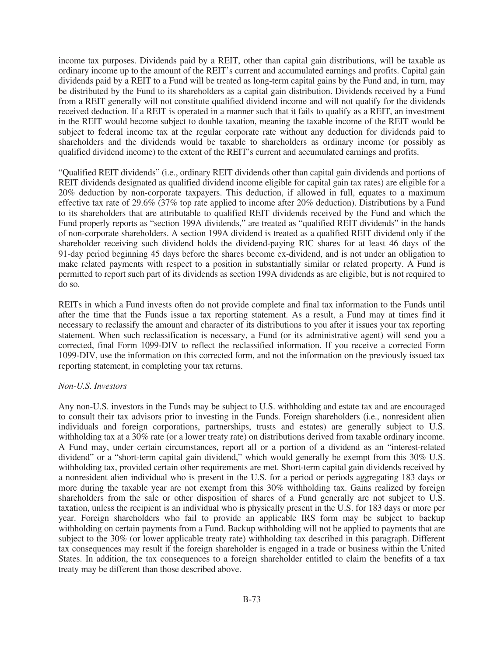income tax purposes. Dividends paid by a REIT, other than capital gain distributions, will be taxable as ordinary income up to the amount of the REIT's current and accumulated earnings and profits. Capital gain dividends paid by a REIT to a Fund will be treated as long-term capital gains by the Fund and, in turn, may be distributed by the Fund to its shareholders as a capital gain distribution. Dividends received by a Fund from a REIT generally will not constitute qualified dividend income and will not qualify for the dividends received deduction. If a REIT is operated in a manner such that it fails to qualify as a REIT, an investment in the REIT would become subject to double taxation, meaning the taxable income of the REIT would be subject to federal income tax at the regular corporate rate without any deduction for dividends paid to shareholders and the dividends would be taxable to shareholders as ordinary income (or possibly as qualified dividend income) to the extent of the REIT's current and accumulated earnings and profits.

"Qualified REIT dividends" (i.e., ordinary REIT dividends other than capital gain dividends and portions of REIT dividends designated as qualified dividend income eligible for capital gain tax rates) are eligible for a 20% deduction by non-corporate taxpayers. This deduction, if allowed in full, equates to a maximum effective tax rate of 29.6% (37% top rate applied to income after 20% deduction). Distributions by a Fund to its shareholders that are attributable to qualified REIT dividends received by the Fund and which the Fund properly reports as "section 199A dividends," are treated as "qualified REIT dividends" in the hands of non-corporate shareholders. A section 199A dividend is treated as a qualified REIT dividend only if the shareholder receiving such dividend holds the dividend-paying RIC shares for at least 46 days of the 91-day period beginning 45 days before the shares become ex-dividend, and is not under an obligation to make related payments with respect to a position in substantially similar or related property. A Fund is permitted to report such part of its dividends as section 199A dividends as are eligible, but is not required to do so.

REITs in which a Fund invests often do not provide complete and final tax information to the Funds until after the time that the Funds issue a tax reporting statement. As a result, a Fund may at times find it necessary to reclassify the amount and character of its distributions to you after it issues your tax reporting statement. When such reclassification is necessary, a Fund (or its administrative agent) will send you a corrected, final Form 1099-DIV to reflect the reclassified information. If you receive a corrected Form 1099-DIV, use the information on this corrected form, and not the information on the previously issued tax reporting statement, in completing your tax returns.

#### *Non-U.S. Investors*

Any non-U.S. investors in the Funds may be subject to U.S. withholding and estate tax and are encouraged to consult their tax advisors prior to investing in the Funds. Foreign shareholders (i.e., nonresident alien individuals and foreign corporations, partnerships, trusts and estates) are generally subject to U.S. withholding tax at a 30% rate (or a lower treaty rate) on distributions derived from taxable ordinary income. A Fund may, under certain circumstances, report all or a portion of a dividend as an "interest-related dividend" or a "short-term capital gain dividend," which would generally be exempt from this 30% U.S. withholding tax, provided certain other requirements are met. Short-term capital gain dividends received by a nonresident alien individual who is present in the U.S. for a period or periods aggregating 183 days or more during the taxable year are not exempt from this 30% withholding tax. Gains realized by foreign shareholders from the sale or other disposition of shares of a Fund generally are not subject to U.S. taxation, unless the recipient is an individual who is physically present in the U.S. for 183 days or more per year. Foreign shareholders who fail to provide an applicable IRS form may be subject to backup withholding on certain payments from a Fund. Backup withholding will not be applied to payments that are subject to the 30% (or lower applicable treaty rate) withholding tax described in this paragraph. Different tax consequences may result if the foreign shareholder is engaged in a trade or business within the United States. In addition, the tax consequences to a foreign shareholder entitled to claim the benefits of a tax treaty may be different than those described above.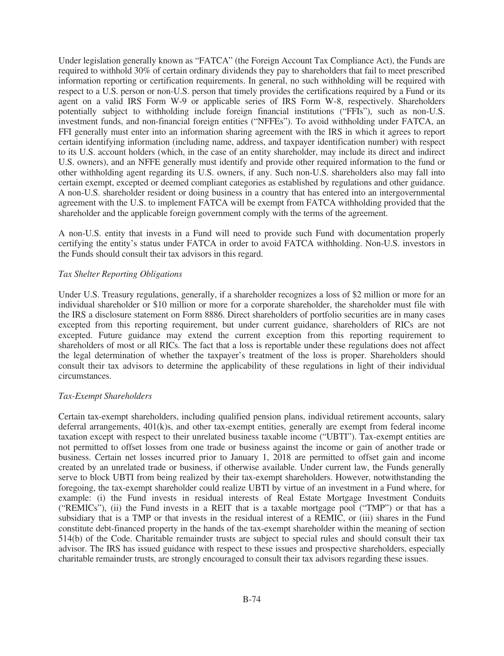Under legislation generally known as "FATCA" (the Foreign Account Tax Compliance Act), the Funds are required to withhold 30% of certain ordinary dividends they pay to shareholders that fail to meet prescribed information reporting or certification requirements. In general, no such withholding will be required with respect to a U.S. person or non-U.S. person that timely provides the certifications required by a Fund or its agent on a valid IRS Form W-9 or applicable series of IRS Form W-8, respectively. Shareholders potentially subject to withholding include foreign financial institutions ("FFIs"), such as non-U.S. investment funds, and non-financial foreign entities ("NFFEs"). To avoid withholding under FATCA, an FFI generally must enter into an information sharing agreement with the IRS in which it agrees to report certain identifying information (including name, address, and taxpayer identification number) with respect to its U.S. account holders (which, in the case of an entity shareholder, may include its direct and indirect U.S. owners), and an NFFE generally must identify and provide other required information to the fund or other withholding agent regarding its U.S. owners, if any. Such non-U.S. shareholders also may fall into certain exempt, excepted or deemed compliant categories as established by regulations and other guidance. A non-U.S. shareholder resident or doing business in a country that has entered into an intergovernmental agreement with the U.S. to implement FATCA will be exempt from FATCA withholding provided that the shareholder and the applicable foreign government comply with the terms of the agreement.

A non-U.S. entity that invests in a Fund will need to provide such Fund with documentation properly certifying the entity's status under FATCA in order to avoid FATCA withholding. Non-U.S. investors in the Funds should consult their tax advisors in this regard.

#### *Tax Shelter Reporting Obligations*

Under U.S. Treasury regulations, generally, if a shareholder recognizes a loss of \$2 million or more for an individual shareholder or \$10 million or more for a corporate shareholder, the shareholder must file with the IRS a disclosure statement on Form 8886. Direct shareholders of portfolio securities are in many cases excepted from this reporting requirement, but under current guidance, shareholders of RICs are not excepted. Future guidance may extend the current exception from this reporting requirement to shareholders of most or all RICs. The fact that a loss is reportable under these regulations does not affect the legal determination of whether the taxpayer's treatment of the loss is proper. Shareholders should consult their tax advisors to determine the applicability of these regulations in light of their individual circumstances.

#### *Tax-Exempt Shareholders*

Certain tax-exempt shareholders, including qualified pension plans, individual retirement accounts, salary deferral arrangements, 401(k)s, and other tax-exempt entities, generally are exempt from federal income taxation except with respect to their unrelated business taxable income ("UBTI"). Tax-exempt entities are not permitted to offset losses from one trade or business against the income or gain of another trade or business. Certain net losses incurred prior to January 1, 2018 are permitted to offset gain and income created by an unrelated trade or business, if otherwise available. Under current law, the Funds generally serve to block UBTI from being realized by their tax-exempt shareholders. However, notwithstanding the foregoing, the tax-exempt shareholder could realize UBTI by virtue of an investment in a Fund where, for example: (i) the Fund invests in residual interests of Real Estate Mortgage Investment Conduits ("REMICs"), (ii) the Fund invests in a REIT that is a taxable mortgage pool ("TMP") or that has a subsidiary that is a TMP or that invests in the residual interest of a REMIC, or (iii) shares in the Fund constitute debt-financed property in the hands of the tax-exempt shareholder within the meaning of section 514(b) of the Code. Charitable remainder trusts are subject to special rules and should consult their tax advisor. The IRS has issued guidance with respect to these issues and prospective shareholders, especially charitable remainder trusts, are strongly encouraged to consult their tax advisors regarding these issues.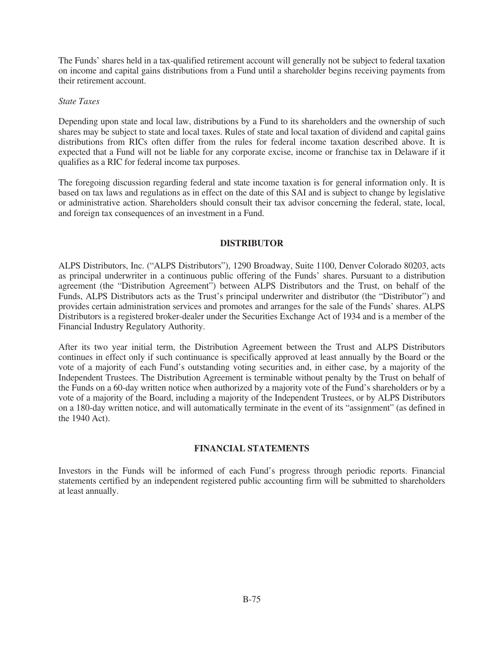The Funds' shares held in a tax-qualified retirement account will generally not be subject to federal taxation on income and capital gains distributions from a Fund until a shareholder begins receiving payments from their retirement account.

#### *State Taxes*

Depending upon state and local law, distributions by a Fund to its shareholders and the ownership of such shares may be subject to state and local taxes. Rules of state and local taxation of dividend and capital gains distributions from RICs often differ from the rules for federal income taxation described above. It is expected that a Fund will not be liable for any corporate excise, income or franchise tax in Delaware if it qualifies as a RIC for federal income tax purposes.

The foregoing discussion regarding federal and state income taxation is for general information only. It is based on tax laws and regulations as in effect on the date of this SAI and is subject to change by legislative or administrative action. Shareholders should consult their tax advisor concerning the federal, state, local, and foreign tax consequences of an investment in a Fund.

## **DISTRIBUTOR**

ALPS Distributors, Inc. ("ALPS Distributors"), 1290 Broadway, Suite 1100, Denver Colorado 80203, acts as principal underwriter in a continuous public offering of the Funds' shares. Pursuant to a distribution agreement (the "Distribution Agreement") between ALPS Distributors and the Trust, on behalf of the Funds, ALPS Distributors acts as the Trust's principal underwriter and distributor (the "Distributor") and provides certain administration services and promotes and arranges for the sale of the Funds' shares. ALPS Distributors is a registered broker-dealer under the Securities Exchange Act of 1934 and is a member of the Financial Industry Regulatory Authority.

After its two year initial term, the Distribution Agreement between the Trust and ALPS Distributors continues in effect only if such continuance is specifically approved at least annually by the Board or the vote of a majority of each Fund's outstanding voting securities and, in either case, by a majority of the Independent Trustees. The Distribution Agreement is terminable without penalty by the Trust on behalf of the Funds on a 60-day written notice when authorized by a majority vote of the Fund's shareholders or by a vote of a majority of the Board, including a majority of the Independent Trustees, or by ALPS Distributors on a 180-day written notice, and will automatically terminate in the event of its "assignment" (as defined in the 1940 Act).

## **FINANCIAL STATEMENTS**

Investors in the Funds will be informed of each Fund's progress through periodic reports. Financial statements certified by an independent registered public accounting firm will be submitted to shareholders at least annually.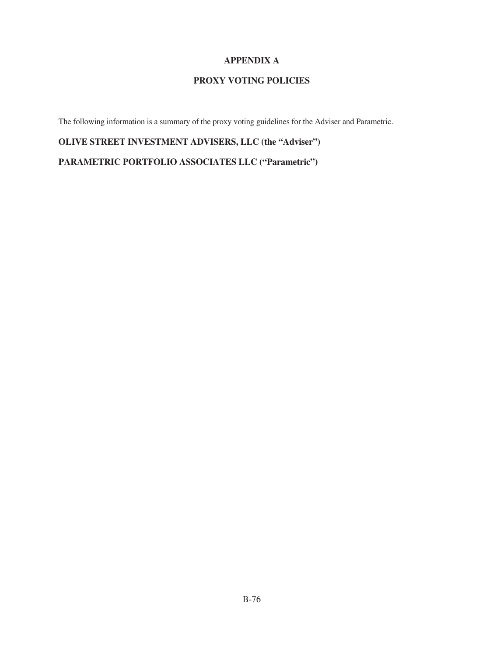## **APPENDIX A**

# **PROXY VOTING POLICIES**

The following information is a summary of the proxy voting guidelines for the Adviser and Parametric.

**OLIVE STREET INVESTMENT ADVISERS, LLC (the "Adviser")**

**PARAMETRIC PORTFOLIO ASSOCIATES LLC ("Parametric")**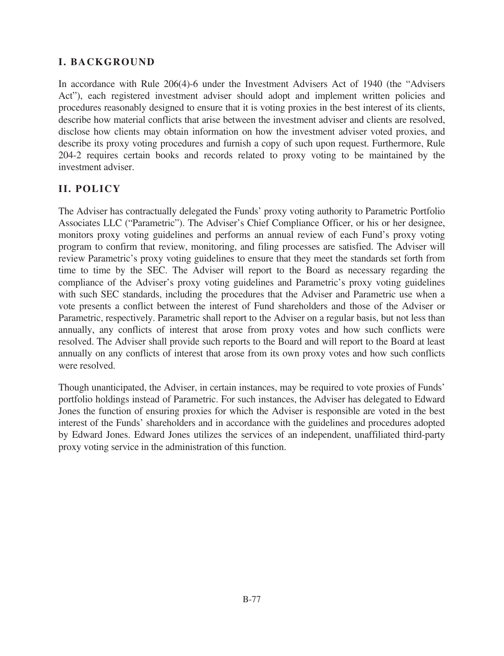# **I. BACKGROUND**

In accordance with Rule 206(4)-6 under the Investment Advisers Act of 1940 (the "Advisers Act"), each registered investment adviser should adopt and implement written policies and procedures reasonably designed to ensure that it is voting proxies in the best interest of its clients, describe how material conflicts that arise between the investment adviser and clients are resolved, disclose how clients may obtain information on how the investment adviser voted proxies, and describe its proxy voting procedures and furnish a copy of such upon request. Furthermore, Rule 204-2 requires certain books and records related to proxy voting to be maintained by the investment adviser.

# **II. POLICY**

The Adviser has contractually delegated the Funds' proxy voting authority to Parametric Portfolio Associates LLC ("Parametric"). The Adviser's Chief Compliance Officer, or his or her designee, monitors proxy voting guidelines and performs an annual review of each Fund's proxy voting program to confirm that review, monitoring, and filing processes are satisfied. The Adviser will review Parametric's proxy voting guidelines to ensure that they meet the standards set forth from time to time by the SEC. The Adviser will report to the Board as necessary regarding the compliance of the Adviser's proxy voting guidelines and Parametric's proxy voting guidelines with such SEC standards, including the procedures that the Adviser and Parametric use when a vote presents a conflict between the interest of Fund shareholders and those of the Adviser or Parametric, respectively. Parametric shall report to the Adviser on a regular basis, but not less than annually, any conflicts of interest that arose from proxy votes and how such conflicts were resolved. The Adviser shall provide such reports to the Board and will report to the Board at least annually on any conflicts of interest that arose from its own proxy votes and how such conflicts were resolved.

Though unanticipated, the Adviser, in certain instances, may be required to vote proxies of Funds' portfolio holdings instead of Parametric. For such instances, the Adviser has delegated to Edward Jones the function of ensuring proxies for which the Adviser is responsible are voted in the best interest of the Funds' shareholders and in accordance with the guidelines and procedures adopted by Edward Jones. Edward Jones utilizes the services of an independent, unaffiliated third-party proxy voting service in the administration of this function.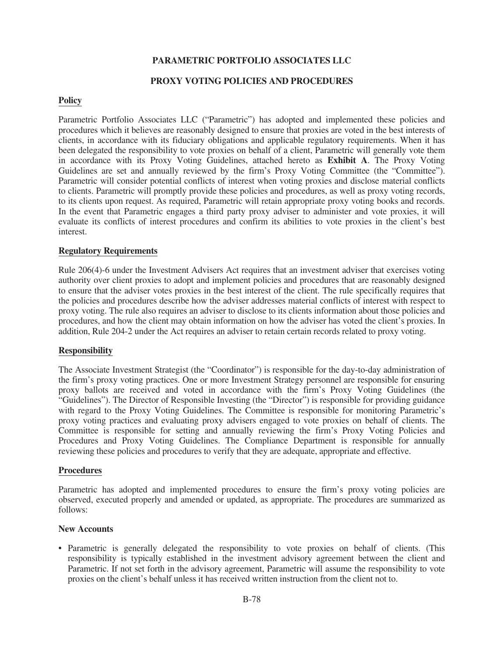## **PARAMETRIC PORTFOLIO ASSOCIATES LLC**

#### **PROXY VOTING POLICIES AND PROCEDURES**

#### **Policy**

Parametric Portfolio Associates LLC ("Parametric") has adopted and implemented these policies and procedures which it believes are reasonably designed to ensure that proxies are voted in the best interests of clients, in accordance with its fiduciary obligations and applicable regulatory requirements. When it has been delegated the responsibility to vote proxies on behalf of a client, Parametric will generally vote them in accordance with its Proxy Voting Guidelines, attached hereto as **Exhibit A**. The Proxy Voting Guidelines are set and annually reviewed by the firm's Proxy Voting Committee (the "Committee"). Parametric will consider potential conflicts of interest when voting proxies and disclose material conflicts to clients. Parametric will promptly provide these policies and procedures, as well as proxy voting records, to its clients upon request. As required, Parametric will retain appropriate proxy voting books and records. In the event that Parametric engages a third party proxy adviser to administer and vote proxies, it will evaluate its conflicts of interest procedures and confirm its abilities to vote proxies in the client's best interest.

#### **Regulatory Requirements**

Rule 206(4)-6 under the Investment Advisers Act requires that an investment adviser that exercises voting authority over client proxies to adopt and implement policies and procedures that are reasonably designed to ensure that the adviser votes proxies in the best interest of the client. The rule specifically requires that the policies and procedures describe how the adviser addresses material conflicts of interest with respect to proxy voting. The rule also requires an adviser to disclose to its clients information about those policies and procedures, and how the client may obtain information on how the adviser has voted the client's proxies. In addition, Rule 204-2 under the Act requires an adviser to retain certain records related to proxy voting.

### **Responsibility**

The Associate Investment Strategist (the "Coordinator") is responsible for the day-to-day administration of the firm's proxy voting practices. One or more Investment Strategy personnel are responsible for ensuring proxy ballots are received and voted in accordance with the firm's Proxy Voting Guidelines (the "Guidelines"). The Director of Responsible Investing (the "Director") is responsible for providing guidance with regard to the Proxy Voting Guidelines. The Committee is responsible for monitoring Parametric's proxy voting practices and evaluating proxy advisers engaged to vote proxies on behalf of clients. The Committee is responsible for setting and annually reviewing the firm's Proxy Voting Policies and Procedures and Proxy Voting Guidelines. The Compliance Department is responsible for annually reviewing these policies and procedures to verify that they are adequate, appropriate and effective.

#### **Procedures**

Parametric has adopted and implemented procedures to ensure the firm's proxy voting policies are observed, executed properly and amended or updated, as appropriate. The procedures are summarized as follows:

#### **New Accounts**

• Parametric is generally delegated the responsibility to vote proxies on behalf of clients. (This responsibility is typically established in the investment advisory agreement between the client and Parametric. If not set forth in the advisory agreement, Parametric will assume the responsibility to vote proxies on the client's behalf unless it has received written instruction from the client not to.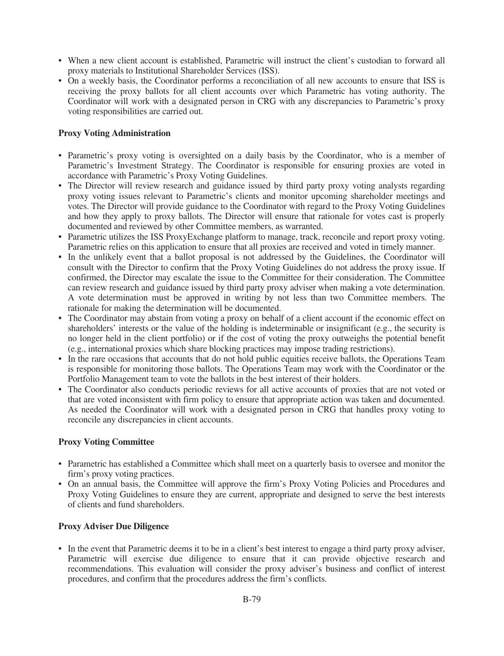- When a new client account is established, Parametric will instruct the client's custodian to forward all proxy materials to Institutional Shareholder Services (ISS).
- On a weekly basis, the Coordinator performs a reconciliation of all new accounts to ensure that ISS is receiving the proxy ballots for all client accounts over which Parametric has voting authority. The Coordinator will work with a designated person in CRG with any discrepancies to Parametric's proxy voting responsibilities are carried out.

## **Proxy Voting Administration**

- Parametric's proxy voting is oversighted on a daily basis by the Coordinator, who is a member of Parametric's Investment Strategy. The Coordinator is responsible for ensuring proxies are voted in accordance with Parametric's Proxy Voting Guidelines.
- The Director will review research and guidance issued by third party proxy voting analysts regarding proxy voting issues relevant to Parametric's clients and monitor upcoming shareholder meetings and votes. The Director will provide guidance to the Coordinator with regard to the Proxy Voting Guidelines and how they apply to proxy ballots. The Director will ensure that rationale for votes cast is properly documented and reviewed by other Committee members, as warranted.
- Parametric utilizes the ISS ProxyExchange platform to manage, track, reconcile and report proxy voting. Parametric relies on this application to ensure that all proxies are received and voted in timely manner.
- In the unlikely event that a ballot proposal is not addressed by the Guidelines, the Coordinator will consult with the Director to confirm that the Proxy Voting Guidelines do not address the proxy issue. If confirmed, the Director may escalate the issue to the Committee for their consideration. The Committee can review research and guidance issued by third party proxy adviser when making a vote determination. A vote determination must be approved in writing by not less than two Committee members. The rationale for making the determination will be documented.
- The Coordinator may abstain from voting a proxy on behalf of a client account if the economic effect on shareholders' interests or the value of the holding is indeterminable or insignificant (e.g., the security is no longer held in the client portfolio) or if the cost of voting the proxy outweighs the potential benefit (e.g., international proxies which share blocking practices may impose trading restrictions).
- In the rare occasions that accounts that do not hold public equities receive ballots, the Operations Team is responsible for monitoring those ballots. The Operations Team may work with the Coordinator or the Portfolio Management team to vote the ballots in the best interest of their holders.
- The Coordinator also conducts periodic reviews for all active accounts of proxies that are not voted or that are voted inconsistent with firm policy to ensure that appropriate action was taken and documented. As needed the Coordinator will work with a designated person in CRG that handles proxy voting to reconcile any discrepancies in client accounts.

## **Proxy Voting Committee**

- Parametric has established a Committee which shall meet on a quarterly basis to oversee and monitor the firm's proxy voting practices.
- On an annual basis, the Committee will approve the firm's Proxy Voting Policies and Procedures and Proxy Voting Guidelines to ensure they are current, appropriate and designed to serve the best interests of clients and fund shareholders.

## **Proxy Adviser Due Diligence**

• In the event that Parametric deems it to be in a client's best interest to engage a third party proxy adviser, Parametric will exercise due diligence to ensure that it can provide objective research and recommendations. This evaluation will consider the proxy adviser's business and conflict of interest procedures, and confirm that the procedures address the firm's conflicts.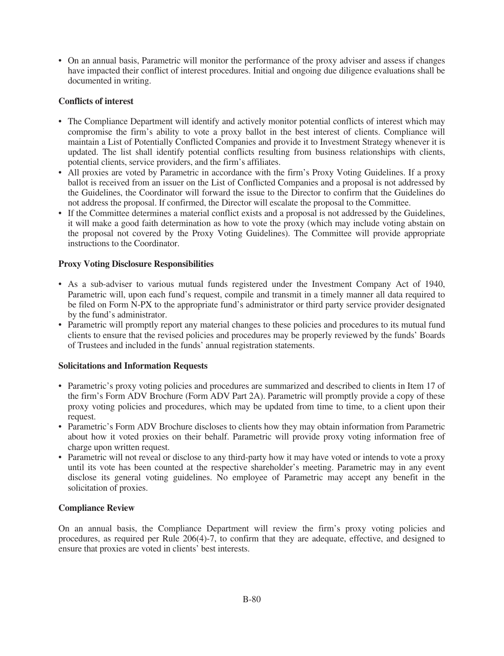• On an annual basis, Parametric will monitor the performance of the proxy adviser and assess if changes have impacted their conflict of interest procedures. Initial and ongoing due diligence evaluations shall be documented in writing.

## **Conflicts of interest**

- The Compliance Department will identify and actively monitor potential conflicts of interest which may compromise the firm's ability to vote a proxy ballot in the best interest of clients. Compliance will maintain a List of Potentially Conflicted Companies and provide it to Investment Strategy whenever it is updated. The list shall identify potential conflicts resulting from business relationships with clients, potential clients, service providers, and the firm's affiliates.
- All proxies are voted by Parametric in accordance with the firm's Proxy Voting Guidelines. If a proxy ballot is received from an issuer on the List of Conflicted Companies and a proposal is not addressed by the Guidelines, the Coordinator will forward the issue to the Director to confirm that the Guidelines do not address the proposal. If confirmed, the Director will escalate the proposal to the Committee.
- If the Committee determines a material conflict exists and a proposal is not addressed by the Guidelines, it will make a good faith determination as how to vote the proxy (which may include voting abstain on the proposal not covered by the Proxy Voting Guidelines). The Committee will provide appropriate instructions to the Coordinator.

## **Proxy Voting Disclosure Responsibilities**

- As a sub-adviser to various mutual funds registered under the Investment Company Act of 1940, Parametric will, upon each fund's request, compile and transmit in a timely manner all data required to be filed on Form N-PX to the appropriate fund's administrator or third party service provider designated by the fund's administrator.
- Parametric will promptly report any material changes to these policies and procedures to its mutual fund clients to ensure that the revised policies and procedures may be properly reviewed by the funds' Boards of Trustees and included in the funds' annual registration statements.

## **Solicitations and Information Requests**

- Parametric's proxy voting policies and procedures are summarized and described to clients in Item 17 of the firm's Form ADV Brochure (Form ADV Part 2A). Parametric will promptly provide a copy of these proxy voting policies and procedures, which may be updated from time to time, to a client upon their request.
- Parametric's Form ADV Brochure discloses to clients how they may obtain information from Parametric about how it voted proxies on their behalf. Parametric will provide proxy voting information free of charge upon written request.
- Parametric will not reveal or disclose to any third-party how it may have voted or intends to vote a proxy until its vote has been counted at the respective shareholder's meeting. Parametric may in any event disclose its general voting guidelines. No employee of Parametric may accept any benefit in the solicitation of proxies.

## **Compliance Review**

On an annual basis, the Compliance Department will review the firm's proxy voting policies and procedures, as required per Rule 206(4)-7, to confirm that they are adequate, effective, and designed to ensure that proxies are voted in clients' best interests.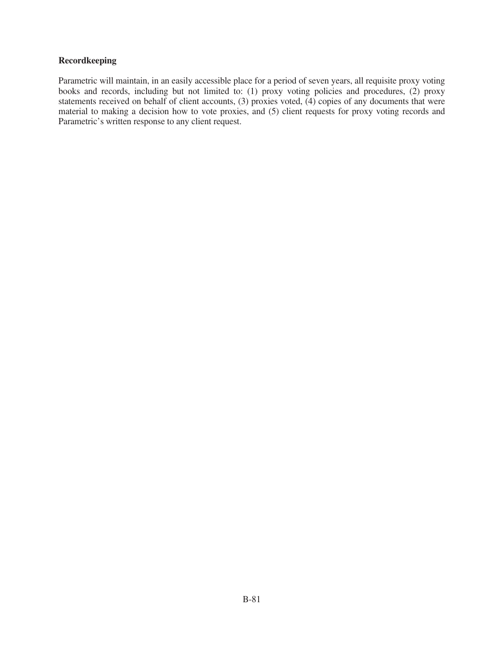## **Recordkeeping**

Parametric will maintain, in an easily accessible place for a period of seven years, all requisite proxy voting books and records, including but not limited to: (1) proxy voting policies and procedures, (2) proxy statements received on behalf of client accounts, (3) proxies voted, (4) copies of any documents that were material to making a decision how to vote proxies, and (5) client requests for proxy voting records and Parametric's written response to any client request.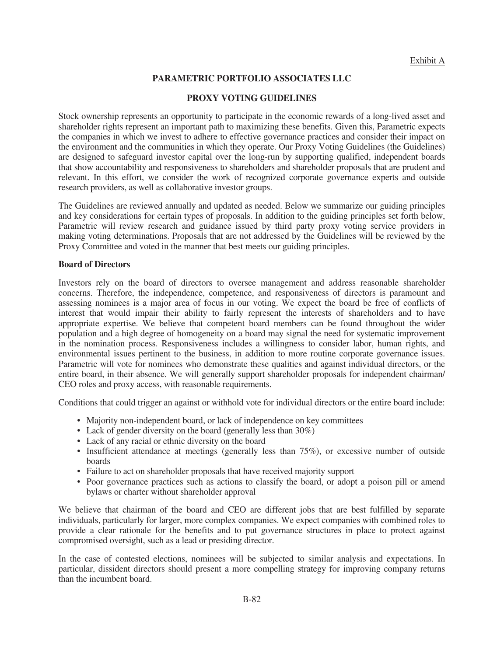## **PARAMETRIC PORTFOLIO ASSOCIATES LLC**

### **PROXY VOTING GUIDELINES**

Stock ownership represents an opportunity to participate in the economic rewards of a long-lived asset and shareholder rights represent an important path to maximizing these benefits. Given this, Parametric expects the companies in which we invest to adhere to effective governance practices and consider their impact on the environment and the communities in which they operate. Our Proxy Voting Guidelines (the Guidelines) are designed to safeguard investor capital over the long-run by supporting qualified, independent boards that show accountability and responsiveness to shareholders and shareholder proposals that are prudent and relevant. In this effort, we consider the work of recognized corporate governance experts and outside research providers, as well as collaborative investor groups.

The Guidelines are reviewed annually and updated as needed. Below we summarize our guiding principles and key considerations for certain types of proposals. In addition to the guiding principles set forth below, Parametric will review research and guidance issued by third party proxy voting service providers in making voting determinations. Proposals that are not addressed by the Guidelines will be reviewed by the Proxy Committee and voted in the manner that best meets our guiding principles.

#### **Board of Directors**

Investors rely on the board of directors to oversee management and address reasonable shareholder concerns. Therefore, the independence, competence, and responsiveness of directors is paramount and assessing nominees is a major area of focus in our voting. We expect the board be free of conflicts of interest that would impair their ability to fairly represent the interests of shareholders and to have appropriate expertise. We believe that competent board members can be found throughout the wider population and a high degree of homogeneity on a board may signal the need for systematic improvement in the nomination process. Responsiveness includes a willingness to consider labor, human rights, and environmental issues pertinent to the business, in addition to more routine corporate governance issues. Parametric will vote for nominees who demonstrate these qualities and against individual directors, or the entire board, in their absence. We will generally support shareholder proposals for independent chairman/ CEO roles and proxy access, with reasonable requirements.

Conditions that could trigger an against or withhold vote for individual directors or the entire board include:

- Majority non-independent board, or lack of independence on key committees
- Lack of gender diversity on the board (generally less than  $30\%$ )
- Lack of any racial or ethnic diversity on the board
- Insufficient attendance at meetings (generally less than 75%), or excessive number of outside boards
- Failure to act on shareholder proposals that have received majority support
- Poor governance practices such as actions to classify the board, or adopt a poison pill or amend bylaws or charter without shareholder approval

We believe that chairman of the board and CEO are different jobs that are best fulfilled by separate individuals, particularly for larger, more complex companies. We expect companies with combined roles to provide a clear rationale for the benefits and to put governance structures in place to protect against compromised oversight, such as a lead or presiding director.

In the case of contested elections, nominees will be subjected to similar analysis and expectations. In particular, dissident directors should present a more compelling strategy for improving company returns than the incumbent board.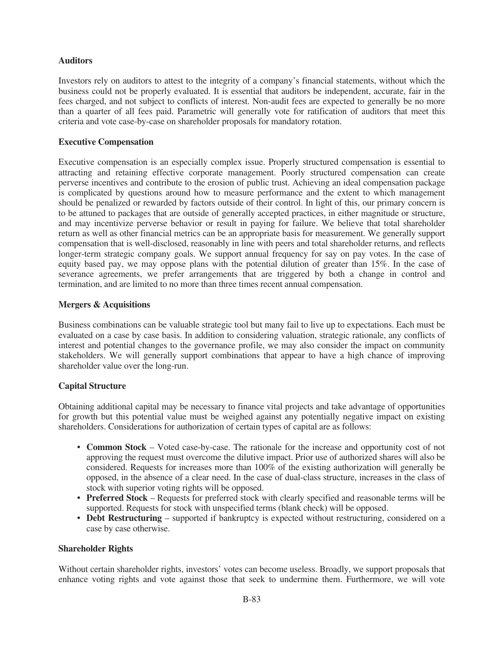### **Auditors**

Investors rely on auditors to attest to the integrity of a company's financial statements, without which the business could not be properly evaluated. It is essential that auditors be independent, accurate, fair in the fees charged, and not subject to conflicts of interest. Non-audit fees are expected to generally be no more than a quarter of all fees paid. Parametric will generally vote for ratification of auditors that meet this criteria and vote case-by-case on shareholder proposals for mandatory rotation.

#### **Executive Compensation**

Executive compensation is an especially complex issue. Properly structured compensation is essential to attracting and retaining effective corporate management. Poorly structured compensation can create perverse incentives and contribute to the erosion of public trust. Achieving an ideal compensation package is complicated by questions around how to measure performance and the extent to which management should be penalized or rewarded by factors outside of their control. In light of this, our primary concern is to be attuned to packages that are outside of generally accepted practices, in either magnitude or structure, and may incentivize perverse behavior or result in paying for failure. We believe that total shareholder return as well as other financial metrics can be an appropriate basis for measurement. We generally support compensation that is well-disclosed, reasonably in line with peers and total shareholder returns, and reflects longer-term strategic company goals. We support annual frequency for say on pay votes. In the case of equity based pay, we may oppose plans with the potential dilution of greater than 15%. In the case of severance agreements, we prefer arrangements that are triggered by both a change in control and termination, and are limited to no more than three times recent annual compensation.

#### **Mergers & Acquisitions**

Business combinations can be valuable strategic tool but many fail to live up to expectations. Each must be evaluated on a case by case basis. In addition to considering valuation, strategic rationale, any conflicts of interest and potential changes to the governance profile, we may also consider the impact on community stakeholders. We will generally support combinations that appear to have a high chance of improving shareholder value over the long-run.

#### **Capital Structure**

Obtaining additional capital may be necessary to finance vital projects and take advantage of opportunities for growth but this potential value must be weighed against any potentially negative impact on existing shareholders. Considerations for authorization of certain types of capital are as follows:

- **Common Stock** Voted case-by-case. The rationale for the increase and opportunity cost of not approving the request must overcome the dilutive impact. Prior use of authorized shares will also be considered. Requests for increases more than 100% of the existing authorization will generally be opposed, in the absence of a clear need. In the case of dual-class structure, increases in the class of stock with superior voting rights will be opposed.
- **Preferred Stock** Requests for preferred stock with clearly specified and reasonable terms will be supported. Requests for stock with unspecified terms (blank check) will be opposed.
- **Debt Restructuring** supported if bankruptcy is expected without restructuring, considered on a case by case otherwise.

#### **Shareholder Rights**

Without certain shareholder rights, investors' votes can become useless. Broadly, we support proposals that enhance voting rights and vote against those that seek to undermine them. Furthermore, we will vote